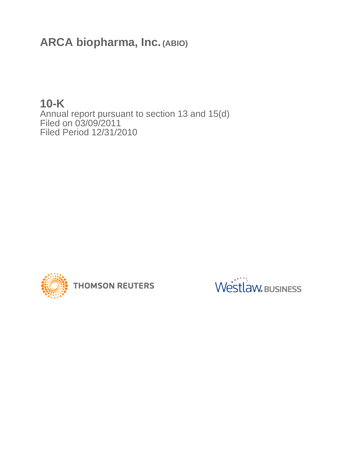**ARCA biopharma, Inc. (ABIO)**

**10-K** Annual report pursuant to section 13 and 15(d) Filed on 03/09/2011 Filed Period 12/31/2010



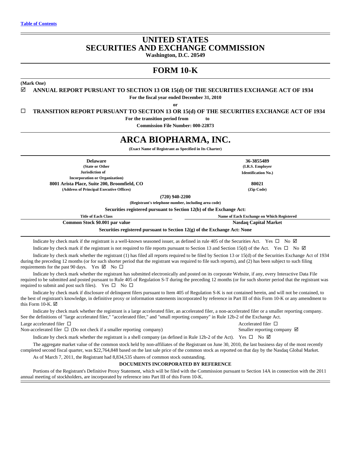## **UNITED STATES SECURITIES AND EXCHANGE COMMISSION Washington, D.C. 20549**

**FORM 10-K**

**(Mark One)**

## $\boxtimes$  **ANNUAL REPORT PURSUANT TO SECTION 13 OR 15(d) OF THE SECURITIES EXCHANGE ACT OF 1934**

**For the fiscal year ended December 31, 2010**

**or**

□ **TRANSITION REPORT PURSUANT TO SECTION 13 OR 15(d) OF THE SECURITIES EXCHANGE ACT OF 1934** 

**For the transition period from to** 

**Commission File Number: 000-22873**

# **ARCA BIOPHARMA, INC.**

**(Exact Name of Registrant as Specified in Its Charter)**

**Delaware 36-3855489 (State or Other Jurisdiction of Incorporation or Organization) 8001 Arista Place, Suite 200, Broomfield, CO 80021 (Address of Principal Executive Offices) (Zip Code)**

**(720) 940-2200**

**(Registrant's telephone number, including area code)**

**Securities registered pursuant to Section 12(b) of the Exchange Act:**

**Title of Each Class Name of Each Exchange on Which Registered Common Stock \$0.001 par value Nasdaq Capital Market Nasdaq Capital Market Securities registered pursuant to Section 12(g) of the Exchange Act: None**

Indicate by check mark if the registrant is a well-known seasoned issuer, as defined in rule 405 of the Securities Act. Yes  $\Box$  No  $\Box$ Indicate by check mark if the registrant is not required to file reports pursuant to Section 13 and Section 15(d) of the Act. Yes  $\Box$  No  $\Box$ 

Indicate by check mark whether the registrant (1) has filed all reports required to be filed by Section 13 or 15(d) of the Securities Exchange Act of 1934 during the preceding 12 months (or for such shorter period that the registrant was required to file such reports), and (2) has been subject to such filing requirements for the past 90 days. Yes  $\boxtimes$  No  $\square$ 

Indicate by check mark whether the registrant has submitted electronically and posted on its corporate Website, if any, every Interactive Data File required to be submitted and posted pursuant to Rule 405 of Regulation S-T during the preceding 12 months (or for such shorter period that the registrant was required to submit and post such files). Yes  $\square$  No  $\square$ 

Indicate by check mark if disclosure of delinquent filers pursuant to Item 405 of Regulation S-K is not contained herein, and will not be contained, to the best of registrant's knowledge, in definitive proxy or information statements incorporated by reference in Part III of this Form 10-K or any amendment to this Form 10-K.  $\boxtimes$ 

Indicate by check mark whether the registrant is a large accelerated filer, an accelerated filer, a non-accelerated filer or a smaller reporting company. See the definitions of "large accelerated filer," "accelerated filer," and "small reporting company" in Rule 12b-2 of the Exchange Act. Large accelerated filer  $\Box$  Accelerated filer  $\Box$ 

Non-accelerated filer  $\Box$  (Do not check if a smaller reporting company) Smaller reporting company  $\Box$ 

Indicate by check mark whether the registrant is a shell company (as defined in Rule 12b-2 of the Act). Yes  $\Box$  No  $\Box$ 

The aggregate market value of the common stock held by non-affiliates of the Registrant on June 30, 2010, the last business day of the most recently completed second fiscal quarter, was \$22,764,848 based on the last sale price of the common stock as reported on that day by the Nasdaq Global Market.

As of March 7, 2011, the Registrant had 8,834,535 shares of common stock outstanding.

## **DOCUMENTS INCORPORATED BY REFERENCE**

Portions of the Registrant's Definitive Proxy Statement, which will be filed with the Commission pursuant to Section 14A in connection with the 2011 annual meeting of stockholders, are incorporated by reference into Part III of this Form 10-K.

**(I.R.S. Employer Identification No.)**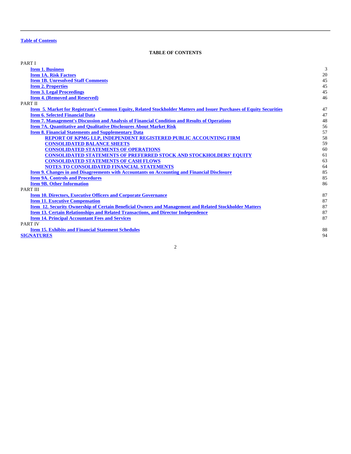## **TABLE OF CONTENTS**

<span id="page-2-0"></span>

| PART I                                                                                                               |    |
|----------------------------------------------------------------------------------------------------------------------|----|
| <b>Item 1. Business</b>                                                                                              | 3  |
| <b>Item 1A. Risk Factors</b>                                                                                         | 20 |
| <b>Item 1B. Unresolved Staff Comments</b>                                                                            | 45 |
| <b>Item 2. Properties</b>                                                                                            | 45 |
| <b>Item 3. Legal Proceedings</b>                                                                                     | 45 |
| <b>Item 4. (Removed and Reserved)</b>                                                                                | 46 |
| PART II                                                                                                              |    |
| Item 5. Market for Registrant's Common Equity, Related Stockholder Matters and Issuer Purchases of Equity Securities | 47 |
| <b>Item 6. Selected Financial Data</b>                                                                               | 47 |
| <b>Item 7. Management's Discussion and Analysis of Financial Condition and Results of Operations</b>                 | 48 |
| <b>Item 7A. Quantitative and Qualitative Disclosures About Market Risk</b>                                           | 56 |
| <b>Item 8. Financial Statements and Supplementary Data</b>                                                           | 57 |
| <b>REPORT OF KPMG LLP, INDEPENDENT REGISTERED PUBLIC ACCOUNTING FIRM</b>                                             | 58 |
| <b>CONSOLIDATED BALANCE SHEETS</b>                                                                                   | 59 |
| <b>CONSOLIDATED STATEMENTS OF OPERATIONS</b>                                                                         | 60 |
| <b>CONSOLIDATED STATEMENTS OF PREFERRED STOCK AND STOCKHOLDERS' EQUITY</b>                                           | 61 |
| <b>CONSOLIDATED STATEMENTS OF CASH FLOWS</b>                                                                         | 63 |
| NOTES TO CONSOLIDATED FINANCIAL STATEMENTS                                                                           | 64 |
| <b>Item 9. Changes in and Disagreements with Accountants on Accounting and Financial Disclosure</b>                  | 85 |
| <b>Item 9A. Controls and Procedures</b>                                                                              | 85 |
| <b>Item 9B. Other Information</b>                                                                                    | 86 |
| PART III                                                                                                             |    |
| <b>Item 10. Directors, Executive Officers and Corporate Governance</b>                                               | 87 |
| <b>Item 11. Executive Compensation</b>                                                                               | 87 |
| Item 12. Security Ownership of Certain Beneficial Owners and Management and Related Stockholder Matters              | 87 |
| <b>Item 13. Certain Relationships and Related Transactions, and Director Independence</b>                            | 87 |
| <b>Item 14. Principal Accountant Fees and Services</b>                                                               | 87 |
| <b>PART IV</b>                                                                                                       |    |
| <b>Item 15. Exhibits and Financial Statement Schedules</b>                                                           | 88 |
| <b>SIGNATURES</b>                                                                                                    | 94 |
|                                                                                                                      |    |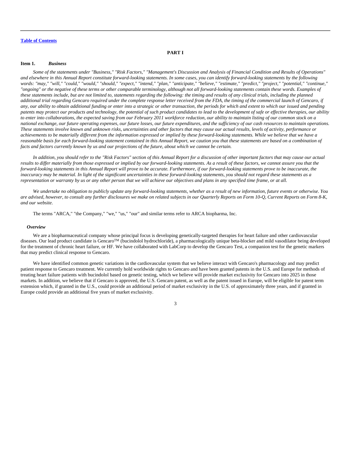## **PART I**

## <span id="page-3-0"></span>**Item 1.** *Business*

*Some of the statements under "Business," "Risk Factors," "Management's Discussion and Analysis of Financial Condition and Results of Operations" and elsewhere in this Annual Report constitute forward-looking statements. In some cases, you can identify forward-looking statements by the following words: "may," "will," "could," "would," "should," "expect," "intend," "plan," "anticipate," "believe," "estimate," "predict," "project," "potential," "continue," "ongoing" or the negative of these terms or other comparable terminology, although not all forward-looking statements contain these words. Examples of these statements include, but are not limited to, statements regarding the following: the timing and results of any clinical trials, including the planned additional trial regarding Gencaro required under the complete response letter received from the FDA, the timing of the commercial launch of Gencaro, if any, our ability to obtain additional funding or enter into a strategic or other transaction, the periods for which and extent to which our issued and pending patents may protect our products and technology, the potential of such product candidates to lead to the development of safe or effective therapies, our ability to enter into collaborations, the expected saving from our February 2011 workforce reduction, our ability to maintain listing of our common stock on a national exchange, our future operating expenses, our future losses, our future expenditures, and the sufficiency of our cash resources to maintain operations. These statements involve known and unknown risks, uncertainties and other factors that may cause our actual results, levels of activity, performance or achievements to be materially different from the information expressed or implied by these forward-looking statements. While we believe that we have a reasonable basis for each forward-looking statement contained in this Annual Report, we caution you that these statements are based on a combination of facts and factors currently known by us and our projections of the future, about which we cannot be certain.*

*In addition, you should refer to the "Risk Factors" section of this Annual Report for a discussion of other important factors that may cause our actual results to differ materially from those expressed or implied by our forward-looking statements. As a result of these factors, we cannot assure you that the forward-looking statements in this Annual Report will prove to be accurate. Furthermore, if our forward-looking statements prove to be inaccurate, the inaccuracy may be material. In light of the significant uncertainties in these forward-looking statements, you should not regard these statements as a representation or warranty by us or any other person that we will achieve our objectives and plans in any specified time frame, or at all.*

*We undertake no obligation to publicly update any forward-looking statements, whether as a result of new information, future events or otherwise. You are advised, however, to consult any further disclosures we make on related subjects in our Quarterly Reports on Form 10-Q, Current Reports on Form 8-K, and our website.*

The terms "ARCA," "the Company," "we," "us," "our" and similar terms refer to ARCA biopharma, Inc.

### *Overview*

We are a biopharmaceutical company whose principal focus is developing genetically-targeted therapies for heart failure and other cardiovascular diseases. Our lead product candidate is GencaroTM (bucindolol hydrochloride), a pharmacologically unique beta-blocker and mild vasodilator being developed for the treatment of chronic heart failure, or HF. We have collaborated with LabCorp to develop the Gencaro Test, a companion test for the genetic markers that may predict clinical response to Gencaro.

We have identified common genetic variations in the cardiovascular system that we believe interact with Gencaro's pharmacology and may predict patient response to Gencaro treatment. We currently hold worldwide rights to Gencaro and have been granted patents in the U.S. and Europe for methods of treating heart failure patients with bucindolol based on genetic testing, which we believe will provide market exclusivity for Gencaro into 2025 in those markets. In addition, we believe that if Gencaro is approved, the U.S. Gencaro patent, as well as the patent issued in Europe, will be eligible for patent term extension which, if granted in the U.S., could provide an additional period of market exclusivity in the U.S. of approximately three years, and if granted in Europe could provide an additional five years of market exclusivity.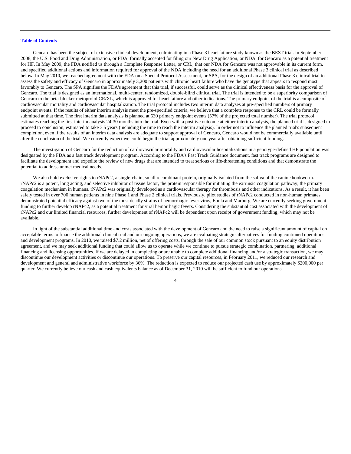Gencaro has been the subject of extensive clinical development, culminating in a Phase 3 heart failure study known as the BEST trial. In September 2008, the U.S. Food and Drug Administration, or FDA, formally accepted for filing our New Drug Application, or NDA, for Gencaro as a potential treatment for HF. In May 2009, the FDA notified us through a Complete Response Letter, or CRL, that our NDA for Gencaro was not approvable in its current form, and specified additional actions and information required for approval of the NDA including the need for an additional Phase 3 clinical trial as described below. In May 2010, we reached agreement with the FDA on a Special Protocol Assessment, or SPA, for the design of an additional Phase 3 clinical trial to assess the safety and efficacy of Gencaro in approximately 3,200 patients with chronic heart failure who have the genotype that appears to respond most favorably to Gencaro. The SPA signifies the FDA's agreement that this trial, if successful, could serve as the clinical effectiveness basis for the approval of Gencaro. The trial is designed as an international, multi-center, randomized, double-blind clinical trial. The trial is intended to be a superiority comparison of Gencaro to the beta-blocker metoprolol CR/XL, which is approved for heart failure and other indications. The primary endpoint of the trial is a composite of cardiovascular mortality and cardiovascular hospitalization. The trial protocol includes two interim data analyses at pre-specified numbers of primary endpoint events. If the results of either interim analysis meet the pre-specified criteria, we believe that a complete response to the CRL could be formally submitted at that time. The first interim data analysis is planned at 630 primary endpoint events (57% of the projected total number). The trial protocol estimates reaching the first interim analysis 24-30 months into the trial. Even with a positive outcome at either interim analysis, the planned trial is designed to proceed to conclusion, estimated to take 3.5 years (including the time to reach the interim analysis). In order not to influence the planned trial's subsequent completion, even if the results of an interim data analysis are adequate to support approval of Gencaro, Gencaro would not be commercially available until after the conclusion of the trial. We currently expect we could begin the trial approximately one year after obtaining sufficient funding.

The investigation of Gencaro for the reduction of cardiovascular mortality and cardiovascular hospitalizations in a genotype-defined HF population was designated by the FDA as a fast track development program. According to the FDA's Fast Track Guidance document, fast track programs are designed to facilitate the development and expedite the review of new drugs that are intended to treat serious or life-threatening conditions and that demonstrate the potential to address unmet medical needs.

We also hold exclusive rights to rNAPc2, a single-chain, small recombinant protein, originally isolated from the saliva of the canine hookworm. rNAPc2 is a potent, long acting, and selective inhibitor of tissue factor, the protein responsible for initiating the extrinsic coagulation pathway, the primary coagulation mechanism in humans. rNAPc2 was originally developed as a cardiovascular therapy for thrombosis and other indications. As a result, it has been safely tested in over 700 human patients in nine Phase 1 and Phase 2 clinical trials. Previously, pilot studies of rNAPc2 conducted in non-human primates demonstrated potential efficacy against two of the most deadly strains of hemorrhagic fever virus, Ebola and Marburg. We are currently seeking government funding to further develop rNAPc2, as a potential treatment for viral hemorrhagic fevers. Considering the substantial cost associated with the development of rNAPc2 and our limited financial resources, further development of rNAPc2 will be dependent upon receipt of government funding, which may not be available.

In light of the substantial additional time and costs associated with the development of Gencaro and the need to raise a significant amount of capital on acceptable terms to finance the additional clinical trial and our ongoing operations, we are evaluating strategic alternatives for funding continued operations and development programs. In 2010, we raised \$7.2 million, net of offering costs, through the sale of our common stock pursuant to an equity distribution agreement, and we may seek additional funding that could allow us to operate while we continue to pursue strategic combination, partnering, additional financing and licensing opportunities. If we are delayed in completing or are unable to complete additional financing and/or a strategic transaction, we may discontinue our development activities or discontinue our operations. To preserve our capital resources, in February 2011, we reduced our research and development and general and administrative workforce by 36%. The reduction is expected to reduce our projected cash use by approximately \$200,000 per quarter. We currently believe our cash and cash equivalents balance as of December 31, 2010 will be sufficient to fund our operations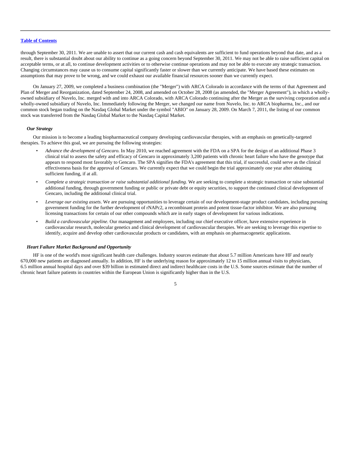through September 30, 2011. We are unable to assert that our current cash and cash equivalents are sufficient to fund operations beyond that date, and as a result, there is substantial doubt about our ability to continue as a going concern beyond September 30, 2011. We may not be able to raise sufficient capital on acceptable terms, or at all, to continue development activities or to otherwise continue operations and may not be able to execute any strategic transaction. Changing circumstances may cause us to consume capital significantly faster or slower than we currently anticipate. We have based these estimates on assumptions that may prove to be wrong, and we could exhaust our available financial resources sooner than we currently expect.

On January 27, 2009, we completed a business combination (the "Merger") with ARCA Colorado in accordance with the terms of that Agreement and Plan of Merger and Reorganization, dated September 24, 2008, and amended on October 28, 2008 (as amended, the "Merger Agreement"), in which a whollyowned subsidiary of Nuvelo, Inc. merged with and into ARCA Colorado, with ARCA Colorado continuing after the Merger as the surviving corporation and a wholly-owned subsidiary of Nuvelo, Inc. Immediately following the Merger, we changed our name from Nuvelo, Inc. to ARCA biopharma, Inc., and our common stock began trading on the Nasdaq Global Market under the symbol "ABIO" on January 28, 2009. On March 7, 2011, the listing of our common stock was transferred from the Nasdaq Global Market to the Nasdaq Capital Market.

### *Our Strategy*

Our mission is to become a leading biopharmaceutical company developing cardiovascular therapies, with an emphasis on genetically-targeted therapies. To achieve this goal, we are pursuing the following strategies:

- *Advance the development of Gencaro.* In May 2010, we reached agreement with the FDA on a SPA for the design of an additional Phase 3 clinical trial to assess the safety and efficacy of Gencaro in approximately 3,200 patients with chronic heart failure who have the genotype that appears to respond most favorably to Gencaro. The SPA signifies the FDA's agreement that this trial, if successful, could serve as the clinical effectiveness basis for the approval of Gencaro. We currently expect that we could begin the trial approximately one year after obtaining sufficient funding, if at all.
- *Complete a strategic transaction or raise substantial additional funding.* We are seeking to complete a strategic transaction or raise substantial additional funding, through government funding or public or private debt or equity securities, to support the continued clinical development of Gencaro, including the additional clinical trial.
- *Leverage our existing assets*. We are pursuing opportunities to leverage certain of our development-stage product candidates, including pursuing government funding for the further development of rNAPc2, a recombinant protein and potent tissue-factor inhibitor. We are also pursuing licensing transactions for certain of our other compounds which are in early stages of development for various indications.
- *Build a cardiovascular pipeline.* Our management and employees, including our chief executive officer, have extensive experience in cardiovascular research, molecular genetics and clinical development of cardiovascular therapies. We are seeking to leverage this expertise to identify, acquire and develop other cardiovascular products or candidates, with an emphasis on pharmacogenetic applications.

### *Heart Failure Market Background and Opportunity*

HF is one of the world's most significant health care challenges. Industry sources estimate that about 5.7 million Americans have HF and nearly 670,000 new patients are diagnosed annually. In addition, HF is the underlying reason for approximately 12 to 15 million annual visits to physicians, 6.5 million annual hospital days and over \$39 billion in estimated direct and indirect healthcare costs in the U.S. Some sources estimate that the number of chronic heart failure patients in countries within the European Union is significantly higher than in the U.S.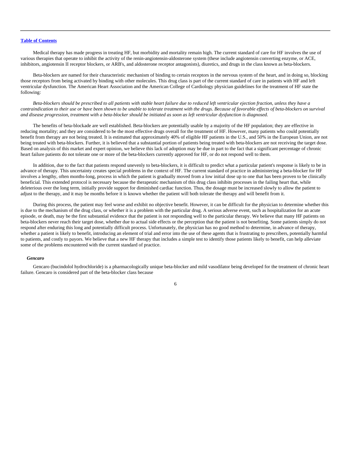Medical therapy has made progress in treating HF, but morbidity and mortality remain high. The current standard of care for HF involves the use of various therapies that operate to inhibit the activity of the renin-angiotensin-aldosterone system (these include angiotensin converting enzyme, or ACE, inhibitors, angiotensin II receptor blockers, or ARB's, and aldosterone receptor antagonists), diuretics, and drugs in the class known as beta-blockers.

Beta-blockers are named for their characteristic mechanism of binding to certain receptors in the nervous system of the heart, and in doing so, blocking those receptors from being activated by binding with other molecules. This drug class is part of the current standard of care in patients with HF and left ventricular dysfunction. The American Heart Association and the American College of Cardiology physician guidelines for the treatment of HF state the following:

*Beta-blockers should be prescribed to all patients with stable heart failure due to reduced left ventricular ejection fraction, unless they have a contraindication to their use or have been shown to be unable to tolerate treatment with the drugs. Because of favorable effects of beta-blockers on survival and disease progression, treatment with a beta-blocker should be initiated as soon as left ventricular dysfunction is diagnosed.*

The benefits of beta-blockade are well established. Beta-blockers are potentially usable by a majority of the HF population; they are effective in reducing mortality; and they are considered to be the most effective drugs overall for the treatment of HF. However, many patients who could potentially benefit from therapy are not being treated. It is estimated that approximately 40% of eligible HF patients in the U.S., and 50% in the European Union, are not being treated with beta-blockers. Further, it is believed that a substantial portion of patients being treated with beta-blockers are not receiving the target dose. Based on analysis of this market and expert opinion, we believe this lack of adoption may be due in part to the fact that a significant percentage of chronic heart failure patients do not tolerate one or more of the beta-blockers currently approved for HF, or do not respond well to them.

In addition, due to the fact that patients respond unevenly to beta-blockers, it is difficult to predict what a particular patient's response is likely to be in advance of therapy. This uncertainty creates special problems in the context of HF. The current standard of practice in administering a beta-blocker for HF involves a lengthy, often months-long, process in which the patient is gradually moved from a low initial dose up to one that has been proven to be clinically beneficial. This extended protocol is necessary because the therapeutic mechanism of this drug class inhibits processes in the failing heart that, while deleterious over the long term, initially provide support for diminished cardiac function. Thus, the dosage must be increased slowly to allow the patient to adjust to the therapy, and it may be months before it is known whether the patient will both tolerate the therapy and will benefit from it.

During this process, the patient may feel worse and exhibit no objective benefit. However, it can be difficult for the physician to determine whether this is due to the mechanism of the drug class, or whether it is a problem with the particular drug. A serious adverse event, such as hospitalization for an acute episode, or death, may be the first substantial evidence that the patient is not responding well to the particular therapy. We believe that many HF patients on beta-blockers never reach their target dose, whether due to actual side effects or the perception that the patient is not benefiting. Some patients simply do not respond after enduring this long and potentially difficult process. Unfortunately, the physician has no good method to determine, in advance of therapy, whether a patient is likely to benefit, introducing an element of trial and error into the use of these agents that is frustrating to prescribers, potentially harmful to patients, and costly to payors. We believe that a new HF therapy that includes a simple test to identify those patients likely to benefit, can help alleviate some of the problems encountered with the current standard of practice.

#### *Gencaro*

Gencaro (bucindolol hydrochloride) is a pharmacologically unique beta-blocker and mild vasodilator being developed for the treatment of chronic heart failure. Gencaro is considered part of the beta-blocker class because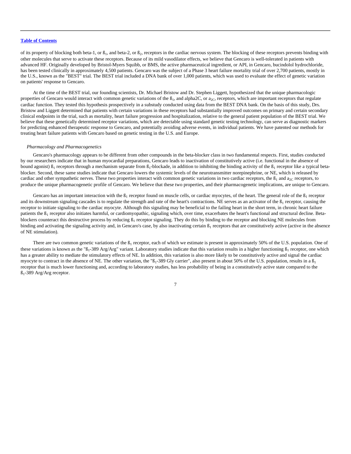of its property of blocking both beta-1, or  $\beta_1$ , and beta-2, or  $\beta_2$ , receptors in the cardiac nervous system. The blocking of these receptors prevents binding with other molecules that serve to activate these receptors. Because of its mild vasodilator effects, we believe that Gencaro is well-tolerated in patients with advanced HF. Originally developed by Bristol-Myers Squibb, or BMS, the active pharmaceutical ingredient, or API, in Gencaro, bucindolol hydrochloride, has been tested clinically in approximately 4,500 patients. Gencaro was the subject of a Phase 3 heart failure mortality trial of over 2,700 patients, mostly in the U.S., known as the "BEST" trial. The BEST trial included a DNA bank of over 1,000 patients, which was used to evaluate the effect of genetic variation on patients' response to Gencaro.

At the time of the BEST trial, our founding scientists, Dr. Michael Bristow and Dr. Stephen Liggett, hypothesized that the unique pharmacologic properties of Gencaro would interact with common genetic variations of the  $B_1$ , and alpha2C, or  $a_{2C}$ , receptors, which are important receptors that regulate cardiac function. They tested this hypothesis prospectively in a substudy conducted using data from the BEST DNA bank. On the basis of this study, Drs. Bristow and Liggett determined that patients with certain variations in these receptors had substantially improved outcomes on primary and certain secondary clinical endpoints in the trial, such as mortality, heart failure progression and hospitalization, relative to the general patient population of the BEST trial. We believe that these genetically determined receptor variations, which are detectable using standard genetic testing technology, can serve as diagnostic markers for predicting enhanced therapeutic response to Gencaro, and potentially avoiding adverse events, in individual patients. We have patented our methods for treating heart failure patients with Gencaro based on genetic testing in the U.S. and Europe.

### *Pharmacology and Pharmacogenetics*

Gencaro's pharmacology appears to be different from other compounds in the beta-blocker class in two fundamental respects. First, studies conducted by our researchers indicate that in human myocardial preparations, Gencaro leads to inactivation of constitutively active (i.e. functional in the absence of bound agonist)  $\beta_1$  receptors through a mechanism separate from  $\beta_1$ -blockade, in addition to inhibiting the binding activity of the  $\beta_1$  receptor like a typical betablocker. Second, these same studies indicate that Gencaro lowers the systemic levels of the neurotransmitter norepinephrine, or NE, which is released by cardiac and other sympathetic nerves. These two properties interact with common genetic variations in two cardiac receptors, the  $B_1$  and  $a_{2C}$  receptors, to produce the unique pharmacogenetic profile of Gencaro. We believe that these two properties, and their pharmacogenetic implications, are unique to Gencaro.

Gencaro has an important interaction with the  $B_1$  receptor found on muscle cells, or cardiac myocytes, of the heart. The general role of the  $B_1$  receptor and its downstream signaling cascades is to regulate the strength and rate of the heart's contractions. NE serves as an activator of the  $\beta_1$  receptor, causing the receptor to initiate signaling to the cardiac myocyte. Although this signaling may be beneficial to the failing heart in the short term, in chronic heart failure patients the  $\beta_1$  receptor also initiates harmful, or cardiomyopathic, signaling which, over time, exacerbates the heart's functional and structural decline. Betablockers counteract this destructive process by reducing  $\beta_1$  receptor signaling. They do this by binding to the receptor and blocking NE molecules from binding and activating the signaling activity and, in Gencaro's case, by also inactivating certain  $\beta_1$  receptors that are constitutively active (active in the absence of NE stimulation).

There are two common genetic variations of the  $B_1$  receptor, each of which we estimate is present in approximately 50% of the U.S. population. One of these variations is known as the " $B_1$ -389 Arg/Arg" variant. Laboratory studies indicate that this variation results in a higher functioning  $B_1$  receptor, one which has a greater ability to mediate the stimulatory effects of NE. In addition, this variation is also more likely to be constitutively active and signal the cardiac myocyte to contract in the absence of NE. The other variation, the " $B_1-389$  Gly carrier", also present in about 50% of the U.S. population, results in a  $B_1$ receptor that is much lower functioning and, according to laboratory studies, has less probability of being in a constitutively active state compared to the ß1-389 Arg/Arg receptor.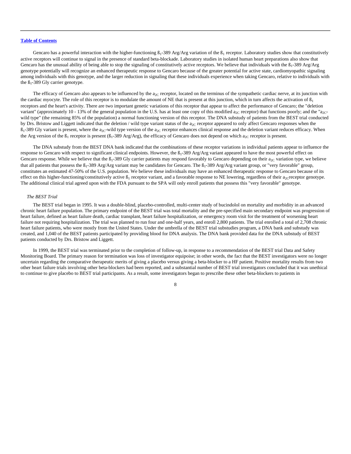Gencaro has a powerful interaction with the higher-functioning  $B_1-389$  Arg/Arg variation of the  $B_1$  receptor. Laboratory studies show that constitutively active receptors will continue to signal in the presence of standard beta-blockade. Laboratory studies in isolated human heart preparations also show that Gencaro has the unusual ability of being able to stop the signaling of constitutively active receptors. We believe that individuals with the  $\beta_1$ -389 Arg/Arg genotype potentially will recognize an enhanced therapeutic response to Gencaro because of the greater potential for active state, cardiomyopathic signaling among individuals with this genotype, and the larger reduction in signaling that these individuals experience when taking Gencaro, relative to individuals with the  $B_1$ -389 Gly carrier genotype.

The efficacy of Gencaro also appears to be influenced by the  $a_{2C}$  receptor, located on the terminus of the sympathetic cardiac nerve, at its junction with the cardiac myocyte. The role of this receptor is to modulate the amount of NE that is present at this junction, which in turn affects the activation of  $\beta_1$ receptors and the heart's activity. There are two important genetic variations of this receptor that appear to affect the performance of Gencaro; the "deletion variant" (approximately 10 - 13% of the general population in the U.S. has at least one copy of this modified  $a_{2C}$  receptor) that functions poorly; and the "a<sub>2C</sub>wild type" (the remaining 85% of the population) a normal functioning version of this receptor. The DNA substudy of patients from the BEST trial conducted by Drs. Bristow and Liggett indicated that the deletion / wild type variant status of the  $a_{2C}$  receptor appeared to only affect Gencaro responses when the  $B_1$ -389 Gly variant is present, where the a<sub>2C</sub>-wild type version of the a<sub>2C</sub> receptor enhances clinical response and the deletion variant reduces efficacy. When the Arg version of the  $\beta_1$  receptor is present ( $\beta_1$ -389 Arg/Arg), the efficacy of Gencaro does not depend on which  $a_{2C}$  receptor is present.

The DNA substudy from the BEST DNA bank indicated that the combinations of these receptor variations in individual patients appear to influence the response to Gencaro with respect to significant clinical endpoints. However, the  $\beta_1$ -389 Arg/Arg variant appeared to have the most powerful effect on Gencaro response. While we believe that the  $\beta_1$ -389 Gly carrier patients may respond favorably to Gencaro depending on their  $a_{2C}$  variation type, we believe that all patients that possess the  $B_1$ -389 Arg/Arg variant may be candidates for Gencaro. The  $B_1$ -389 Arg/Arg variant group, or "very favorable" group, constitutes an estimated 47-50% of the U.S. population. We believe these individuals may have an enhanced therapeutic response to Gencaro because of its effect on this higher-functioning/constitutively active  $\beta_1$  receptor variant, and a favorable response to NE lowering, regardless of their a<sub>2C</sub>receptor genotype. The additional clinical trial agreed upon with the FDA pursuant to the SPA will only enroll patients that possess this "very favorable" genotype.

### *The BEST Trial*

The BEST trial began in 1995. It was a double-blind, placebo-controlled, multi-center study of bucindolol on mortality and morbidity in an advanced chronic heart failure population. The primary endpoint of the BEST trial was total mortality and the pre-specified main secondary endpoint was progression of heart failure, defined as heart failure death, cardiac transplant, heart failure hospitalization, or emergency room visit for the treatment of worsening heart failure not requiring hospitalization. The trial was planned to run four and one-half years, and enroll 2,800 patients. The trial enrolled a total of 2,708 chronic heart failure patients, who were mostly from the United States. Under the umbrella of the BEST trial substudies program, a DNA bank and substudy was created, and 1,040 of the BEST patients participated by providing blood for DNA analysis. The DNA bank provided data for the DNA substudy of BEST patients conducted by Drs. Bristow and Liggett.

In 1999, the BEST trial was terminated prior to the completion of follow-up, in response to a recommendation of the BEST trial Data and Safety Monitoring Board. The primary reason for termination was loss of investigator equipoise; in other words, the fact that the BEST investigators were no longer uncertain regarding the comparative therapeutic merits of giving a placebo versus giving a beta-blocker to a HF patient. Positive mortality results from two other heart failure trials involving other beta-blockers had been reported, and a substantial number of BEST trial investigators concluded that it was unethical to continue to give placebo to BEST trial participants. As a result, some investigators began to prescribe these other beta-blockers to patients in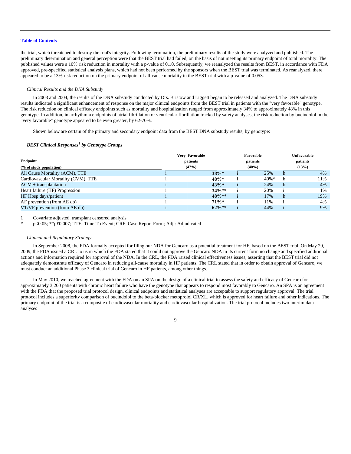the trial, which threatened to destroy the trial's integrity. Following termination, the preliminary results of the study were analyzed and published. The preliminary determination and general perception were that the BEST trial had failed, on the basis of not meeting its primary endpoint of total mortality. The published values were a 10% risk reduction in mortality with a p-value of 0.10. Subsequently, we reanalyzed the results from BEST, in accordance with FDA approved, pre-specified statistical analysis plans, which had not been performed by the sponsors when the BEST trial was terminated. As reanalyzed, there appeared to be a 13% risk reduction on the primary endpoint of all-cause mortality in the BEST trial with a p-value of 0.053.

### *Clinical Results and the DNA Substudy*

In 2003 and 2004, the results of the DNA substudy conducted by Drs. Bristow and Liggett began to be released and analyzed. The DNA substudy results indicated a significant enhancement of response on the major clinical endpoints from the BEST trial in patients with the "very favorable" genotype. The risk reduction on clinical efficacy endpoints such as mortality and hospitalization ranged from approximately 34% to approximately 48% in this genotype. In addition, in arrhythmia endpoints of atrial fibrillation or ventricular fibrillation tracked by safety analyses, the risk reduction by bucindolol in the "very favorable" genotype appeared to be even greater, by 62-70%.

Shown below are certain of the primary and secondary endpoint data from the BEST DNA substudy results, by genotype:

## *BEST Clinical Responses<sup>1</sup> by Genotype Groups*

| Endpoint<br>(% of study population) | Very Favorable<br>Favorable<br>patients<br>patients<br>(47%)<br>$(40\%)$ |          |  | <b>Unfavorable</b><br>patients<br>(13%) |    |     |
|-------------------------------------|--------------------------------------------------------------------------|----------|--|-----------------------------------------|----|-----|
| All Cause Mortality (ACM), TTE      |                                                                          | $38\%*$  |  | 25%                                     | h. | 4%  |
| Cardiovascular Mortality (CVM), TTE |                                                                          | $48\%*$  |  | $40\% *$                                | h  | 11% |
| $ACM + transplantation$             |                                                                          | $43\%*$  |  | 24%                                     | h  | 4%  |
| Heart failure (HF) Progression      |                                                                          | $34\%**$ |  | 20%                                     |    | 1%  |
| HF Hosp days/patient                |                                                                          | $48\%**$ |  | 17%                                     | h. | 19% |
| AF prevention (from AE db)          |                                                                          | $71\%*$  |  | 11%                                     |    | 4%  |
| VT/VF prevention (from AE db)       |                                                                          | $62\%**$ |  | 44%                                     |    | 9%  |

1 Covariate adjusted, transplant censored analysis

p<0.05; \*\* p£0.007; TTE: Time To Event; CRF: Case Report Form; Adj.: Adjudicated

### *Clinical and Regulatory Strategy*

In September 2008, the FDA formally accepted for filing our NDA for Gencaro as a potential treatment for HF, based on the BEST trial. On May 29, 2009, the FDA issued a CRL to us in which the FDA stated that it could not approve the Gencaro NDA in its current form no change and specified additional actions and information required for approval of the NDA. In the CRL, the FDA raised clinical effectiveness issues, asserting that the BEST trial did not adequately demonstrate efficacy of Gencaro in reducing all-cause mortality in HF patients. The CRL stated that in order to obtain approval of Gencaro, we must conduct an additional Phase 3 clinical trial of Gencaro in HF patients, among other things.

In May 2010, we reached agreement with the FDA on an SPA on the design of a clinical trial to assess the safety and efficacy of Gencaro for approximately 3,200 patients with chronic heart failure who have the genotype that appears to respond most favorably to Gencaro. An SPA is an agreement with the FDA that the proposed trial protocol design, clinical endpoints and statistical analyses are acceptable to support regulatory approval. The trial protocol includes a superiority comparison of bucindolol to the beta-blocker metoprolol CR/XL, which is approved for heart failure and other indications. The primary endpoint of the trial is a composite of cardiovascular mortality and cardiovascular hospitalization. The trial protocol includes two interim data analyses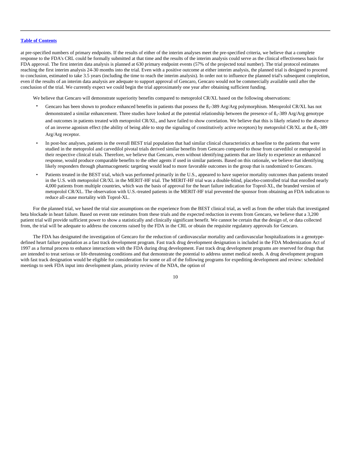at pre-specified numbers of primary endpoints. If the results of either of the interim analyses meet the pre-specified criteria, we believe that a complete response to the FDA's CRL could be formally submitted at that time and the results of the interim analysis could serve as the clinical effectiveness basis for FDA approval. The first interim data analysis is planned at 630 primary endpoint events (57% of the projected total number). The trial protocol estimates reaching the first interim analysis 24-30 months into the trial. Even with a positive outcome at either interim analysis, the planned trial is designed to proceed to conclusion, estimated to take 3.5 years (including the time to reach the interim analysis). In order not to influence the planned trial's subsequent completion, even if the results of an interim data analysis are adequate to support approval of Gencaro, Gencaro would not be commercially available until after the conclusion of the trial. We currently expect we could begin the trial approximately one year after obtaining sufficient funding.

We believe that Gencaro will demonstrate superiority benefits compared to metoprolol CR/XL based on the following observations:

- Gencaro has been shown to produce enhanced benefits in patients that possess the  $B_1-389$  Arg/Arg polymorphism. Metoprolol CR/XL has not demonstrated a similar enhancement. Three studies have looked at the potential relationship between the presence of  $B_1-389$  Arg/Arg genotype and outcomes in patients treated with metoprolol CR/XL, and have failed to show correlation. We believe that this is likely related to the absence of an inverse agonism effect (the ability of being able to stop the signaling of constitutively active receptors) by metoprolol CR/XL at the  $\beta_1$ -389 Arg/Arg receptor.
- In post-hoc analyses, patients in the overall BEST trial population that had similar clinical characteristics at baseline to the patients that were studied in the metoprolol and carvedilol pivotal trials derived similar benefits from Gencaro compared to those from carvedilol or metoprolol in their respective clinical trials. Therefore, we believe that Gencaro, even without identifying patients that are likely to experience an enhanced response, would produce comparable benefits to the other agents if used in similar patients. Based on this rationale, we believe that identifying likely responders through pharmacogenetic targeting would lead to more favorable outcomes in the group that is randomized to Gencaro.
- Patients treated in the BEST trial, which was performed primarily in the U.S., appeared to have superior mortality outcomes than patients treated in the U.S. with metoprolol CR/XL in the MERIT-HF trial. The MERIT-HF trial was a double-blind, placebo-controlled trial that enrolled nearly 4,000 patients from multiple countries, which was the basis of approval for the heart failure indication for Toprol-XL, the branded version of metoprolol CR/XL. The observation with U.S.-treated patients in the MERIT-HF trial prevented the sponsor from obtaining an FDA indication to reduce all-cause mortality with Toprol-XL.

For the planned trial, we based the trial size assumptions on the experience from the BEST clinical trial, as well as from the other trials that investigated beta blockade in heart failure. Based on event rate estimates from these trials and the expected reduction in events from Gencaro, we believe that a 3,200 patient trial will provide sufficient power to show a statistically and clinically significant benefit. We cannot be certain that the design of, or data collected from, the trial will be adequate to address the concerns raised by the FDA in the CRL or obtain the requisite regulatory approvals for Gencaro.

The FDA has designated the investigation of Gencaro for the reduction of cardiovascular mortality and cardiovascular hospitalizations in a genotypedefined heart failure population as a fast track development program. Fast track drug development designation is included in the FDA Modernization Act of 1997 as a formal process to enhance interactions with the FDA during drug development. Fast track drug development programs are reserved for drugs that are intended to treat serious or life-threatening conditions and that demonstrate the potential to address unmet medical needs. A drug development program with fast track designation would be eligible for consideration for some or all of the following programs for expediting development and review: scheduled meetings to seek FDA input into development plans, priority review of the NDA, the option of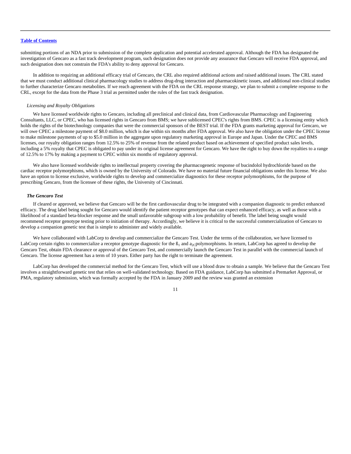submitting portions of an NDA prior to submission of the complete application and potential accelerated approval. Although the FDA has designated the investigation of Gencaro as a fast track development program, such designation does not provide any assurance that Gencaro will receive FDA approval, and such designation does not constrain the FDA's ability to deny approval for Gencaro.

In addition to requiring an additional efficacy trial of Gencaro, the CRL also required additional actions and raised additional issues. The CRL stated that we must conduct additional clinical pharmacology studies to address drug-drug interaction and pharmacokinetic issues, and additional non-clinical studies to further characterize Gencaro metabolites. If we reach agreement with the FDA on the CRL response strategy, we plan to submit a complete response to the CRL, except for the data from the Phase 3 trial as permitted under the rules of the fast track designation.

### *Licensing and Royalty Obligations*

We have licensed worldwide rights to Gencaro, including all preclinical and clinical data, from Cardiovascular Pharmacology and Engineering Consultants, LLC, or CPEC, who has licensed rights in Gencaro from BMS; we have sublicensed CPEC's rights from BMS. CPEC is a licensing entity which holds the rights of the biotechnology companies that were the commercial sponsors of the BEST trial. If the FDA grants marketing approval for Gencaro, we will owe CPEC a milestone payment of \$8.0 million, which is due within six months after FDA approval. We also have the obligation under the CPEC license to make milestone payments of up to \$5.0 million in the aggregate upon regulatory marketing approval in Europe and Japan. Under the CPEC and BMS licenses, our royalty obligation ranges from 12.5% to 25% of revenue from the related product based on achievement of specified product sales levels, including a 5% royalty that CPEC is obligated to pay under its original license agreement for Gencaro. We have the right to buy down the royalties to a range of 12.5% to 17% by making a payment to CPEC within six months of regulatory approval.

We also have licensed worldwide rights to intellectual property covering the pharmacogenetic response of bucindolol hydrochloride based on the cardiac receptor polymorphisms, which is owned by the University of Colorado. We have no material future financial obligations under this license. We also have an option to license exclusive, worldwide rights to develop and commercialize diagnostics for these receptor polymorphisms, for the purpose of prescribing Gencaro, from the licensee of these rights, the University of Cincinnati.

## *The Gencaro Test*

If cleared or approved, we believe that Gencaro will be the first cardiovascular drug to be integrated with a companion diagnostic to predict enhanced efficacy. The drug label being sought for Gencaro would identify the patient receptor genotypes that can expect enhanced efficacy, as well as those with a likelihood of a standard beta-blocker response and the small unfavorable subgroup with a low probability of benefit. The label being sought would recommend receptor genotype testing prior to initiation of therapy. Accordingly, we believe it is critical to the successful commercialization of Gencaro to develop a companion genetic test that is simple to administer and widely available.

We have collaborated with LabCorp to develop and commercialize the Gencaro Test. Under the terms of the collaboration, we have licensed to LabCorp certain rights to commercialize a receptor genotype diagnostic for the  $\beta_1$  and a<sub>2C</sub>polymorphisms. In return, LabCorp has agreed to develop the Gencaro Test, obtain FDA clearance or approval of the Gencaro Test, and commercially launch the Gencaro Test in parallel with the commercial launch of Gencaro. The license agreement has a term of 10 years. Either party has the right to terminate the agreement.

LabCorp has developed the commercial method for the Gencaro Test, which will use a blood draw to obtain a sample. We believe that the Gencaro Test involves a straightforward genetic test that relies on well-validated technology. Based on FDA guidance, LabCorp has submitted a Premarket Approval, or PMA, regulatory submission, which was formally accepted by the FDA in January 2009 and the review was granted an extension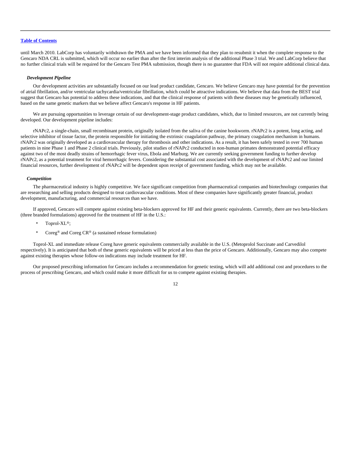until March 2010. LabCorp has voluntarily withdrawn the PMA and we have been informed that they plan to resubmit it when the complete response to the Gencaro NDA CRL is submitted, which will occur no earlier than after the first interim analysis of the additional Phase 3 trial. We and LabCorp believe that no further clinical trials will be required for the Gencaro Test PMA submission, though there is no guarantee that FDA will not require additional clinical data.

### *Development Pipeline*

Our development activities are substantially focused on our lead product candidate, Gencaro. We believe Gencaro may have potential for the prevention of atrial fibrillation, and/or ventricular tachycardia/ventricular fibrillation, which could be attractive indications. We believe that data from the BEST trial suggest that Gencaro has potential to address these indications, and that the clinical response of patients with these diseases may be genetically influenced, based on the same genetic markers that we believe affect Gencaro's response in HF patients.

We are pursuing opportunities to leverage certain of our development-stage product candidates, which, due to limited resources, are not currently being developed. Our development pipeline includes:

rNAPc2, a single-chain, small recombinant protein, originally isolated from the saliva of the canine hookworm. rNAPc2 is a potent, long acting, and selective inhibitor of tissue factor, the protein responsible for initiating the extrinsic coagulation pathway, the primary coagulation mechanism in humans. rNAPc2 was originally developed as a cardiovascular therapy for thrombosis and other indications. As a result, it has been safely tested in over 700 human patients in nine Phase 1 and Phase 2 clinical trials. Previously, pilot studies of rNAPc2 conducted in non-human primates demonstrated potential efficacy against two of the most deadly strains of hemorrhagic fever virus, Ebola and Marburg. We are currently seeking government funding to further develop rNAPc2, as a potential treatment for viral hemorrhagic fevers. Considering the substantial cost associated with the development of rNAPc2 and our limited financial resources, further development of rNAPc2 will be dependent upon receipt of government funding, which may not be available.

### *Competition*

The pharmaceutical industry is highly competitive. We face significant competition from pharmaceutical companies and biotechnology companies that are researching and selling products designed to treat cardiovascular conditions. Most of these companies have significantly greater financial, product development, manufacturing, and commercial resources than we have.

If approved, Gencaro will compete against existing beta-blockers approved for HF and their generic equivalents. Currently, there are two beta-blockers (three branded formulations) approved for the treatment of HF in the U.S.:

- Toprol-XL®;
- Coreg® and Coreg CR® (a sustained release formulation)

Toprol-XL and immediate release Coreg have generic equivalents commercially available in the U.S. (Metoprolol Succinate and Carvedilol respectively). It is anticipated that both of these generic equivalents will be priced at less than the price of Gencaro. Additionally, Gencaro may also compete against existing therapies whose follow-on indications may include treatment for HF.

Our proposed prescribing information for Gencaro includes a recommendation for genetic testing, which will add additional cost and procedures to the process of prescribing Gencaro, and which could make it more difficult for us to compete against existing therapies.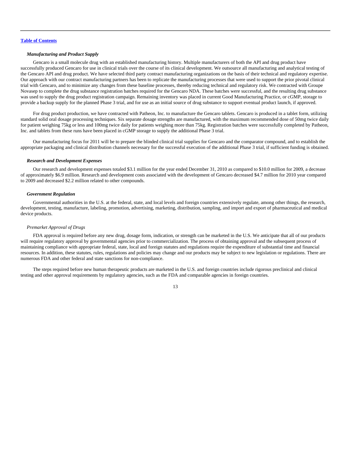### *Manufacturing and Product Supply*

Gencaro is a small molecule drug with an established manufacturing history. Multiple manufacturers of both the API and drug product have successfully produced Gencaro for use in clinical trials over the course of its clinical development. We outsource all manufacturing and analytical testing of the Gencaro API and drug product. We have selected third party contract manufacturing organizations on the basis of their technical and regulatory expertise. Our approach with our contract manufacturing partners has been to replicate the manufacturing processes that were used to support the prior pivotal clinical trial with Gencaro, and to minimize any changes from these baseline processes, thereby reducing technical and regulatory risk. We contracted with Groupe Novasep to complete the drug substance registration batches required for the Gencaro NDA. These batches were successful, and the resulting drug substance was used to supply the drug product registration campaign. Remaining inventory was placed in current Good Manufacturing Practice, or cGMP, storage to provide a backup supply for the planned Phase 3 trial, and for use as an initial source of drug substance to support eventual product launch, if approved.

For drug product production, we have contracted with Patheon, Inc. to manufacture the Gencaro tablets. Gencaro is produced in a tablet form, utilizing standard solid oral dosage processing techniques. Six separate dosage strengths are manufactured, with the maximum recommended dose of 50mg twice daily for patient weighing 75kg or less and 100mg twice daily for patients weighing more than 75kg. Registration batches were successfully completed by Patheon, Inc. and tablets from these runs have been placed in cGMP storage to supply the additional Phase 3 trial.

Our manufacturing focus for 2011 will be to prepare the blinded clinical trial supplies for Gencaro and the comparator compound, and to establish the appropriate packaging and clinical distribution channels necessary for the successful execution of the additional Phase 3 trial, if sufficient funding is obtained.

### *Research and Development Expenses*

Our research and development expenses totaled \$3.1 million for the year ended December 31, 2010 as compared to \$10.0 million for 2009, a decrease of approximately \$6.9 million. Research and development costs associated with the development of Gencaro decreased \$4.7 million for 2010 year compared to 2009 and decreased \$2.2 million related to other compounds.

### *Government Regulation*

Governmental authorities in the U.S. at the federal, state, and local levels and foreign countries extensively regulate, among other things, the research, development, testing, manufacture, labeling, promotion, advertising, marketing, distribution, sampling, and import and export of pharmaceutical and medical device products.

### *Premarket Approval of Drugs*

FDA approval is required before any new drug, dosage form, indication, or strength can be marketed in the U.S. We anticipate that all of our products will require regulatory approval by governmental agencies prior to commercialization. The process of obtaining approval and the subsequent process of maintaining compliance with appropriate federal, state, local and foreign statutes and regulations require the expenditure of substantial time and financial resources. In addition, these statutes, rules, regulations and policies may change and our products may be subject to new legislation or regulations. There are numerous FDA and other federal and state sanctions for non-compliance.

The steps required before new human therapeutic products are marketed in the U.S. and foreign countries include rigorous preclinical and clinical testing and other approval requirements by regulatory agencies, such as the FDA and comparable agencies in foreign countries.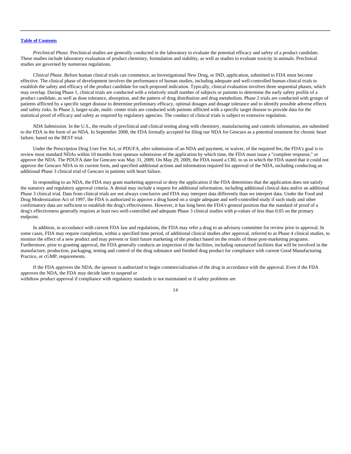*Preclinical Phase.* Preclinical studies are generally conducted in the laboratory to evaluate the potential efficacy and safety of a product candidate. These studies include laboratory evaluation of product chemistry, formulation and stability, as well as studies to evaluate toxicity in animals. Preclinical studies are governed by numerous regulations.

*Clinical Phase.* Before human clinical trials can commence, an Investigational New Drug, or IND, application, submitted to FDA must become effective. The clinical phase of development involves the performance of human studies, including adequate and well-controlled human clinical trials to establish the safety and efficacy of the product candidate for each proposed indication. Typically, clinical evaluation involves three sequential phases, which may overlap. During Phase 1, clinical trials are conducted with a relatively small number of subjects or patients to determine the early safety profile of a product candidate, as well as dose tolerance, absorption, and the pattern of drug distribution and drug metabolism. Phase 2 trials are conducted with groups of patients afflicted by a specific target disease to determine preliminary efficacy, optimal dosages and dosage tolerance and to identify possible adverse effects and safety risks. In Phase 3, larger-scale, multi- center trials are conducted with patients afflicted with a specific target disease to provide data for the statistical proof of efficacy and safety as required by regulatory agencies. The conduct of clinical trials is subject to extensive regulation.

*NDA Submission.* In the U.S., the results of preclinical and clinical testing along with chemistry, manufacturing and controls information, are submitted to the FDA in the form of an NDA. In September 2008, the FDA formally accepted for filing our NDA for Gencaro as a potential treatment for chronic heart failure, based on the BEST trial.

Under the Prescription Drug User Fee Act, or PDUFA, after submission of an NDA and payment, or waiver, of the required fee, the FDA's goal is to review most standard NDAs within 10 months from sponsor submission of the application by which time, the FDA must issue a "complete response," or approve the NDA. The PDUFA date for Gencaro was May 31, 2009. On May 29, 2009, the FDA issued a CRL to us in which the FDA stated that it could not approve the Gencaro NDA in its current form, and specified additional actions and information required for approval of the NDA, including conducting an additional Phase 3 clinical trial of Gencaro in patients with heart failure.

In responding to an NDA, the FDA may grant marketing approval or deny the application if the FDA determines that the application does not satisfy the statutory and regulatory approval criteria. A denial may include a request for additional information, including additional clinical data and/or an additional Phase 3 clinical trial. Data from clinical trials are not always conclusive and FDA may interpret data differently than we interpret data. Under the Food and Drug Modernization Act of 1997, the FDA is authorized to approve a drug based on a single adequate and well-controlled study if such study and other confirmatory data are sufficient to establish the drug's effectiveness. However, it has long been the FDA's general position that the standard of proof of a drug's effectiveness generally requires at least two well-controlled and adequate Phase 3 clinical studies with p-values of less than 0.05 on the primary endpoint.

In addition, in accordance with current FDA law and regulations, the FDA may refer a drug to an advisory committee for review prior to approval. In some cases, FDA may require completion, within a specified time period, of additional clinical studies after approval, referred to as Phase 4 clinical studies, to monitor the effect of a new product and may prevent or limit future marketing of the product based on the results of these post-marketing programs. Furthermore, prior to granting approval, the FDA generally conducts an inspection of the facilities, including outsourced facilities that will be involved in the manufacture, production, packaging, testing and control of the drug substance and finished drug product for compliance with current Good Manufacturing Practice, or cGMP, requirements.

If the FDA approves the NDA, the sponsor is authorized to begin commercialization of the drug in accordance with the approval. Even if the FDA approves the NDA, the FDA may decide later to suspend or

withdraw product approval if compliance with regulatory standards is not maintained or if safety problems are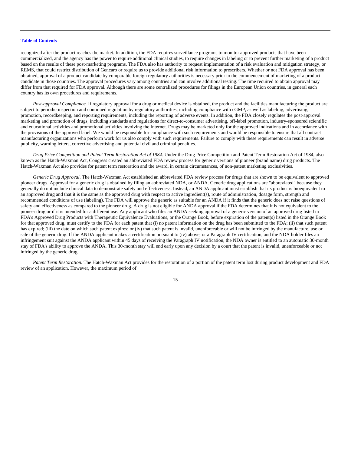recognized after the product reaches the market. In addition, the FDA requires surveillance programs to monitor approved products that have been commercialized, and the agency has the power to require additional clinical studies, to require changes in labeling or to prevent further marketing of a product based on the results of these post-marketing programs. The FDA also has authority to request implementation of a risk evaluation and mitigation strategy, or REMS, that could restrict distribution of Gencaro or require us to provide additional risk information to prescribers. Whether or not FDA approval has been obtained, approval of a product candidate by comparable foreign regulatory authorities is necessary prior to the commencement of marketing of a product candidate in those countries. The approval procedures vary among countries and can involve additional testing. The time required to obtain approval may differ from that required for FDA approval. Although there are some centralized procedures for filings in the European Union countries, in general each country has its own procedures and requirements.

*Post-approval Compliance.* If regulatory approval for a drug or medical device is obtained, the product and the facilities manufacturing the product are subject to periodic inspection and continued regulation by regulatory authorities, including compliance with cGMP, as well as labeling, advertising, promotion, recordkeeping, and reporting requirements, including the reporting of adverse events. In addition, the FDA closely regulates the post-approval marketing and promotion of drugs, including standards and regulations for direct-to-consumer advertising, off-label promotion, industry-sponsored scientific and educational activities and promotional activities involving the Internet. Drugs may be marketed only for the approved indications and in accordance with the provisions of the approved label. We would be responsible for compliance with such requirements and would be responsible to ensure that all contract manufacturing organizations who perform work for us also comply with such requirements. Failure to comply with these requirements can result in adverse publicity, warning letters, corrective advertising and potential civil and criminal penalties.

*Drug Price Competition and Patent Term Restoration Act of 1984.* Under the Drug Price Competition and Patent Term Restoration Act of 1984, also known as the Hatch-Waxman Act, Congress created an abbreviated FDA review process for generic versions of pioneer (brand name) drug products. The Hatch-Waxman Act also provides for patent term restoration and the award, in certain circumstances, of non-patent marketing exclusivities.

*Generic Drug Approval*. The Hatch-Waxman Act established an abbreviated FDA review process for drugs that are shown to be equivalent to approved pioneer drugs. Approval for a generic drug is obtained by filing an abbreviated NDA, or ANDA. Generic drug applications are "abbreviated" because they generally do not include clinical data to demonstrate safety and effectiveness. Instead, an ANDA applicant must establish that its product is bioequivalent to an approved drug and that it is the same as the approved drug with respect to active ingredient(s), route of administration, dosage form, strength and recommended conditions of use (labeling). The FDA will approve the generic as suitable for an ANDA if it finds that the generic does not raise questions of safety and effectiveness as compared to the pioneer drug. A drug is not eligible for ANDA approval if the FDA determines that it is not equivalent to the pioneer drug or if it is intended for a different use. Any applicant who files an ANDA seeking approval of a generic version of an approved drug listed in FDA's Approved Drug Products with Therapeutic Equivalence Evaluations, or the Orange Book, before expiration of the patent(s) listed in the Orange Book for that approved drug, must certify to the FDA for each patent that (i) no patent information on the drug has been submitted to the FDA; (ii) that such patent has expired; (iii) the date on which such patent expires; or (iv) that such patent is invalid, unenforceable or will not be infringed by the manufacture, use or sale of the generic drug. If the ANDA applicant makes a certification pursuant to (iv) above, or a Paragraph IV certification, and the NDA holder files an infringement suit against the ANDA applicant within 45 days of receiving the Paragraph IV notification, the NDA owner is entitled to an automatic 30-month stay of FDA's ability to approve the ANDA. This 30-month stay will end early upon any decision by a court that the patent is invalid, unenforceable or not infringed by the generic drug.

*Patent Term Restoration.* The Hatch-Waxman Act provides for the restoration of a portion of the patent term lost during product development and FDA review of an application. However, the maximum period of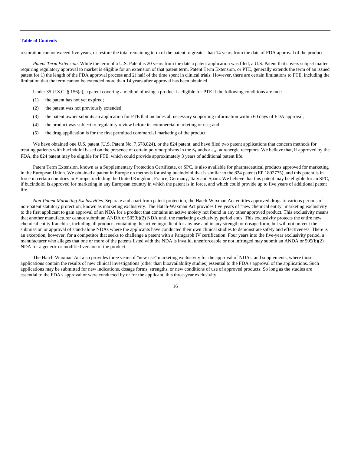restoration cannot exceed five years, or restore the total remaining term of the patent to greater than 14 years from the date of FDA approval of the product.

*Patent Term Extension*. While the term of a U.S. Patent is 20 years from the date a patent application was filed, a U.S. Patent that covers subject matter requiring regulatory approval to market is eligible for an extension of that patent term. Patent Term Extension, or PTE, generally extends the term of an issued patent for 1) the length of the FDA approval process and 2) half of the time spent in clinical trials. However, there are certain limitations to PTE, including the limitation that the term cannot be extended more than 14 years after approval has been obtained.

Under 35 U.S.C. § 156(a), a patent covering a method of using a product is eligible for PTE if the following conditions are met:

- (1) the patent has not yet expired;
- (2) the patent was not previously extended;
- (3) the patent owner submits an application for PTE that includes all necessary supporting information within 60 days of FDA approval;
- (4) the product was subject to regulatory review before its commercial marketing or use; and
- (5) the drug application is for the first permitted commercial marketing of the product.

We have obtained one U.S. patent (U.S. Patent No. 7,678,824), or the 824 patent, and have filed two patent applications that concern methods for treating patients with bucindolol based on the presence of certain polymorphisms in the  $B_1$  and/or  $a_{2C}$  adrenergic receptors. We believe that, if approved by the FDA, the 824 patent may be eligible for PTE, which could provide approximately 3 years of additional patent life.

Patent Term Extension, known as a Supplementary Protection Certificate, or SPC, is also available for pharmaceutical products approved for marketing in the European Union. We obtained a patent in Europe on methods for using bucindolol that is similar to the 824 patent (EP 1802775), and this patent is in force in certain countries in Europe, including the United Kingdom, France, Germany, Italy and Spain. We believe that this patent may be eligible for an SPC, if bucindolol is approved for marketing in any European country in which the patent is in force, and which could provide up to five years of additional patent life.

*Non-Patent Marketing Exclusivities.* Separate and apart from patent protection, the Hatch-Waxman Act entitles approved drugs to various periods of non-patent statutory protection, known as marketing exclusivity. The Hatch-Waxman Act provides five years of "new chemical entity" marketing exclusivity to the first applicant to gain approval of an NDA for a product that contains an active moiety not found in any other approved product. This exclusivity means that another manufacturer cannot submit an ANDA or 505(b)(2) NDA until the marketing exclusivity period ends. This exclusivity protects the entire new chemical entity franchise, including all products containing the active ingredient for any use and in any strength or dosage form, but will not prevent the submission or approval of stand-alone NDAs where the applicants have conducted their own clinical studies to demonstrate safety and effectiveness. There is an exception, however, for a competitor that seeks to challenge a patent with a Paragraph IV certification. Four years into the five-year exclusivity period, a manufacturer who alleges that one or more of the patents listed with the NDA is invalid, unenforceable or not infringed may submit an ANDA or 505(b)(2) NDA for a generic or modified version of the product.

The Hatch-Waxman Act also provides three years of "new use" marketing exclusivity for the approval of NDAs, and supplements, where those applications contain the results of new clinical investigations (other than bioavailability studies) essential to the FDA's approval of the applications. Such applications may be submitted for new indications, dosage forms, strengths, or new conditions of use of approved products. So long as the studies are essential to the FDA's approval or were conducted by or for the applicant, this three-year exclusivity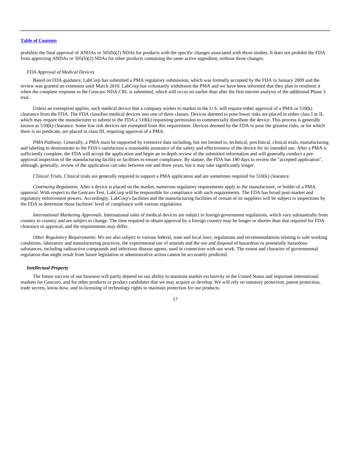prohibits the final approval of ANDAs or 505(b)(2) NDAs for products with the specific changes associated with those studies. It does not prohibit the FDA from approving ANDAs or 505(b)(2) NDAs for other products containing the same active ingredient, without those changes.

### *FDA Approval of Medical Devices*

Based on FDA guidance, LabCorp has submitted a PMA regulatory submission, which was formally accepted by the FDA in January 2009 and the review was granted an extension until March 2010. LabCorp has voluntarily withdrawn the PMA and we have been informed that they plan to resubmit it when the complete response to the Gencaro NDA CRL is submitted, which will occur no earlier than after the first interim analysis of the additional Phase 3 trial.

Unless an exemption applies, each medical device that a company wishes to market in the U.S. will require either approval of a PMA or 510(k) clearance from the FDA. The FDA classifies medical devices into one of three classes. Devices deemed to pose lower risks are placed in either class I or II, which may require the manufacturer to submit to the FDA a 510(k) requesting permission to commercially distribute the device. This process is generally known as 510(k) clearance. Some low risk devices are exempted from this requirement. Devices deemed by the FDA to pose the greatest risks, or for which there is no predicate, are placed in class III, requiring approval of a PMA.

*PMA Pathway*. Generally, a PMA must be supported by extensive data including, but not limited to, technical, preclinical, clinical trials, manufacturing and labeling to demonstrate to the FDA's satisfaction a reasonable assurance of the safety and effectiveness of the device for its intended use. After a PMA is sufficiently complete, the FDA will accept the application and begin an in-depth review of the submitted information and will generally conduct a preapproval inspection of the manufacturing facility or facilities to ensure compliance. By statute, the FDA has 180 days to review the "accepted application", although, generally, review of the application can take between one and three years, but it may take significantly longer.

*Clinical Trials.* Clinical trials are generally required to support a PMA application and are sometimes required for 510(k) clearance.

*Continuing Regulation.* After a device is placed on the market, numerous regulatory requirements apply to the manufacturer, or holder of a PMA approval. With respect to the Gencaro Test, LabCorp will be responsible for compliance with such requirements. The FDA has broad post-market and regulatory enforcement powers. Accordingly, LabCorp's facilities and the manufacturing facilities of certain of its suppliers will be subject to inspections by the FDA to determine those facilities' level of compliance with various regulations.

*International Marketing Approvals.* International sales of medical devices are subject to foreign government regulations, which vary substantially from country to country and are subject to change. The time required to obtain approval by a foreign country may be longer or shorter than that required for FDA clearance or approval, and the requirements may differ.

*Other Regulatory Requirements.* We are also subject to various federal, state and local laws, regulations and recommendations relating to safe working conditions, laboratory and manufacturing practices, the experimental use of animals and the use and disposal of hazardous or potentially hazardous substances, including radioactive compounds and infectious disease agents, used in connection with our work. The extent and character of governmental regulation that might result from future legislation or administrative action cannot be accurately predicted.

### *Intellectual Property*

The future success of our business will partly depend on our ability to maintain market exclusivity in the United States and important international markets for Gencaro, and for other products or product candidates that we may acquire or develop. We will rely on statutory protection, patent protection, trade secrets, know-how, and in-licensing of technology rights to maintain protection for our products.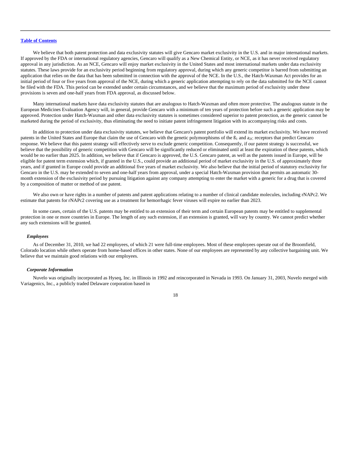We believe that both patent protection and data exclusivity statutes will give Gencaro market exclusivity in the U.S. and in major international markets. If approved by the FDA or international regulatory agencies, Gencaro will qualify as a New Chemical Entity, or NCE, as it has never received regulatory approval in any jurisdiction. As an NCE, Gencaro will enjoy market exclusivity in the United States and most international markets under data exclusivity statutes. These laws provide for an exclusivity period beginning from regulatory approval, during which any generic competitor is barred from submitting an application that relies on the data that has been submitted in connection with the approval of the NCE. In the U.S., the Hatch-Waxman Act provides for an initial period of four or five years from approval of the NCE, during which a generic application attempting to rely on the data submitted for the NCE cannot be filed with the FDA. This period can be extended under certain circumstances, and we believe that the maximum period of exclusivity under these provisions is seven and one-half years from FDA approval, as discussed below.

Many international markets have data exclusivity statutes that are analogous to Hatch-Waxman and often more protective. The analogous statute in the European Medicines Evaluation Agency will, in general, provide Gencaro with a minimum of ten years of protection before such a generic application may be approved. Protection under Hatch-Waxman and other data exclusivity statutes is sometimes considered superior to patent protection, as the generic cannot be marketed during the period of exclusivity, thus eliminating the need to initiate patent infringement litigation with its accompanying risks and costs.

In addition to protection under data exclusivity statutes, we believe that Gencaro's patent portfolio will extend its market exclusivity. We have received patents in the United States and Europe that claim the use of Gencaro with the genetic polymorphisms of the  $\beta_1$  and  $a_{2C}$  receptors that predict Gencaro response. We believe that this patent strategy will effectively serve to exclude generic competition. Consequently, if our patent strategy is successful, we believe that the possibility of generic competition with Gencaro will be significantly reduced or eliminated until at least the expiration of these patents, which would be no earlier than 2025. In addition, we believe that if Gencaro is approved, the U.S. Gencaro patent, as well as the patents issued in Europe, will be eligible for patent term extension which, if granted in the U.S., could provide an additional period of market exclusivity in the U.S. of approximately three years, and if granted in Europe could provide an additional five years of market exclusivity. We also believe that the initial period of statutory exclusivity for Gencaro in the U.S. may be extended to seven and one-half years from approval, under a special Hatch-Waxman provision that permits an automatic 30 month extension of the exclusivity period by pursuing litigation against any company attempting to enter the market with a generic for a drug that is covered by a composition of matter or method of use patent.

We also own or have rights in a number of patents and patent applications relating to a number of clinical candidate molecules, including rNAPc2. We estimate that patents for rNAPc2 covering use as a treatment for hemorrhagic fever viruses will expire no earlier than 2023.

In some cases, certain of the U.S. patents may be entitled to an extension of their term and certain European patents may be entitled to supplemental protection in one or more countries in Europe. The length of any such extension, if an extension is granted, will vary by country. We cannot predict whether any such extensions will be granted.

### *Employees*

As of December 31, 2010, we had 22 employees, of which 21 were full-time employees. Most of these employees operate out of the Broomfield, Colorado location while others operate from home-based offices in other states. None of our employees are represented by any collective bargaining unit. We believe that we maintain good relations with our employees.

### *Corporate Information*

Nuvelo was originally incorporated as Hyseq, Inc. in Illinois in 1992 and reincorporated in Nevada in 1993. On January 31, 2003, Nuvelo merged with Variagenics, Inc., a publicly traded Delaware corporation based in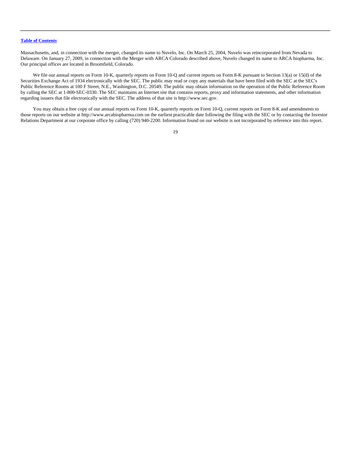Massachusetts, and, in connection with the merger, changed its name to Nuvelo, Inc. On March 25, 2004, Nuvelo was reincorporated from Nevada to Delaware. On January 27, 2009, in connection with the Merger with ARCA Colorado described above, Nuvelo changed its name to ARCA biopharma, Inc. Our principal offices are located in Broomfield, Colorado.

We file our annual reports on Form 10-K, quarterly reports on Form 10-Q and current reports on Form 8-K pursuant to Section 13(a) or 15(d) of the Securities Exchange Act of 1934 electronically with the SEC. The public may read or copy any materials that have been filed with the SEC at the SEC's Public Reference Rooms at 100 F Street, N.E., Washington, D.C. 20549. The public may obtain information on the operation of the Public Reference Room by calling the SEC at 1-800-SEC-0330. The SEC maintains an Internet site that contains reports, proxy and information statements, and other information regarding issuers that file electronically with the SEC. The address of that site is http://www.sec.gov.

You may obtain a free copy of our annual reports on Form 10-K, quarterly reports on Form 10-Q, current reports on Form 8-K and amendments to those reports on our website at http://www.arcabiopharma.com on the earliest practicable date following the filing with the SEC or by contacting the Investor Relations Department at our corporate office by calling (720) 940-2200. Information found on our website is not incorporated by reference into this report.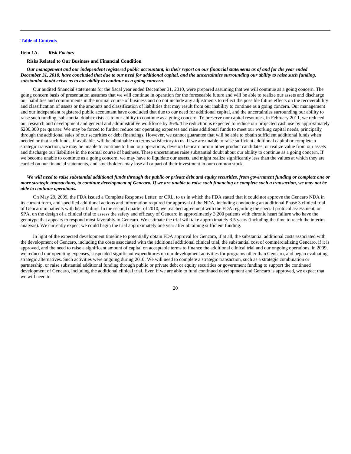#### <span id="page-20-0"></span>**Item 1A.** *Risk Factors*

### **Risks Related to Our Business and Financial Condition**

## *Our management and our independent registered public accountant, in their report on our financial statements as of and for the year ended December 31, 2010, have concluded that due to our need for additional capital, and the uncertainties surrounding our ability to raise such funding, substantial doubt exists as to our ability to continue as a going concern.*

Our audited financial statements for the fiscal year ended December 31, 2010, were prepared assuming that we will continue as a going concern. The going concern basis of presentation assumes that we will continue in operation for the foreseeable future and will be able to realize our assets and discharge our liabilities and commitments in the normal course of business and do not include any adjustments to reflect the possible future effects on the recoverability and classification of assets or the amounts and classification of liabilities that may result from our inability to continue as a going concern. Our management and our independent registered public accountant have concluded that due to our need for additional capital, and the uncertainties surrounding our ability to raise such funding, substantial doubt exists as to our ability to continue as a going concern. To preserve our capital resources, in February 2011, we reduced our research and development and general and administrative workforce by 36%. The reduction is expected to reduce our projected cash use by approximately \$200,000 per quarter. We may be forced to further reduce our operating expenses and raise additional funds to meet our working capital needs, principally through the additional sales of our securities or debt financings. However, we cannot guarantee that will be able to obtain sufficient additional funds when needed or that such funds, if available, will be obtainable on terms satisfactory to us. If we are unable to raise sufficient additional capital or complete a strategic transaction, we may be unable to continue to fund our operations, develop Gencaro or our other product candidates, or realize value from our assets and discharge our liabilities in the normal course of business. These uncertainties raise substantial doubt about our ability to continue as a going concern. If we become unable to continue as a going concern, we may have to liquidate our assets, and might realize significantly less than the values at which they are carried on our financial statements, and stockholders may lose all or part of their investment in our common stock.

## *We will need to raise substantial additional funds through the public or private debt and equity securities, from government funding or complete one or more strategic transactions, to continue development of Gencaro. If we are unable to raise such financing or complete such a transaction, we may not be able to continue operations.*

On May 29, 2009, the FDA issued a Complete Response Letter, or CRL, to us in which the FDA stated that it could not approve the Gencaro NDA in its current form, and specified additional actions and information required for approval of the NDA, including conducting an additional Phase 3 clinical trial of Gencaro in patients with heart failure. In the second quarter of 2010, we reached agreement with the FDA regarding the special protocol assessment, or SPA, on the design of a clinical trial to assess the safety and efficacy of Gencaro in approximately 3,200 patients with chronic heart failure who have the genotype that appears to respond most favorably to Gencaro. We estimate the trial will take approximately 3.5 years (including the time to reach the interim analysis). We currently expect we could begin the trial approximately one year after obtaining sufficient funding.

In light of the expected development timeline to potentially obtain FDA approval for Gencaro, if at all, the substantial additional costs associated with the development of Gencaro, including the costs associated with the additional additional clinical trial, the substantial cost of commercializing Gencaro, if it is approved, and the need to raise a significant amount of capital on acceptable terms to finance the additional clinical trial and our ongoing operations, in 2009, we reduced our operating expenses, suspended significant expenditures on our development activities for programs other than Gencaro, and began evaluating strategic alternatives. Such activities were ongoing during 2010. We will need to complete a strategic transaction, such as a strategic combination or partnership, or raise substantial additional funding through public or private debt or equity securities or government funding to support the continued development of Gencaro, including the additional clinical trial. Even if we are able to fund continued development and Gencaro is approved, we expect that we will need to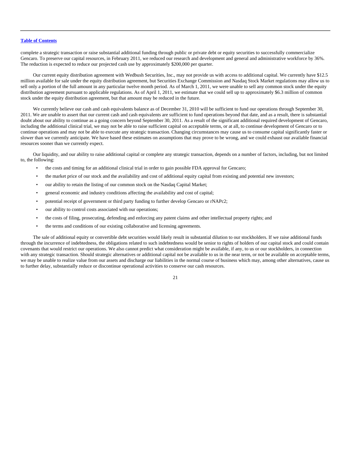complete a strategic transaction or raise substantial additional funding through public or private debt or equity securities to successfully commercialize Gencaro. To preserve our capital resources, in February 2011, we reduced our research and development and general and administrative workforce by 36%. The reduction is expected to reduce our projected cash use by approximately \$200,000 per quarter.

Our current equity distribution agreement with Wedbush Securities, Inc., may not provide us with access to additional capital. We currently have \$12.5 million available for sale under the equity distribution agreement, but Securities Exchange Commission and Nasdaq Stock Market regulations may allow us to sell only a portion of the full amount in any particular twelve month period. As of March 1, 2011, we were unable to sell any common stock under the equity distribution agreement pursuant to applicable regulations. As of April 1, 2011, we estimate that we could sell up to approximately \$6.3 million of common stock under the equity distribution agreement, but that amount may be reduced in the future.

We currently believe our cash and cash equivalents balance as of December 31, 2010 will be sufficient to fund our operations through September 30, 2011. We are unable to assert that our current cash and cash equivalents are sufficient to fund operations beyond that date, and as a result, there is substantial doubt about our ability to continue as a going concern beyond September 30, 2011. As a result of the significant additional required development of Gencaro, including the additional clinical trial, we may not be able to raise sufficient capital on acceptable terms, or at all, to continue development of Gencaro or to continue operations and may not be able to execute any strategic transaction. Changing circumstances may cause us to consume capital significantly faster or slower than we currently anticipate. We have based these estimates on assumptions that may prove to be wrong, and we could exhaust our available financial resources sooner than we currently expect.

Our liquidity, and our ability to raise additional capital or complete any strategic transaction, depends on a number of factors, including, but not limited to, the following:

- the costs and timing for an additional clinical trial in order to gain possible FDA approval for Gencaro;
- the market price of our stock and the availability and cost of additional equity capital from existing and potential new investors;
- our ability to retain the listing of our common stock on the Nasdaq Capital Market;
- general economic and industry conditions affecting the availability and cost of capital;
- potential receipt of government or third party funding to further develop Gencaro or rNAPc2;
- our ability to control costs associated with our operations;
- the costs of filing, prosecuting, defending and enforcing any patent claims and other intellectual property rights; and
- the terms and conditions of our existing collaborative and licensing agreements.

The sale of additional equity or convertible debt securities would likely result in substantial dilution to our stockholders. If we raise additional funds through the incurrence of indebtedness, the obligations related to such indebtedness would be senior to rights of holders of our capital stock and could contain covenants that would restrict our operations. We also cannot predict what consideration might be available, if any, to us or our stockholders, in connection with any strategic transaction. Should strategic alternatives or additional capital not be available to us in the near term, or not be available on acceptable terms, we may be unable to realize value from our assets and discharge our liabilities in the normal course of business which may, among other alternatives, cause us to further delay, substantially reduce or discontinue operational activities to conserve our cash resources.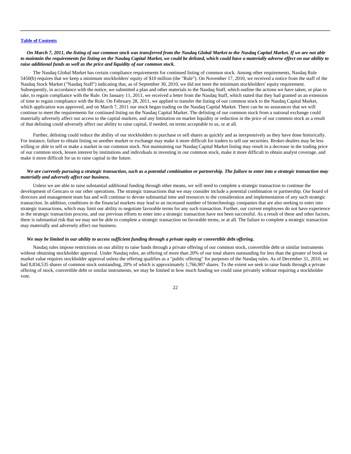## *On March 7, 2011, the listing of our common stock was transferred from the Nasdaq Global Market to the Nasdaq Capital Market. If we are not able to maintain the requirements for listing on the Nasdaq Capital Market, we could be delisted, which could have a materially adverse effect on our ability to raise additional funds as well as the price and liquidity of our common stock.*

The Nasdaq Global Market has certain compliance requirements for continued listing of common stock. Among other requirements, Nasdaq Rule 5450(b) requires that we keep a minimum stockholders' equity of \$10 million (the "Rule"). On November 17, 2010, we received a notice from the staff of the Nasdaq Stock Market ("Nasdaq Staff") indicating that, as of September 30, 2010, we did not meet the minimum stockholders' equity requirement. Subsequently, in accordance with the notice, we submitted a plan and other materials to the Nasdaq Staff, which outline the actions we have taken, or plan to take, to regain compliance with the Rule. On January 11, 2011, we received a letter from the Nasdaq Staff, which stated that they had granted us an extension of time to regain compliance with the Rule. On February 28, 2011, we applied to transfer the listing of our common stock to the Nasdaq Capital Market, which application was approved, and on March 7, 2011 our stock began trading on the Nasdaq Capital Market. There can be no assurances that we will continue to meet the requirements for continued listing on the Nasdaq Capital Market. The delisting of our common stock from a national exchange could materially adversely affect our access to the capital markets, and any limitation on market liquidity or reduction in the price of our common stock as a result of that delisting could adversely affect our ability to raise capital, if needed, on terms acceptable to us, or at all.

Further, delisting could reduce the ability of our stockholders to purchase or sell shares as quickly and as inexpensively as they have done historically. For instance, failure to obtain listing on another market or exchange may make it more difficult for traders to sell our securities. Broker-dealers may be less willing or able to sell or make a market in our common stock. Not maintaining our Nasdaq Capital Market listing may result in a decrease in the trading price of our common stock, lessen interest by institutions and individuals in investing in our common stock, make it more difficult to obtain analyst coverage, and make it more difficult for us to raise capital in the future.

## *We are currently pursuing a strategic transaction, such as a potential combination or partnership. The failure to enter into a strategic transaction may materially and adversely affect our business.*

Unless we are able to raise substantial additional funding through other means, we will need to complete a strategic transaction to continue the development of Gencaro or our other operations. The strategic transactions that we may consider include a potential combination or partnership. Our board of directors and management team has and will continue to devote substantial time and resources to the consideration and implementation of any such strategic transaction. In addition, conditions in the financial markets may lead to an increased number of biotechnology companies that are also seeking to enter into strategic transactions, which may limit our ability to negotiate favorable terms for any such transaction. Further, our current employees do not have experience in the strategic transaction process, and our previous efforts to enter into a strategic transaction have not been successful. As a result of these and other factors, there is substantial risk that we may not be able to complete a strategic transaction on favorable terms, or at all. The failure to complete a strategic transaction may materially and adversely affect our business.

## *We may be limited in our ability to access sufficient funding through a private equity or convertible debt offering.*

Nasdaq rules impose restrictions on our ability to raise funds through a private offering of our common stock, convertible debt or similar instruments without obtaining stockholder approval. Under Nasdaq rules, an offering of more than 20% of our total shares outstanding for less than the greater of book or market value requires stockholder approval unless the offering qualifies as a "public offering" for purposes of the Nasdaq rules. As of December 31, 2010, we had 8,834,535 shares of common stock outstanding, 20% of which is approximately 1,766,907 shares. To the extent we seek to raise funds through a private offering of stock, convertible debt or similar instruments, we may be limited in how much funding we could raise privately without requiring a stockholder vote.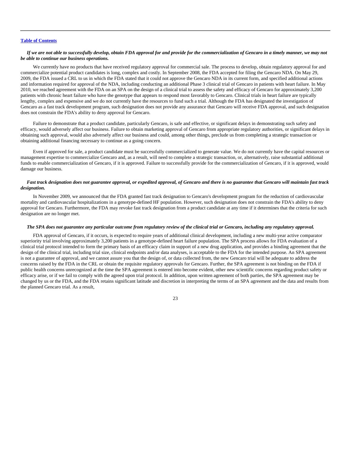## *If we are not able to successfully develop, obtain FDA approval for and provide for the commercialization of Gencaro in a timely manner, we may not be able to continue our business operations.*

We currently have no products that have received regulatory approval for commercial sale. The process to develop, obtain regulatory approval for and commercialize potential product candidates is long, complex and costly. In September 2008, the FDA accepted for filing the Gencaro NDA. On May 29, 2009, the FDA issued a CRL to us in which the FDA stated that it could not approve the Gencaro NDA in its current form, and specified additional actions and information required for approval of the NDA, including conducting an additional Phase 3 clinical trial of Gencaro in patients with heart failure. In May 2010, we reached agreement with the FDA on an SPA on the design of a clinical trial to assess the safety and efficacy of Gencaro for approximately 3,200 patients with chronic heart failure who have the genotype that appears to respond most favorably to Gencaro. Clinical trials in heart failure are typically lengthy, complex and expensive and we do not currently have the resources to fund such a trial. Although the FDA has designated the investigation of Gencaro as a fast track development program, such designation does not provide any assurance that Gencaro will receive FDA approval, and such designation does not constrain the FDA's ability to deny approval for Gencaro.

Failure to demonstrate that a product candidate, particularly Gencaro, is safe and effective, or significant delays in demonstrating such safety and efficacy, would adversely affect our business. Failure to obtain marketing approval of Gencaro from appropriate regulatory authorities, or significant delays in obtaining such approval, would also adversely affect our business and could, among other things, preclude us from completing a strategic transaction or obtaining additional financing necessary to continue as a going concern.

Even if approved for sale, a product candidate must be successfully commercialized to generate value. We do not currently have the capital resources or management expertise to commercialize Gencaro and, as a result, will need to complete a strategic transaction, or, alternatively, raise substantial additional funds to enable commercialization of Gencaro, if it is approved. Failure to successfully provide for the commercialization of Gencaro, if it is approved, would damage our business.

## *Fast track designation does not guarantee approval, or expedited approval, of Gencaro and there is no guarantee that Gencaro will maintain fast track designation.*

In November 2009, we announced that the FDA granted fast track designation to Gencaro's development program for the reduction of cardiovascular mortality and cardiovascular hospitalizations in a genotype-defined HF population. However, such designation does not constrain the FDA's ability to deny approval for Gencaro. Furthermore, the FDA may revoke fast track designation from a product candidate at any time if it determines that the criteria for such designation are no longer met.

### *The SPA does not guarantee any particular outcome from regulatory review of the clinical trial or Gencaro, including any regulatory approval.*

FDA approval of Gencaro, if it occurs, is expected to require years of additional clinical development, including a new multi-year active comparator superiority trial involving approximately 3,200 patients in a genotype-defined heart failure population. The SPA process allows for FDA evaluation of a clinical trial protocol intended to form the primary basis of an efficacy claim in support of a new drug application, and provides a binding agreement that the design of the clinical trial, including trial size, clinical endpoints and/or data analyses, is acceptable to the FDA for the intended purpose. An SPA agreement is not a guarantee of approval, and we cannot assure you that the design of, or data collected from, the new Gencaro trial will be adequate to address the concerns raised by the FDA in the CRL or obtain the requisite regulatory approvals for Gencaro. Further, the SPA agreement is not binding on the FDA if public health concerns unrecognized at the time the SPA agreement is entered into become evident, other new scientific concerns regarding product safety or efficacy arise, or if we fail to comply with the agreed upon trial protocol. In addition, upon written agreement of both parties, the SPA agreement may be changed by us or the FDA, and the FDA retains significant latitude and discretion in interpreting the terms of an SPA agreement and the data and results from the planned Gencaro trial. As a result,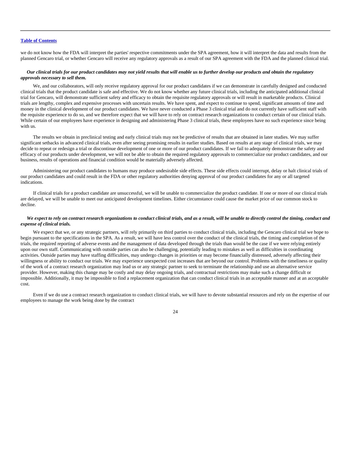we do not know how the FDA will interpret the parties' respective commitments under the SPA agreement, how it will interpret the data and results from the planned Gencaro trial, or whether Gencaro will receive any regulatory approvals as a result of our SPA agreement with the FDA and the planned clinical trial.

## *Our clinical trials for our product candidates may not yield results that will enable us to further develop our products and obtain the regulatory approvals necessary to sell them.*

We, and our collaborators, will only receive regulatory approval for our product candidates if we can demonstrate in carefully designed and conducted clinical trials that the product candidate is safe and effective. We do not know whether any future clinical trials, including the anticipated additional clinical trial for Gencaro, will demonstrate sufficient safety and efficacy to obtain the requisite regulatory approvals or will result in marketable products. Clinical trials are lengthy, complex and expensive processes with uncertain results. We have spent, and expect to continue to spend, significant amounts of time and money in the clinical development of our product candidates. We have never conducted a Phase 3 clinical trial and do not currently have sufficient staff with the requisite experience to do so, and we therefore expect that we will have to rely on contract research organizations to conduct certain of our clinical trials. While certain of our employees have experience in designing and administering Phase 3 clinical trials, these employees have no such experience since being with us.

The results we obtain in preclinical testing and early clinical trials may not be predictive of results that are obtained in later studies. We may suffer significant setbacks in advanced clinical trials, even after seeing promising results in earlier studies. Based on results at any stage of clinical trials, we may decide to repeat or redesign a trial or discontinue development of one or more of our product candidates. If we fail to adequately demonstrate the safety and efficacy of our products under development, we will not be able to obtain the required regulatory approvals to commercialize our product candidates, and our business, results of operations and financial condition would be materially adversely affected.

Administering our product candidates to humans may produce undesirable side effects. These side effects could interrupt, delay or halt clinical trials of our product candidates and could result in the FDA or other regulatory authorities denying approval of our product candidates for any or all targeted indications.

If clinical trials for a product candidate are unsuccessful, we will be unable to commercialize the product candidate. If one or more of our clinical trials are delayed, we will be unable to meet our anticipated development timelines. Either circumstance could cause the market price of our common stock to decline.

## *We expect to rely on contract research organizations to conduct clinical trials, and as a result, will be unable to directly control the timing, conduct and expense of clinical trials.*

We expect that we, or any strategic partners, will rely primarily on third parties to conduct clinical trials, including the Gencaro clinical trial we hope to begin pursuant to the specifications in the SPA. As a result, we will have less control over the conduct of the clinical trials, the timing and completion of the trials, the required reporting of adverse events and the management of data developed through the trials than would be the case if we were relying entirely upon our own staff. Communicating with outside parties can also be challenging, potentially leading to mistakes as well as difficulties in coordinating activities. Outside parties may have staffing difficulties, may undergo changes in priorities or may become financially distressed, adversely affecting their willingness or ability to conduct our trials. We may experience unexpected cost increases that are beyond our control. Problems with the timeliness or quality of the work of a contract research organization may lead us or any strategic partner to seek to terminate the relationship and use an alternative service provider. However, making this change may be costly and may delay ongoing trials, and contractual restrictions may make such a change difficult or impossible. Additionally, it may be impossible to find a replacement organization that can conduct clinical trials in an acceptable manner and at an acceptable cost.

Even if we do use a contract research organization to conduct clinical trials, we will have to devote substantial resources and rely on the expertise of our employees to manage the work being done by the contract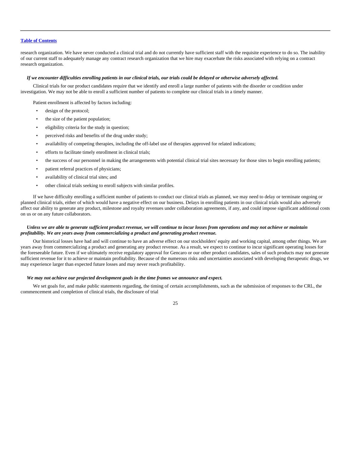research organization. We have never conducted a clinical trial and do not currently have sufficient staff with the requisite experience to do so. The inability of our current staff to adequately manage any contract research organization that we hire may exacerbate the risks associated with relying on a contract research organization.

### *If we encounter difficulties enrolling patients in our clinical trials, our trials could be delayed or otherwise adversely affected.*

Clinical trials for our product candidates require that we identify and enroll a large number of patients with the disorder or condition under investigation. We may not be able to enroll a sufficient number of patients to complete our clinical trials in a timely manner.

Patient enrollment is affected by factors including:

- design of the protocol;
- the size of the patient population;
- eligibility criteria for the study in question;
- perceived risks and benefits of the drug under study;
- availability of competing therapies, including the off-label use of therapies approved for related indications;
- efforts to facilitate timely enrollment in clinical trials;
- the success of our personnel in making the arrangements with potential clinical trial sites necessary for those sites to begin enrolling patients;
- patient referral practices of physicians;
- availability of clinical trial sites; and
- other clinical trials seeking to enroll subjects with similar profiles.

If we have difficulty enrolling a sufficient number of patients to conduct our clinical trials as planned, we may need to delay or terminate ongoing or planned clinical trials, either of which would have a negative effect on our business. Delays in enrolling patients in our clinical trials would also adversely affect our ability to generate any product, milestone and royalty revenues under collaboration agreements, if any, and could impose significant additional costs on us or on any future collaborators.

### *Unless we are able to generate sufficient product revenue, we will continue to incur losses from operations and may not achieve or maintain profitability. We are years away from commercializing a product and generating product revenue.*

Our historical losses have had and will continue to have an adverse effect on our stockholders' equity and working capital, among other things. We are years away from commercializing a product and generating any product revenue. As a result, we expect to continue to incur significant operating losses for the foreseeable future. Even if we ultimately receive regulatory approval for Gencaro or our other product candidates, sales of such products may not generate sufficient revenue for it to achieve or maintain profitability. Because of the numerous risks and uncertainties associated with developing therapeutic drugs, we may experience larger than expected future losses and may never reach profitability.

### *We may not achieve our projected development goals in the time frames we announce and expect.*

We set goals for, and make public statements regarding, the timing of certain accomplishments, such as the submission of responses to the CRL, the commencement and completion of clinical trials, the disclosure of trial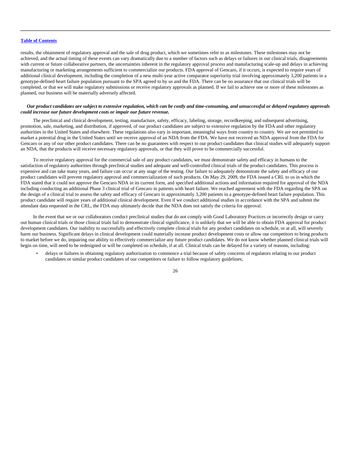results, the obtainment of regulatory approval and the sale of drug product, which we sometimes refer to as milestones. These milestones may not be achieved, and the actual timing of these events can vary dramatically due to a number of factors such as delays or failures in our clinical trials, disagreements with current or future collaborative partners, the uncertainties inherent in the regulatory approval process and manufacturing scale-up and delays in achieving manufacturing or marketing arrangements sufficient to commercialize our products. FDA approval of Gencaro, if it occurs, is expected to require years of additional clinical development, including the completion of a new multi-year active comparator superiority trial involving approximately 3,200 patients in a genotype-defined heart failure population pursuant to the SPA agreed to by us and the FDA. There can be no assurance that our clinical trials will be completed, or that we will make regulatory submissions or receive regulatory approvals as planned. If we fail to achieve one or more of these milestones as planned, our business will be materially adversely affected.

### *Our product candidates are subject to extensive regulation, which can be costly and time-consuming, and unsuccessful or delayed regulatory approvals could increase our future development costs or impair our future revenue.*

The preclinical and clinical development, testing, manufacture, safety, efficacy, labeling, storage, recordkeeping, and subsequent advertising, promotion, sale, marketing, and distribution, if approved, of our product candidates are subject to extensive regulation by the FDA and other regulatory authorities in the United States and elsewhere. These regulations also vary in important, meaningful ways from country to country. We are not permitted to market a potential drug in the United States until we receive approval of an NDA from the FDA. We have not received an NDA approval from the FDA for Gencaro or any of our other product candidates. There can be no guarantees with respect to our product candidates that clinical studies will adequately support an NDA, that the products will receive necessary regulatory approvals, or that they will prove to be commercially successful.

To receive regulatory approval for the commercial sale of any product candidates, we must demonstrate safety and efficacy in humans to the satisfaction of regulatory authorities through preclinical studies and adequate and well-controlled clinical trials of the product candidates. This process is expensive and can take many years, and failure can occur at any stage of the testing. Our failure to adequately demonstrate the safety and efficacy of our product candidates will prevent regulatory approval and commercialization of such products. On May 29, 2009, the FDA issued a CRL to us in which the FDA stated that it could not approve the Gencaro NDA in its current form, and specified additional actions and information required for approval of the NDA including conducting an additional Phase 3 clinical trial of Gencaro in patients with heart failure. We reached agreement with the FDA regarding the SPA on the design of a clinical trial to assess the safety and efficacy of Gencaro in approximately 3,200 patients in a genotype-defined heart failure population. This product candidate will require years of additional clinical development. Even if we conduct additional studies in accordance with the SPA and submit the attendant data requested in the CRL, the FDA may ultimately decide that the NDA does not satisfy the criteria for approval.

In the event that we or our collaborators conduct preclinical studies that do not comply with Good Laboratory Practices or incorrectly design or carry out human clinical trials or those clinical trials fail to demonstrate clinical significance, it is unlikely that we will be able to obtain FDA approval for product development candidates. Our inability to successfully and effectively complete clinical trials for any product candidates on schedule, or at all, will severely harm our business. Significant delays in clinical development could materially increase product development costs or allow our competitors to bring products to market before we do, impairing our ability to effectively commercialize any future product candidates. We do not know whether planned clinical trials will begin on time, will need to be redesigned or will be completed on schedule, if at all. Clinical trials can be delayed for a variety of reasons, including:

• delays or failures in obtaining regulatory authorization to commence a trial because of safety concerns of regulators relating to our product candidates or similar product candidates of our competitors or failure to follow regulatory guidelines;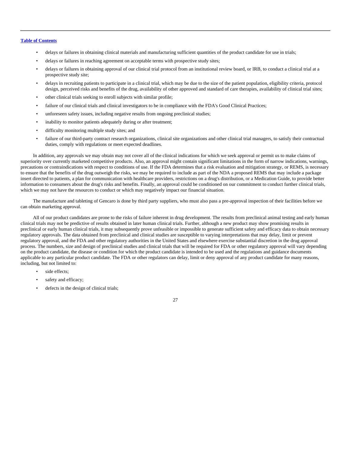- delays or failures in obtaining clinical materials and manufacturing sufficient quantities of the product candidate for use in trials;
- delays or failures in reaching agreement on acceptable terms with prospective study sites;
- delays or failures in obtaining approval of our clinical trial protocol from an institutional review board, or IRB, to conduct a clinical trial at a prospective study site;
- delays in recruiting patients to participate in a clinical trial, which may be due to the size of the patient population, eligibility criteria, protocol design, perceived risks and benefits of the drug, availability of other approved and standard of care therapies, availability of clinical trial sites;
- other clinical trials seeking to enroll subjects with similar profile;
- failure of our clinical trials and clinical investigators to be in compliance with the FDA's Good Clinical Practices;
- unforeseen safety issues, including negative results from ongoing preclinical studies;
- inability to monitor patients adequately during or after treatment;
- difficulty monitoring multiple study sites; and
- failure of our third-party contract research organizations, clinical site organizations and other clinical trial managers, to satisfy their contractual duties, comply with regulations or meet expected deadlines.

In addition, any approvals we may obtain may not cover all of the clinical indications for which we seek approval or permit us to make claims of superiority over currently marketed competitive products. Also, an approval might contain significant limitations in the form of narrow indications, warnings, precautions or contraindications with respect to conditions of use. If the FDA determines that a risk evaluation and mitigation strategy, or REMS, is necessary to ensure that the benefits of the drug outweigh the risks, we may be required to include as part of the NDA a proposed REMS that may include a package insert directed to patients, a plan for communication with healthcare providers, restrictions on a drug's distribution, or a Medication Guide, to provide better information to consumers about the drug's risks and benefits. Finally, an approval could be conditioned on our commitment to conduct further clinical trials, which we may not have the resources to conduct or which may negatively impact our financial situation.

The manufacture and tableting of Gencaro is done by third party suppliers, who must also pass a pre-approval inspection of their facilities before we can obtain marketing approval.

All of our product candidates are prone to the risks of failure inherent in drug development. The results from preclinical animal testing and early human clinical trials may not be predictive of results obtained in later human clinical trials. Further, although a new product may show promising results in preclinical or early human clinical trials, it may subsequently prove unfeasible or impossible to generate sufficient safety and efficacy data to obtain necessary regulatory approvals. The data obtained from preclinical and clinical studies are susceptible to varying interpretations that may delay, limit or prevent regulatory approval, and the FDA and other regulatory authorities in the United States and elsewhere exercise substantial discretion in the drug approval process. The numbers, size and design of preclinical studies and clinical trials that will be required for FDA or other regulatory approval will vary depending on the product candidate, the disease or condition for which the product candidate is intended to be used and the regulations and guidance documents applicable to any particular product candidate. The FDA or other regulators can delay, limit or deny approval of any product candidate for many reasons, including, but not limited to:

- side effects:
- safety and efficacy;
- defects in the design of clinical trials;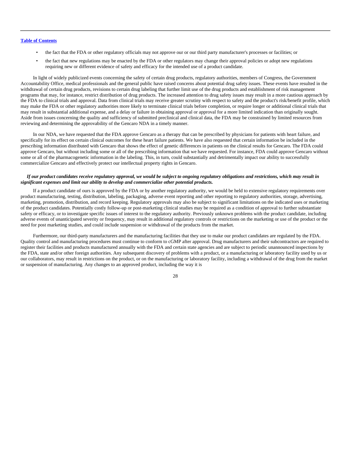- the fact that the FDA or other regulatory officials may not approve our or our third party manufacturer's processes or facilities; or
- the fact that new regulations may be enacted by the FDA or other regulators may change their approval policies or adopt new regulations requiring new or different evidence of safety and efficacy for the intended use of a product candidate.

In light of widely publicized events concerning the safety of certain drug products, regulatory authorities, members of Congress, the Government Accountability Office, medical professionals and the general public have raised concerns about potential drug safety issues. These events have resulted in the withdrawal of certain drug products, revisions to certain drug labeling that further limit use of the drug products and establishment of risk management programs that may, for instance, restrict distribution of drug products. The increased attention to drug safety issues may result in a more cautious approach by the FDA to clinical trials and approval. Data from clinical trials may receive greater scrutiny with respect to safety and the product's risk/benefit profile, which may make the FDA or other regulatory authorities more likely to terminate clinical trials before completion, or require longer or additional clinical trials that may result in substantial additional expense, and a delay or failure in obtaining approval or approval for a more limited indication than originally sought. Aside from issues concerning the quality and sufficiency of submitted preclinical and clinical data, the FDA may be constrained by limited resources from reviewing and determining the approvability of the Gencaro NDA in a timely manner.

In our NDA, we have requested that the FDA approve Gencaro as a therapy that can be prescribed by physicians for patients with heart failure, and specifically for its effect on certain clinical outcomes for these heart failure patients. We have also requested that certain information be included in the prescribing information distributed with Gencaro that shows the effect of genetic differences in patients on the clinical results for Gencaro. The FDA could approve Gencaro, but without including some or all of the prescribing information that we have requested. For instance, FDA could approve Gencaro without some or all of the pharmacogenetic information in the labeling. This, in turn, could substantially and detrimentally impact our ability to successfully commercialize Gencaro and effectively protect our intellectual property rights in Gencaro.

### *If our product candidates receive regulatory approval, we would be subject to ongoing regulatory obligations and restrictions, which may result in significant expenses and limit our ability to develop and commercialize other potential products.*

If a product candidate of ours is approved by the FDA or by another regulatory authority, we would be held to extensive regulatory requirements over product manufacturing, testing, distribution, labeling, packaging, adverse event reporting and other reporting to regulatory authorities, storage, advertising, marketing, promotion, distribution, and record keeping. Regulatory approvals may also be subject to significant limitations on the indicated uses or marketing of the product candidates. Potentially costly follow-up or post-marketing clinical studies may be required as a condition of approval to further substantiate safety or efficacy, or to investigate specific issues of interest to the regulatory authority. Previously unknown problems with the product candidate, including adverse events of unanticipated severity or frequency, may result in additional regulatory controls or restrictions on the marketing or use of the product or the need for post marketing studies, and could include suspension or withdrawal of the products from the market.

Furthermore, our third-party manufacturers and the manufacturing facilities that they use to make our product candidates are regulated by the FDA. Quality control and manufacturing procedures must continue to conform to cGMP after approval. Drug manufacturers and their subcontractors are required to register their facilities and products manufactured annually with the FDA and certain state agencies and are subject to periodic unannounced inspections by the FDA, state and/or other foreign authorities. Any subsequent discovery of problems with a product, or a manufacturing or laboratory facility used by us or our collaborators, may result in restrictions on the product, or on the manufacturing or laboratory facility, including a withdrawal of the drug from the market or suspension of manufacturing. Any changes to an approved product, including the way it is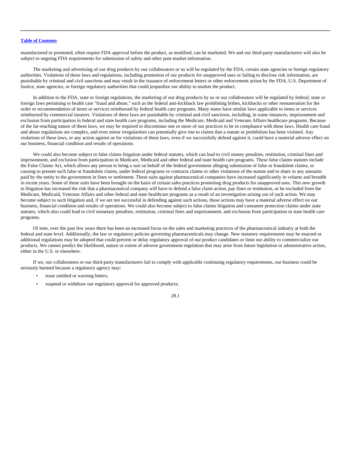manufactured or promoted, often require FDA approval before the product, as modified, can be marketed. We and our third-party manufacturers will also be subject to ongoing FDA requirements for submission of safety and other post-market information.

The marketing and advertising of our drug products by our collaborators or us will be regulated by the FDA, certain state agencies or foreign regulatory authorities. Violations of these laws and regulations, including promotion of our products for unapproved uses or failing to disclose risk information, are punishable by criminal and civil sanctions and may result in the issuance of enforcement letters or other enforcement action by the FDA, U.S. Department of Justice, state agencies, or foreign regulatory authorities that could jeopardize our ability to market the product.

In addition to the FDA, state or foreign regulations, the marketing of our drug products by us or our collaborators will be regulated by federal, state or foreign laws pertaining to health care "fraud and abuse," such as the federal anti-kickback law prohibiting bribes, kickbacks or other remuneration for the order or recommendation of items or services reimbursed by federal health care programs. Many states have similar laws applicable to items or services reimbursed by commercial insurers. Violations of these laws are punishable by criminal and civil sanctions, including, in some instances, imprisonment and exclusion from participation in federal and state health care programs, including the Medicare, Medicaid and Veterans Affairs healthcare programs. Because of the far-reaching nature of these laws, we may be required to discontinue one or more of our practices to be in compliance with these laws. Health care fraud and abuse regulations are complex, and even minor irregularities can potentially give rise to claims that a statute or prohibition has been violated. Any violations of these laws, or any action against us for violations of these laws, even if we successfully defend against it, could have a material adverse effect on our business, financial condition and results of operations.

We could also become subject to false claims litigation under federal statutes, which can lead to civil money penalties, restitution, criminal fines and imprisonment, and exclusion from participation in Medicare, Medicaid and other federal and state health care programs. These false claims statutes include the False Claims Act, which allows any person to bring a suit on behalf of the federal government alleging submission of false or fraudulent claims, or causing to present such false or fraudulent claims, under federal programs or contracts claims or other violations of the statute and to share in any amounts paid by the entity to the government in fines or settlement. These suits against pharmaceutical companies have increased significantly in volume and breadth in recent years. Some of these suits have been brought on the basis of certain sales practices promoting drug products for unapproved uses. This new growth in litigation has increased the risk that a pharmaceutical company will have to defend a false claim action, pay fines or restitution, or be excluded from the Medicare, Medicaid, Veterans Affairs and other federal and state healthcare programs as a result of an investigation arising out of such action. We may become subject to such litigation and, if we are not successful in defending against such actions, those actions may have a material adverse effect on our business, financial condition and results of operations. We could also become subject to false claims litigation and consumer protection claims under state statutes, which also could lead to civil monetary penalties, restitution, criminal fines and imprisonment, and exclusion from participation in state health care programs.

Of note, over the past few years there has been an increased focus on the sales and marketing practices of the pharmaceutical industry at both the federal and state level. Additionally, the law or regulatory policies governing pharmaceuticals may change. New statutory requirements may be enacted or additional regulations may be adopted that could prevent or delay regulatory approval of our product candidates or limit our ability to commercialize our products. We cannot predict the likelihood, nature or extent of adverse government regulation that may arise from future legislation or administrative action, either in the U.S. or elsewhere.

If we, our collaborators or our third-party manufacturers fail to comply with applicable continuing regulatory requirements, our business could be seriously harmed because a regulatory agency may:

- issue untitled or warning letters;
- suspend or withdraw our regulatory approval for approved products;

28.1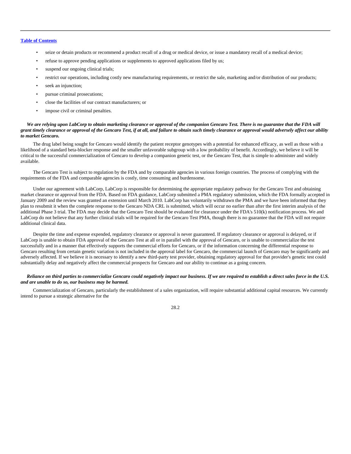- seize or detain products or recommend a product recall of a drug or medical device, or issue a mandatory recall of a medical device;
- refuse to approve pending applications or supplements to approved applications filed by us;
- suspend our ongoing clinical trials;
- restrict our operations, including costly new manufacturing requirements, or restrict the sale, marketing and/or distribution of our products;
- seek an injunction;
- pursue criminal prosecutions;
- close the facilities of our contract manufacturers; or
- impose civil or criminal penalties.

## *We are relying upon LabCorp to obtain marketing clearance or approval of the companion Gencaro Test. There is no guarantee that the FDA will grant timely clearance or approval of the Gencaro Test, if at all, and failure to obtain such timely clearance or approval would adversely affect our ability to market Gencaro.*

The drug label being sought for Gencaro would identify the patient receptor genotypes with a potential for enhanced efficacy, as well as those with a likelihood of a standard beta-blocker response and the smaller unfavorable subgroup with a low probability of benefit. Accordingly, we believe it will be critical to the successful commercialization of Gencaro to develop a companion genetic test, or the Gencaro Test, that is simple to administer and widely available.

The Gencaro Test is subject to regulation by the FDA and by comparable agencies in various foreign countries. The process of complying with the requirements of the FDA and comparable agencies is costly, time consuming and burdensome.

Under our agreement with LabCorp, LabCorp is responsible for determining the appropriate regulatory pathway for the Gencaro Test and obtaining market clearance or approval from the FDA. Based on FDA guidance, LabCorp submitted a PMA regulatory submission, which the FDA formally accepted in January 2009 and the review was granted an extension until March 2010. LabCorp has voluntarily withdrawn the PMA and we have been informed that they plan to resubmit it when the complete response to the Gencaro NDA CRL is submitted, which will occur no earlier than after the first interim analysis of the additional Phase 3 trial. The FDA may decide that the Gencaro Test should be evaluated for clearance under the FDA's 510(k) notification process. We and LabCorp do not believe that any further clinical trials will be required for the Gencaro Test PMA, though there is no guarantee that the FDA will not require additional clinical data.

Despite the time and expense expended, regulatory clearance or approval is never guaranteed. If regulatory clearance or approval is delayed, or if LabCorp is unable to obtain FDA approval of the Gencaro Test at all or in parallel with the approval of Gencaro, or is unable to commercialize the test successfully and in a manner that effectively supports the commercial efforts for Gencaro, or if the information concerning the differential response to Gencaro resulting from certain genetic variation is not included in the approval label for Gencaro, the commercial launch of Gencaro may be significantly and adversely affected. If we believe it is necessary to identify a new third-party test provider, obtaining regulatory approval for that provider's genetic test could substantially delay and negatively affect the commercial prospects for Gencaro and our ability to continue as a going concern.

### *Reliance on third parties to commercialize Gencaro could negatively impact our business. If we are required to establish a direct sales force in the U.S. and are unable to do so, our business may be harmed.*

Commercialization of Gencaro, particularly the establishment of a sales organization, will require substantial additional capital resources. We currently intend to pursue a strategic alternative for the

28.2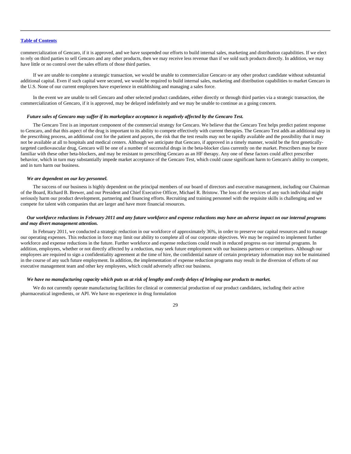commercialization of Gencaro, if it is approved, and we have suspended our efforts to build internal sales, marketing and distribution capabilities. If we elect to rely on third parties to sell Gencaro and any other products, then we may receive less revenue than if we sold such products directly. In addition, we may have little or no control over the sales efforts of those third parties.

If we are unable to complete a strategic transaction, we would be unable to commercialize Gencaro or any other product candidate without substantial additional capital. Even if such capital were secured, we would be required to build internal sales, marketing and distribution capabilities to market Gencaro in the U.S. None of our current employees have experience in establishing and managing a sales force.

In the event we are unable to sell Gencaro and other selected product candidates, either directly or through third parties via a strategic transaction, the commercialization of Gencaro, if it is approved, may be delayed indefinitely and we may be unable to continue as a going concern.

## *Future sales of Gencaro may suffer if its marketplace acceptance is negatively affected by the Gencaro Test.*

The Gencaro Test is an important component of the commercial strategy for Gencaro. We believe that the Gencaro Test helps predict patient response to Gencaro, and that this aspect of the drug is important to its ability to compete effectively with current therapies. The Gencaro Test adds an additional step in the prescribing process, an additional cost for the patient and payors, the risk that the test results may not be rapidly available and the possibility that it may not be available at all to hospitals and medical centers. Although we anticipate that Gencaro, if approved in a timely manner, would be the first geneticallytargeted cardiovascular drug, Gencaro will be one of a number of successful drugs in the beta-blocker class currently on the market. Prescribers may be more familiar with these other beta-blockers, and may be resistant to prescribing Gencaro as an HF therapy. Any one of these factors could affect prescriber behavior, which in turn may substantially impede market acceptance of the Gencaro Test, which could cause significant harm to Gencaro's ability to compete, and in turn harm our business.

### *We are dependent on our key personnel.*

The success of our business is highly dependent on the principal members of our board of directors and executive management, including our Chairman of the Board, Richard B. Brewer, and our President and Chief Executive Officer, Michael R. Bristow. The loss of the services of any such individual might seriously harm our product development, partnering and financing efforts. Recruiting and training personnel with the requisite skills is challenging and we compete for talent with companies that are larger and have more financial resources.

## *Our workforce reductions in February 2011 and any future workforce and expense reductions may have an adverse impact on our internal programs and may divert management attention.*

In February 2011, we conducted a strategic reduction in our workforce of approximately 36%, in order to preserve our capital resources and to manage our operating expenses. This reduction in force may limit our ability to complete all of our corporate objectives. We may be required to implement further workforce and expense reductions in the future. Further workforce and expense reductions could result in reduced progress on our internal programs. In addition, employees, whether or not directly affected by a reduction, may seek future employment with our business partners or competitors. Although our employees are required to sign a confidentiality agreement at the time of hire, the confidential nature of certain proprietary information may not be maintained in the course of any such future employment. In addition, the implementation of expense reduction programs may result in the diversion of efforts of our executive management team and other key employees, which could adversely affect our business.

### *We have no manufacturing capacity which puts us at risk of lengthy and costly delays of bringing our products to market.*

We do not currently operate manufacturing facilities for clinical or commercial production of our product candidates, including their active pharmaceutical ingredients, or API. We have no experience in drug formulation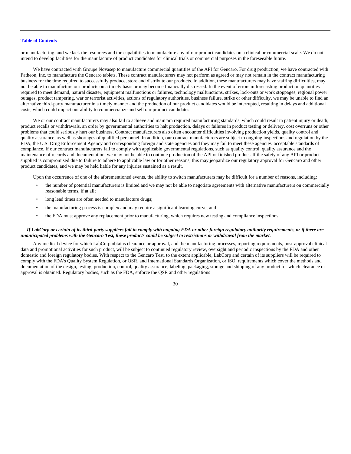or manufacturing, and we lack the resources and the capabilities to manufacture any of our product candidates on a clinical or commercial scale. We do not intend to develop facilities for the manufacture of product candidates for clinical trials or commercial purposes in the foreseeable future.

We have contracted with Groupe Novasep to manufacture commercial quantities of the API for Gencaro. For drug production, we have contracted with Patheon, Inc. to manufacture the Gencaro tablets. These contract manufacturers may not perform as agreed or may not remain in the contract manufacturing business for the time required to successfully produce, store and distribute our products. In addition, these manufacturers may have staffing difficulties, may not be able to manufacture our products on a timely basis or may become financially distressed. In the event of errors in forecasting production quantities required to meet demand, natural disaster, equipment malfunctions or failures, technology malfunctions, strikes, lock-outs or work stoppages, regional power outages, product tampering, war or terrorist activities, actions of regulatory authorities, business failure, strike or other difficulty, we may be unable to find an alternative third-party manufacturer in a timely manner and the production of our product candidates would be interrupted, resulting in delays and additional costs, which could impact our ability to commercialize and sell our product candidates.

We or our contract manufacturers may also fail to achieve and maintain required manufacturing standards, which could result in patient injury or death, product recalls or withdrawals, an order by governmental authorities to halt production, delays or failures in product testing or delivery, cost overruns or other problems that could seriously hurt our business. Contract manufacturers also often encounter difficulties involving production yields, quality control and quality assurance, as well as shortages of qualified personnel. In addition, our contract manufacturers are subject to ongoing inspections and regulation by the FDA, the U.S. Drug Enforcement Agency and corresponding foreign and state agencies and they may fail to meet these agencies' acceptable standards of compliance. If our contract manufacturers fail to comply with applicable governmental regulations, such as quality control, quality assurance and the maintenance of records and documentation, we may not be able to continue production of the API or finished product. If the safety of any API or product supplied is compromised due to failure to adhere to applicable law or for other reasons, this may jeopardize our regulatory approval for Gencaro and other product candidates, and we may be held liable for any injuries sustained as a result.

Upon the occurrence of one of the aforementioned events, the ability to switch manufacturers may be difficult for a number of reasons, including:

- the number of potential manufacturers is limited and we may not be able to negotiate agreements with alternative manufacturers on commercially reasonable terms, if at all;
- long lead times are often needed to manufacture drugs;
- the manufacturing process is complex and may require a significant learning curve; and
- the FDA must approve any replacement prior to manufacturing, which requires new testing and compliance inspections.

## *If LabCorp or certain of its third-party suppliers fail to comply with ongoing FDA or other foreign regulatory authority requirements, or if there are unanticipated problems with the Gencaro Test, these products could be subject to restrictions or withdrawal from the market.*

Any medical device for which LabCorp obtains clearance or approval, and the manufacturing processes, reporting requirements, post-approval clinical data and promotional activities for such product, will be subject to continued regulatory review, oversight and periodic inspections by the FDA and other domestic and foreign regulatory bodies. With respect to the Gencaro Test, to the extent applicable, LabCorp and certain of its suppliers will be required to comply with the FDA's Quality System Regulation, or QSR, and International Standards Organization, or ISO, requirements which cover the methods and documentation of the design, testing, production, control, quality assurance, labeling, packaging, storage and shipping of any product for which clearance or approval is obtained. Regulatory bodies, such as the FDA, enforce the QSR and other regulations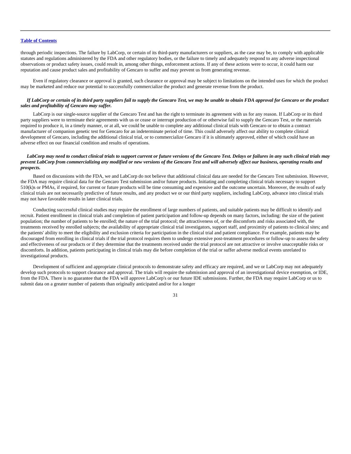through periodic inspections. The failure by LabCorp, or certain of its third-party manufacturers or suppliers, as the case may be, to comply with applicable statutes and regulations administered by the FDA and other regulatory bodies, or the failure to timely and adequately respond to any adverse inspectional observations or product safety issues, could result in, among other things, enforcement actions. If any of these actions were to occur, it could harm our reputation and cause product sales and profitability of Gencaro to suffer and may prevent us from generating revenue.

Even if regulatory clearance or approval is granted, such clearance or approval may be subject to limitations on the intended uses for which the product may be marketed and reduce our potential to successfully commercialize the product and generate revenue from the product.

## *If LabCorp or certain of its third party suppliers fail to supply the Gencaro Test, we may be unable to obtain FDA approval for Gencaro or the product sales and profitability of Gencaro may suffer.*

LabCorp is our single-source supplier of the Gencaro Test and has the right to terminate its agreement with us for any reason. If LabCorp or its third party suppliers were to terminate their agreements with us or cease or interrupt production of or otherwise fail to supply the Gencaro Test, or the materials required to produce it, in a timely manner, or at all, we could be unable to complete any additional clinical trials with Gencaro or to obtain a contract manufacturer of companion genetic test for Gencaro for an indeterminate period of time. This could adversely affect our ability to complete clinical development of Gencaro, including the additional clinical trial, or to commercialize Gencaro if it is ultimately approved, either of which could have an adverse effect on our financial condition and results of operations.

## *LabCorp may need to conduct clinical trials to support current or future versions of the Gencaro Test. Delays or failures in any such clinical trials may prevent LabCorp from commercializing any modified or new versions of the Gencaro Test and will adversely affect our business, operating results and prospects.*

Based on discussions with the FDA, we and LabCorp do not believe that additional clinical data are needed for the Gencaro Test submission. However, the FDA may require clinical data for the Gencaro Test submission and/or future products. Initiating and completing clinical trials necessary to support 510(k)s or PMAs, if required, for current or future products will be time consuming and expensive and the outcome uncertain. Moreover, the results of early clinical trials are not necessarily predictive of future results, and any product we or our third party suppliers, including LabCorp, advance into clinical trials may not have favorable results in later clinical trials.

Conducting successful clinical studies may require the enrollment of large numbers of patients, and suitable patients may be difficult to identify and recruit. Patient enrollment in clinical trials and completion of patient participation and follow-up depends on many factors, including: the size of the patient population; the number of patients to be enrolled; the nature of the trial protocol; the attractiveness of, or the discomforts and risks associated with, the treatments received by enrolled subjects; the availability of appropriate clinical trial investigators, support staff, and proximity of patients to clinical sites; and the patients' ability to meet the eligibility and exclusion criteria for participation in the clinical trial and patient compliance. For example, patients may be discouraged from enrolling in clinical trials if the trial protocol requires them to undergo extensive post-treatment procedures or follow-up to assess the safety and effectiveness of our products or if they determine that the treatments received under the trial protocol are not attractive or involve unacceptable risks or discomforts. In addition, patients participating in clinical trials may die before completion of the trial or suffer adverse medical events unrelated to investigational products.

Development of sufficient and appropriate clinical protocols to demonstrate safety and efficacy are required, and we or LabCorp may not adequately develop such protocols to support clearance and approval. The trials will require the submission and approval of an investigational device exemption, or IDE, from the FDA. There is no guarantee that the FDA will approve LabCorp's or our future IDE submissions. Further, the FDA may require LabCorp or us to submit data on a greater number of patients than originally anticipated and/or for a longer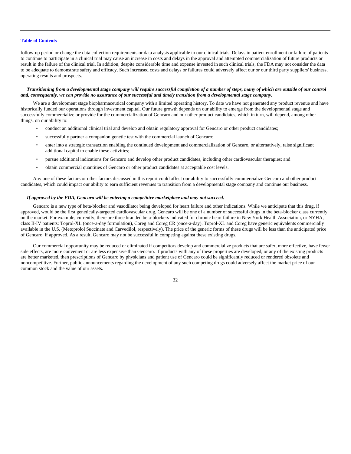follow-up period or change the data collection requirements or data analysis applicable to our clinical trials. Delays in patient enrollment or failure of patients to continue to participate in a clinical trial may cause an increase in costs and delays in the approval and attempted commercialization of future products or result in the failure of the clinical trial. In addition, despite considerable time and expense invested in such clinical trials, the FDA may not consider the data to be adequate to demonstrate safety and efficacy. Such increased costs and delays or failures could adversely affect our or our third party suppliers' business, operating results and prospects.

## *Transitioning from a developmental stage company will require successful completion of a number of steps, many of which are outside of our control and, consequently, we can provide no assurance of our successful and timely transition from a developmental stage company.*

We are a development stage biopharmaceutical company with a limited operating history. To date we have not generated any product revenue and have historically funded our operations through investment capital. Our future growth depends on our ability to emerge from the developmental stage and successfully commercialize or provide for the commercialization of Gencaro and our other product candidates, which in turn, will depend, among other things, on our ability to:

- conduct an additional clinical trial and develop and obtain regulatory approval for Gencaro or other product candidates;
- successfully partner a companion genetic test with the commercial launch of Gencaro;
- enter into a strategic transaction enabling the continued development and commercialization of Gencaro, or alternatively, raise significant additional capital to enable these activities;
- pursue additional indications for Gencaro and develop other product candidates, including other cardiovascular therapies; and
- obtain commercial quantities of Gencaro or other product candidates at acceptable cost levels.

Any one of these factors or other factors discussed in this report could affect our ability to successfully commercialize Gencaro and other product candidates, which could impact our ability to earn sufficient revenues to transition from a developmental stage company and continue our business.

### *If approved by the FDA, Gencaro will be entering a competitive marketplace and may not succeed.*

Gencaro is a new type of beta-blocker and vasodilator being developed for heart failure and other indications. While we anticipate that this drug, if approved, would be the first genetically-targeted cardiovascular drug, Gencaro will be one of a number of successful drugs in the beta-blocker class currently on the market. For example, currently, there are three branded beta-blockers indicated for chronic heart failure in New York Health Association, or NYHA, class II-IV patients: Toprol-XL (once-a-day formulation), Coreg and Coreg CR (once-a-day). Toprol-XL and Coreg have generic equivalents commercially available in the U.S. (Metoprolol Succinate and Carvedilol, respectively). The price of the generic forms of these drugs will be less than the anticipated price of Gencaro, if approved. As a result, Gencaro may not be successful in competing against these existing drugs.

Our commercial opportunity may be reduced or eliminated if competitors develop and commercialize products that are safer, more effective, have fewer side effects, are more convenient or are less expensive than Gencaro. If products with any of these properties are developed, or any of the existing products are better marketed, then prescriptions of Gencaro by physicians and patient use of Gencaro could be significantly reduced or rendered obsolete and noncompetitive. Further, public announcements regarding the development of any such competing drugs could adversely affect the market price of our common stock and the value of our assets.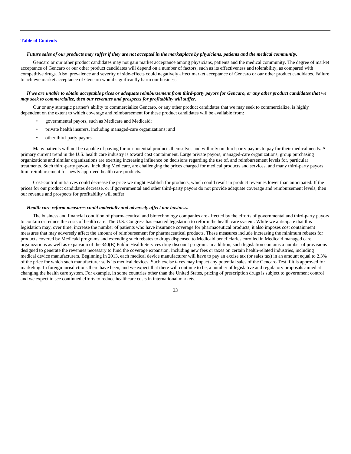### *Future sales of our products may suffer if they are not accepted in the marketplace by physicians, patients and the medical community.*

Gencaro or our other product candidates may not gain market acceptance among physicians, patients and the medical community. The degree of market acceptance of Gencaro or our other product candidates will depend on a number of factors, such as its effectiveness and tolerability, as compared with competitive drugs. Also, prevalence and severity of side-effects could negatively affect market acceptance of Gencaro or our other product candidates. Failure to achieve market acceptance of Gencaro would significantly harm our business.

### *If we are unable to obtain acceptable prices or adequate reimbursement from third-party payors for Gencaro, or any other product candidates that we may seek to commercialize, then our revenues and prospects for profitability will suffer.*

Our or any strategic partner's ability to commercialize Gencaro, or any other product candidates that we may seek to commercialize, is highly dependent on the extent to which coverage and reimbursement for these product candidates will be available from:

- governmental payors, such as Medicare and Medicaid;
- private health insurers, including managed-care organizations; and
- other third-party payors.

Many patients will not be capable of paying for our potential products themselves and will rely on third-party payors to pay for their medical needs. A primary current trend in the U.S. health care industry is toward cost containment. Large private payors, managed-care organizations, group purchasing organizations and similar organizations are exerting increasing influence on decisions regarding the use of, and reimbursement levels for, particular treatments. Such third-party payors, including Medicare, are challenging the prices charged for medical products and services, and many third-party payors limit reimbursement for newly approved health care products.

Cost-control initiatives could decrease the price we might establish for products, which could result in product revenues lower than anticipated. If the prices for our product candidates decrease, or if governmental and other third-party payors do not provide adequate coverage and reimbursement levels, then our revenue and prospects for profitability will suffer.

## *Health care reform measures could materially and adversely affect our business.*

The business and financial condition of pharmaceutical and biotechnology companies are affected by the efforts of governmental and third-party payors to contain or reduce the costs of health care. The U.S. Congress has enacted legislation to reform the health care system. While we anticipate that this legislation may, over time, increase the number of patients who have insurance coverage for pharmaceutical products, it also imposes cost containment measures that may adversely affect the amount of reimbursement for pharmaceutical products. These measures include increasing the minimum rebates for products covered by Medicaid programs and extending such rebates to drugs dispensed to Medicaid beneficiaries enrolled in Medicaid managed care organizations as well as expansion of the 340(B) Public Health Services drug discount program. In addition, such legislation contains a number of provisions designed to generate the revenues necessary to fund the coverage expansion, including new fees or taxes on certain health-related industries, including medical device manufacturers. Beginning in 2013, each medical device manufacturer will have to pay an excise tax (or sales tax) in an amount equal to 2.3% of the price for which such manufacturer sells its medical devices. Such excise taxes may impact any potential sales of the Gencaro Test if it is approved for marketing. In foreign jurisdictions there have been, and we expect that there will continue to be, a number of legislative and regulatory proposals aimed at changing the health care system. For example, in some countries other than the United States, pricing of prescription drugs is subject to government control and we expect to see continued efforts to reduce healthcare costs in international markets.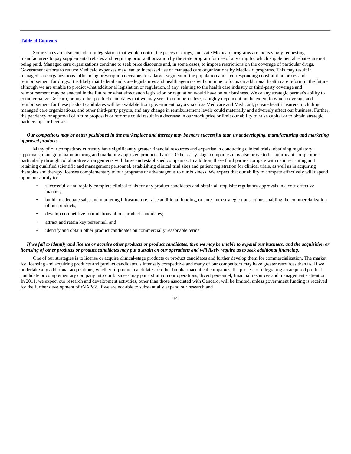Some states are also considering legislation that would control the prices of drugs, and state Medicaid programs are increasingly requesting manufacturers to pay supplemental rebates and requiring prior authorization by the state program for use of any drug for which supplemental rebates are not being paid. Managed care organizations continue to seek price discounts and, in some cases, to impose restrictions on the coverage of particular drugs. Government efforts to reduce Medicaid expenses may lead to increased use of managed care organizations by Medicaid programs. This may result in managed care organizations influencing prescription decisions for a larger segment of the population and a corresponding constraint on prices and reimbursement for drugs. It is likely that federal and state legislatures and health agencies will continue to focus on additional health care reform in the future although we are unable to predict what additional legislation or regulation, if any, relating to the health care industry or third-party coverage and reimbursement may be enacted in the future or what effect such legislation or regulation would have on our business. We or any strategic partner's ability to commercialize Gencaro, or any other product candidates that we may seek to commercialize, is highly dependent on the extent to which coverage and reimbursement for these product candidates will be available from government payors, such as Medicare and Medicaid, private health insurers, including managed care organizations, and other third-party payors, and any change in reimbursement levels could materially and adversely affect our business. Further, the pendency or approval of future proposals or reforms could result in a decrease in our stock price or limit our ability to raise capital or to obtain strategic partnerships or licenses.

## *Our competitors may be better positioned in the marketplace and thereby may be more successful than us at developing, manufacturing and marketing approved products.*

Many of our competitors currently have significantly greater financial resources and expertise in conducting clinical trials, obtaining regulatory approvals, managing manufacturing and marketing approved products than us. Other early-stage companies may also prove to be significant competitors, particularly through collaborative arrangements with large and established companies. In addition, these third parties compete with us in recruiting and retaining qualified scientific and management personnel, establishing clinical trial sites and patient registration for clinical trials, as well as in acquiring therapies and therapy licenses complementary to our programs or advantageous to our business. We expect that our ability to compete effectively will depend upon our ability to:

- successfully and rapidly complete clinical trials for any product candidates and obtain all requisite regulatory approvals in a cost-effective manner;
- build an adequate sales and marketing infrastructure, raise additional funding, or enter into strategic transactions enabling the commercialization of our products;
- develop competitive formulations of our product candidates;
- attract and retain key personnel; and
- identify and obtain other product candidates on commercially reasonable terms.

### *If we fail to identify and license or acquire other products or product candidates, then we may be unable to expand our business, and the acquisition or licensing of other products or product candidates may put a strain on our operations and will likely require us to seek additional financing.*

One of our strategies is to license or acquire clinical-stage products or product candidates and further develop them for commercialization. The market for licensing and acquiring products and product candidates is intensely competitive and many of our competitors may have greater resources than us. If we undertake any additional acquisitions, whether of product candidates or other biopharmaceutical companies, the process of integrating an acquired product candidate or complementary company into our business may put a strain on our operations, divert personnel, financial resources and management's attention. In 2011, we expect our research and development activities, other than those associated with Gencaro, will be limited, unless government funding is received for the further development of rNAPc2. If we are not able to substantially expand our research and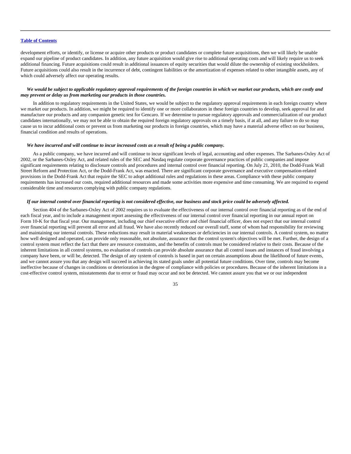development efforts, or identify, or license or acquire other products or product candidates or complete future acquisitions, then we will likely be unable expand our pipeline of product candidates. In addition, any future acquisition would give rise to additional operating costs and will likely require us to seek additional financing. Future acquisitions could result in additional issuances of equity securities that would dilute the ownership of existing stockholders. Future acquisitions could also result in the incurrence of debt, contingent liabilities or the amortization of expenses related to other intangible assets, any of which could adversely affect our operating results.

## *We would be subject to applicable regulatory approval requirements of the foreign countries in which we market our products, which are costly and may prevent or delay us from marketing our products in those countries.*

In addition to regulatory requirements in the United States, we would be subject to the regulatory approval requirements in each foreign country where we market our products. In addition, we might be required to identify one or more collaborators in these foreign countries to develop, seek approval for and manufacture our products and any companion genetic test for Gencaro. If we determine to pursue regulatory approvals and commercialization of our product candidates internationally, we may not be able to obtain the required foreign regulatory approvals on a timely basis, if at all, and any failure to do so may cause us to incur additional costs or prevent us from marketing our products in foreign countries, which may have a material adverse effect on our business, financial condition and results of operations.

## *We have incurred and will continue to incur increased costs as a result of being a public company.*

As a public company, we have incurred and will continue to incur significant levels of legal, accounting and other expenses. The Sarbanes-Oxley Act of 2002, or the Sarbanes-Oxley Act, and related rules of the SEC and Nasdaq regulate corporate governance practices of public companies and impose significant requirements relating to disclosure controls and procedures and internal control over financial reporting. On July 21, 2010, the Dodd-Frank Wall Street Reform and Protection Act, or the Dodd-Frank Act, was enacted. There are significant corporate governance and executive compensation-related provisions in the Dodd-Frank Act that require the SEC to adopt additional rules and regulations in these areas. Compliance with these public company requirements has increased our costs, required additional resources and made some activities more expensive and time consuming. We are required to expend considerable time and resources complying with public company regulations.

## *If our internal control over financial reporting is not considered effective, our business and stock price could be adversely affected.*

Section 404 of the Sarbanes-Oxley Act of 2002 requires us to evaluate the effectiveness of our internal control over financial reporting as of the end of each fiscal year, and to include a management report assessing the effectiveness of our internal control over financial reporting in our annual report on Form 10-K for that fiscal year. Our management, including our chief executive officer and chief financial officer, does not expect that our internal control over financial reporting will prevent all error and all fraud. We have also recently reduced our overall staff, some of whom had responsibility for reviewing and maintaining our internal controls. These reductions may result in material weaknesses or deficiencies in our internal controls. A control system, no matter how well designed and operated, can provide only reasonable, not absolute, assurance that the control system's objectives will be met. Further, the design of a control system must reflect the fact that there are resource constraints, and the benefits of controls must be considered relative to their costs. Because of the inherent limitations in all control systems, no evaluation of controls can provide absolute assurance that all control issues and instances of fraud involving a company have been, or will be, detected. The design of any system of controls is based in part on certain assumptions about the likelihood of future events, and we cannot assure you that any design will succeed in achieving its stated goals under all potential future conditions. Over time, controls may become ineffective because of changes in conditions or deterioration in the degree of compliance with policies or procedures. Because of the inherent limitations in a cost-effective control system, misstatements due to error or fraud may occur and not be detected. We cannot assure you that we or our independent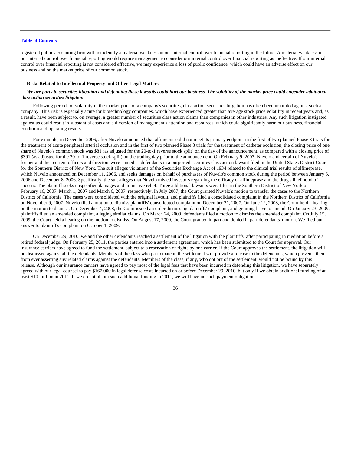registered public accounting firm will not identify a material weakness in our internal control over financial reporting in the future. A material weakness in our internal control over financial reporting would require management to consider our internal control over financial reporting as ineffective. If our internal control over financial reporting is not considered effective, we may experience a loss of public confidence, which could have an adverse effect on our business and on the market price of our common stock.

### **Risks Related to Intellectual Property and Other Legal Matters**

## *We are party to securities litigation and defending these lawsuits could hurt our business. The volatility of the market price could engender additional class action securities litigation.*

Following periods of volatility in the market price of a company's securities, class action securities litigation has often been instituted against such a company. This risk is especially acute for biotechnology companies, which have experienced greater than average stock price volatility in recent years and, as a result, have been subject to, on average, a greater number of securities class action claims than companies in other industries. Any such litigation instigated against us could result in substantial costs and a diversion of management's attention and resources, which could significantly harm our business, financial condition and operating results.

For example, in December 2006, after Nuvelo announced that alfimeprase did not meet its primary endpoint in the first of two planned Phase 3 trials for the treatment of acute peripheral arterial occlusion and in the first of two planned Phase 3 trials for the treatment of catheter occlusion, the closing price of one share of Nuvelo's common stock was \$81 (as adjusted for the 20-to-1 reverse stock split) on the day of the announcement, as compared with a closing price of \$391 (as adjusted for the 20-to-1 reverse stock split) on the trading day prior to the announcement. On February 9, 2007, Nuvelo and certain of Nuvelo's former and then current officers and directors were named as defendants in a purported securities class action lawsuit filed in the United States District Court for the Southern District of New York. The suit alleges violations of the Securities Exchange Act of 1934 related to the clinical trial results of alfimeprase, which Nuvelo announced on December 11, 2006, and seeks damages on behalf of purchasers of Nuvelo's common stock during the period between January 5, 2006 and December 8, 2006. Specifically, the suit alleges that Nuvelo misled investors regarding the efficacy of alfimeprase and the drug's likelihood of success. The plaintiff seeks unspecified damages and injunctive relief. Three additional lawsuits were filed in the Southern District of New York on February 16, 2007, March 1, 2007 and March 6, 2007, respectively. In July 2007, the Court granted Nuvelo's motion to transfer the cases to the Northern District of California. The cases were consolidated with the original lawsuit, and plaintiffs filed a consolidated complaint in the Northern District of California on November 9, 2007. Nuvelo filed a motion to dismiss plaintiffs' consolidated complaint on December 21, 2007. On June 12, 2008, the Court held a hearing on the motion to dismiss. On December 4, 2008, the Court issued an order dismissing plaintiffs' complaint, and granting leave to amend. On January 23, 2009, plaintiffs filed an amended complaint, alleging similar claims. On March 24, 2009, defendants filed a motion to dismiss the amended complaint. On July 15, 2009, the Court held a hearing on the motion to dismiss. On August 17, 2009, the Court granted in part and denied in part defendants' motion. We filed our answer to plaintiff's complaint on October 1, 2009.

On December 29, 2010, we and the other defendants reached a settlement of the litigation with the plaintiffs, after participating in mediation before a retired federal judge. On February 25, 2011, the parties entered into a settlement agreement, which has been submitted to the Court for approval. Our insurance carriers have agreed to fund the settlement, subject to a reservation of rights by one carrier. If the Court approves the settlement, the litigation will be dismissed against all the defendants. Members of the class who participate in the settlement will provide a release to the defendants, which prevents them from ever asserting any related claims against the defendants. Members of the class, if any, who opt out of the settlement, would not be bound by this release. Although our insurance carriers have agreed to pay most of the legal fees that have been incurred in defending this litigation, we have separately agreed with our legal counsel to pay \$167,000 in legal defense costs incurred on or before December 29, 2010, but only if we obtain additional funding of at least \$10 million in 2011. If we do not obtain such additional funding in 2011, we will have no such payment obligation.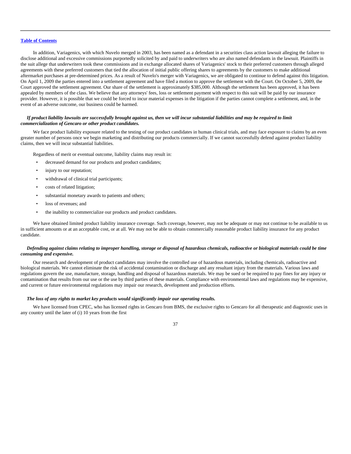In addition, Variagenics, with which Nuvelo merged in 2003, has been named as a defendant in a securities class action lawsuit alleging the failure to disclose additional and excessive commissions purportedly solicited by and paid to underwriters who are also named defendants in the lawsuit. Plaintiffs in the suit allege that underwriters took these commissions and in exchange allocated shares of Variagenics' stock to their preferred customers through alleged agreements with these preferred customers that tied the allocation of initial public offering shares to agreements by the customers to make additional aftermarket purchases at pre-determined prices. As a result of Nuvelo's merger with Variagenics, we are obligated to continue to defend against this litigation. On April 1, 2009 the parties entered into a settlement agreement and have filed a motion to approve the settlement with the Court. On October 5, 2009, the Court approved the settlement agreement. Our share of the settlement is approximately \$385,000. Although the settlement has been approved, it has been appealed by members of the class. We believe that any attorneys' fees, loss or settlement payment with respect to this suit will be paid by our insurance provider. However, it is possible that we could be forced to incur material expenses in the litigation if the parties cannot complete a settlement, and, in the event of an adverse outcome, our business could be harmed.

### *If product liability lawsuits are successfully brought against us, then we will incur substantial liabilities and may be required to limit commercialization of Gencaro or other product candidates.*

We face product liability exposure related to the testing of our product candidates in human clinical trials, and may face exposure to claims by an even greater number of persons once we begin marketing and distributing our products commercially. If we cannot successfully defend against product liability claims, then we will incur substantial liabilities.

Regardless of merit or eventual outcome, liability claims may result in:

- decreased demand for our products and product candidates;
- injury to our reputation;
- withdrawal of clinical trial participants;
- costs of related litigation;
- substantial monetary awards to patients and others;
- loss of revenues; and
- the inability to commercialize our products and product candidates.

We have obtained limited product liability insurance coverage. Such coverage, however, may not be adequate or may not continue to be available to us in sufficient amounts or at an acceptable cost, or at all. We may not be able to obtain commercially reasonable product liability insurance for any product candidate.

## *Defending against claims relating to improper handling, storage or disposal of hazardous chemicals, radioactive or biological materials could be time consuming and expensive.*

Our research and development of product candidates may involve the controlled use of hazardous materials, including chemicals, radioactive and biological materials. We cannot eliminate the risk of accidental contamination or discharge and any resultant injury from the materials. Various laws and regulations govern the use, manufacture, storage, handling and disposal of hazardous materials. We may be sued or be required to pay fines for any injury or contamination that results from our use or the use by third parties of these materials. Compliance with environmental laws and regulations may be expensive, and current or future environmental regulations may impair our research, development and production efforts.

#### *The loss of any rights to market key products would significantly impair our operating results.*

We have licensed from CPEC, who has licensed rights in Gencaro from BMS, the exclusive rights to Gencaro for all therapeutic and diagnostic uses in any country until the later of (i) 10 years from the first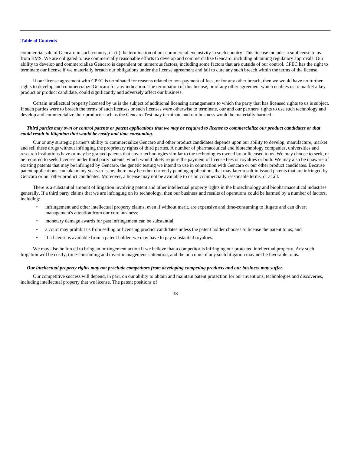commercial sale of Gencaro in such country, or (ii) the termination of our commercial exclusivity in such country. This license includes a sublicense to us from BMS. We are obligated to use commercially reasonable efforts to develop and commercialize Gencaro, including obtaining regulatory approvals. Our ability to develop and commercialize Gencaro is dependent on numerous factors, including some factors that are outside of our control. CPEC has the right to terminate our license if we materially breach our obligations under the license agreement and fail to cure any such breach within the terms of the license.

If our license agreement with CPEC is terminated for reasons related to non-payment of fees, or for any other breach, then we would have no further rights to develop and commercialize Gencaro for any indication. The termination of this license, or of any other agreement which enables us to market a key product or product candidate, could significantly and adversely affect our business.

Certain intellectual property licensed by us is the subject of additional licensing arrangements to which the party that has licensed rights to us is subject. If such parties were to breach the terms of such licenses or such licenses were otherwise to terminate, our and our partners' rights to use such technology and develop and commercialize their products such as the Gencaro Test may terminate and our business would be materially harmed.

### *Third parties may own or control patents or patent applications that we may be required to license to commercialize our product candidates or that could result in litigation that would be costly and time consuming.*

Our or any strategic partner's ability to commercialize Gencaro and other product candidates depends upon our ability to develop, manufacture, market and sell these drugs without infringing the proprietary rights of third parties. A number of pharmaceutical and biotechnology companies, universities and research institutions have or may be granted patents that cover technologies similar to the technologies owned by or licensed to us. We may choose to seek, or be required to seek, licenses under third party patents, which would likely require the payment of license fees or royalties or both. We may also be unaware of existing patents that may be infringed by Gencaro, the genetic testing we intend to use in connection with Gencaro or our other product candidates. Because patent applications can take many years to issue, there may be other currently pending applications that may later result in issued patents that are infringed by Gencaro or our other product candidates. Moreover, a license may not be available to us on commercially reasonable terms, or at all.

There is a substantial amount of litigation involving patent and other intellectual property rights in the biotechnology and biopharmaceutical industries generally. If a third party claims that we are infringing on its technology, then our business and results of operations could be harmed by a number of factors, including:

- infringement and other intellectual property claims, even if without merit, are expensive and time-consuming to litigate and can divert management's attention from our core business;
- monetary damage awards for past infringement can be substantial;
- a court may prohibit us from selling or licensing product candidates unless the patent holder chooses to license the patent to us; and
- if a license is available from a patent holder, we may have to pay substantial royalties.

We may also be forced to bring an infringement action if we believe that a competitor is infringing our protected intellectual property. Any such litigation will be costly, time-consuming and divert management's attention, and the outcome of any such litigation may not be favorable to us.

## *Our intellectual property rights may not preclude competitors from developing competing products and our business may suffer.*

Our competitive success will depend, in part, on our ability to obtain and maintain patent protection for our inventions, technologies and discoveries, including intellectual property that we license. The patent positions of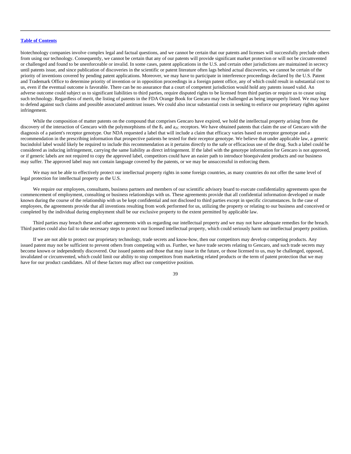biotechnology companies involve complex legal and factual questions, and we cannot be certain that our patents and licenses will successfully preclude others from using our technology. Consequently, we cannot be certain that any of our patents will provide significant market protection or will not be circumvented or challenged and found to be unenforceable or invalid. In some cases, patent applications in the U.S. and certain other jurisdictions are maintained in secrecy until patents issue, and since publication of discoveries in the scientific or patent literature often lags behind actual discoveries, we cannot be certain of the priority of inventions covered by pending patent applications. Moreover, we may have to participate in interference proceedings declared by the U.S. Patent and Trademark Office to determine priority of invention or in opposition proceedings in a foreign patent office, any of which could result in substantial cost to us, even if the eventual outcome is favorable. There can be no assurance that a court of competent jurisdiction would hold any patents issued valid. An adverse outcome could subject us to significant liabilities to third parties, require disputed rights to be licensed from third parties or require us to cease using such technology. Regardless of merit, the listing of patents in the FDA Orange Book for Gencaro may be challenged as being improperly listed. We may have to defend against such claims and possible associated antitrust issues. We could also incur substantial costs in seeking to enforce our proprietary rights against infringement.

While the composition of matter patents on the compound that comprises Gencaro have expired, we hold the intellectual property arising from the discovery of the interaction of Gencaro with the polymorphisms of the  $\beta_1$  and  $a_{2C}$  receptors. We have obtained patents that claim the use of Gencaro with the diagnosis of a patient's receptor genotype. Our NDA requested a label that will include a claim that efficacy varies based on receptor genotype and a recommendation in the prescribing information that prospective patients be tested for their receptor genotype. We believe that under applicable law, a generic bucindolol label would likely be required to include this recommendation as it pertains directly to the safe or efficacious use of the drug. Such a label could be considered as inducing infringement, carrying the same liability as direct infringement. If the label with the genotype information for Gencaro is not approved, or if generic labels are not required to copy the approved label, competitors could have an easier path to introduce bioequivalent products and our business may suffer. The approved label may not contain language covered by the patents, or we may be unsuccessful in enforcing them.

We may not be able to effectively protect our intellectual property rights in some foreign countries, as many countries do not offer the same level of legal protection for intellectual property as the U.S.

We require our employees, consultants, business partners and members of our scientific advisory board to execute confidentiality agreements upon the commencement of employment, consulting or business relationships with us. These agreements provide that all confidential information developed or made known during the course of the relationship with us be kept confidential and not disclosed to third parties except in specific circumstances. In the case of employees, the agreements provide that all inventions resulting from work performed for us, utilizing the property or relating to our business and conceived or completed by the individual during employment shall be our exclusive property to the extent permitted by applicable law.

Third parties may breach these and other agreements with us regarding our intellectual property and we may not have adequate remedies for the breach. Third parties could also fail to take necessary steps to protect our licensed intellectual property, which could seriously harm our intellectual property position.

If we are not able to protect our proprietary technology, trade secrets and know-how, then our competitors may develop competing products. Any issued patent may not be sufficient to prevent others from competing with us. Further, we have trade secrets relating to Gencaro, and such trade secrets may become known or independently discovered. Our issued patents and those that may issue in the future, or those licensed to us, may be challenged, opposed, invalidated or circumvented, which could limit our ability to stop competitors from marketing related products or the term of patent protection that we may have for our product candidates. All of these factors may affect our competitive position.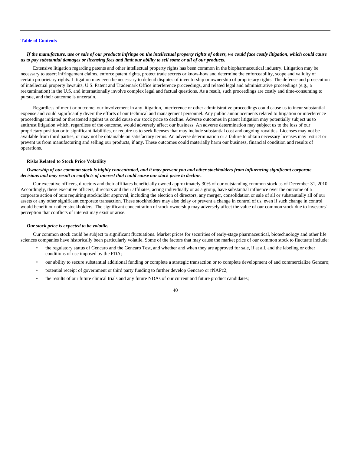### *If the manufacture, use or sale of our products infringe on the intellectual property rights of others, we could face costly litigation, which could cause us to pay substantial damages or licensing fees and limit our ability to sell some or all of our products.*

Extensive litigation regarding patents and other intellectual property rights has been common in the biopharmaceutical industry. Litigation may be necessary to assert infringement claims, enforce patent rights, protect trade secrets or know-how and determine the enforceability, scope and validity of certain proprietary rights. Litigation may even be necessary to defend disputes of inventorship or ownership of proprietary rights. The defense and prosecution of intellectual property lawsuits, U.S. Patent and Trademark Office interference proceedings, and related legal and administrative proceedings (e.g., a reexamination) in the U.S. and internationally involve complex legal and factual questions. As a result, such proceedings are costly and time-consuming to pursue, and their outcome is uncertain.

Regardless of merit or outcome, our involvement in any litigation, interference or other administrative proceedings could cause us to incur substantial expense and could significantly divert the efforts of our technical and management personnel. Any public announcements related to litigation or interference proceedings initiated or threatened against us could cause our stock price to decline. Adverse outcomes in patent litigation may potentially subject us to antitrust litigation which, regardless of the outcome, would adversely affect our business. An adverse determination may subject us to the loss of our proprietary position or to significant liabilities, or require us to seek licenses that may include substantial cost and ongoing royalties. Licenses may not be available from third parties, or may not be obtainable on satisfactory terms. An adverse determination or a failure to obtain necessary licenses may restrict or prevent us from manufacturing and selling our products, if any. These outcomes could materially harm our business, financial condition and results of operations.

#### **Risks Related to Stock Price Volatility**

## *Ownership of our common stock is highly concentrated, and it may prevent you and other stockholders from influencing significant corporate decisions and may result in conflicts of interest that could cause our stock price to decline.*

Our executive officers, directors and their affiliates beneficially owned approximately 30% of our outstanding common stock as of December 31, 2010. Accordingly, these executive officers, directors and their affiliates, acting individually or as a group, have substantial influence over the outcome of a corporate action of ours requiring stockholder approval, including the election of directors, any merger, consolidation or sale of all or substantially all of our assets or any other significant corporate transaction. These stockholders may also delay or prevent a change in control of us, even if such change in control would benefit our other stockholders. The significant concentration of stock ownership may adversely affect the value of our common stock due to investors' perception that conflicts of interest may exist or arise.

#### *Our stock price is expected to be volatile.*

Our common stock could be subject to significant fluctuations. Market prices for securities of early-stage pharmaceutical, biotechnology and other life sciences companies have historically been particularly volatile. Some of the factors that may cause the market price of our common stock to fluctuate include:

- the regulatory status of Gencaro and the Gencaro Test, and whether and when they are approved for sale, if at all, and the labeling or other conditions of use imposed by the FDA;
- our ability to secure substantial additional funding or complete a strategic transaction or to complete development of and commercialize Gencaro;
- potential receipt of government or third party funding to further develop Gencaro or rNAPc2;
- the results of our future clinical trials and any future NDAs of our current and future product candidates;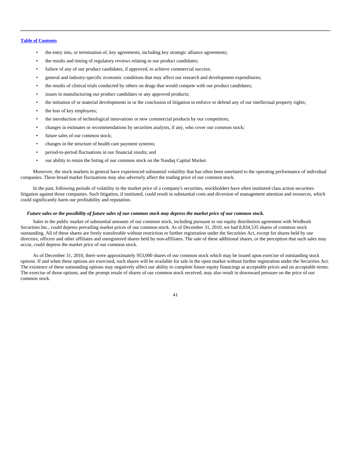- the entry into, or termination of, key agreements, including key strategic alliance agreements;
- the results and timing of regulatory reviews relating to our product candidates;
- failure of any of our product candidates, if approved, to achieve commercial success;
- general and industry-specific economic conditions that may affect our research and development expenditures;
- the results of clinical trials conducted by others on drugs that would compete with our product candidates;
- issues in manufacturing our product candidates or any approved products;
- the initiation of or material developments in or the conclusion of litigation to enforce or defend any of our intellectual property rights;
- the loss of key employees;
- the introduction of technological innovations or new commercial products by our competitors;
- changes in estimates or recommendations by securities analysts, if any, who cover our common stock;
- future sales of our common stock;
- changes in the structure of health care payment systems;
- period-to-period fluctuations in our financial results; and
- our ability to retain the listing of our common stock on the Nasdaq Capital Market.

Moreover, the stock markets in general have experienced substantial volatility that has often been unrelated to the operating performance of individual companies. These broad market fluctuations may also adversely affect the trading price of our common stock.

In the past, following periods of volatility in the market price of a company's securities, stockholders have often instituted class action securities litigation against those companies. Such litigation, if instituted, could result in substantial costs and diversion of management attention and resources, which could significantly harm our profitability and reputation.

#### *Future sales or the possibility of future sales of our common stock may depress the market price of our common stock.*

Sales in the public market of substantial amounts of our common stock, including pursuant to our equity distribution agreement with Wedbush Securities Inc., could depress prevailing market prices of our common stock. As of December 31, 2010, we had 8,834,535 shares of common stock outstanding. All of these shares are freely transferable without restriction or further registration under the Securities Act, except for shares held by our directors, officers and other affiliates and unregistered shares held by non-affiliates. The sale of these additional shares, or the perception that such sales may occur, could depress the market price of our common stock.

As of December 31, 2010, there were approximately 953,000 shares of our common stock which may be issued upon exercise of outstanding stock options. If and when these options are exercised, such shares will be available for sale in the open market without further registration under the Securities Act. The existence of these outstanding options may negatively affect our ability to complete future equity financings at acceptable prices and on acceptable terms. The exercise of those options, and the prompt resale of shares of our common stock received, may also result in downward pressure on the price of our common stock.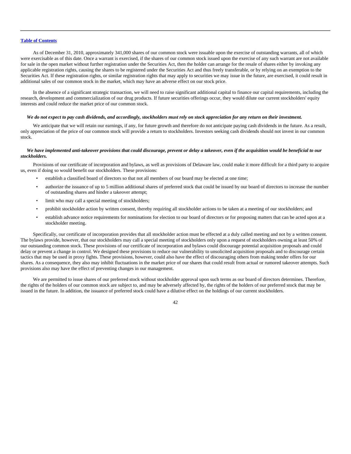As of December 31, 2010, approximately 341,000 shares of our common stock were issuable upon the exercise of outstanding warrants, all of which were exercisable as of this date. Once a warrant is exercised, if the shares of our common stock issued upon the exercise of any such warrant are not available for sale in the open market without further registration under the Securities Act, then the holder can arrange for the resale of shares either by invoking any applicable registration rights, causing the shares to be registered under the Securities Act and thus freely transferable, or by relying on an exemption to the Securities Act. If these registration rights, or similar registration rights that may apply to securities we may issue in the future, are exercised, it could result in additional sales of our common stock in the market, which may have an adverse effect on our stock price.

In the absence of a significant strategic transaction, we will need to raise significant additional capital to finance our capital requirements, including the research, development and commercialization of our drug products. If future securities offerings occur, they would dilute our current stockholders' equity interests and could reduce the market price of our common stock.

#### *We do not expect to pay cash dividends, and accordingly, stockholders must rely on stock appreciation for any return on their investment.*

We anticipate that we will retain our earnings, if any, for future growth and therefore do not anticipate paying cash dividends in the future. As a result, only appreciation of the price of our common stock will provide a return to stockholders. Investors seeking cash dividends should not invest in our common stock.

### *We have implemented anti-takeover provisions that could discourage, prevent or delay a takeover, even if the acquisition would be beneficial to our stockholders.*

Provisions of our certificate of incorporation and bylaws, as well as provisions of Delaware law, could make it more difficult for a third party to acquire us, even if doing so would benefit our stockholders. These provisions:

- establish a classified board of directors so that not all members of our board may be elected at one time;
- authorize the issuance of up to 5 million additional shares of preferred stock that could be issued by our board of directors to increase the number of outstanding shares and hinder a takeover attempt;
- limit who may call a special meeting of stockholders;
- prohibit stockholder action by written consent, thereby requiring all stockholder actions to be taken at a meeting of our stockholders; and
- establish advance notice requirements for nominations for election to our board of directors or for proposing matters that can be acted upon at a stockholder meeting.

Specifically, our certificate of incorporation provides that all stockholder action must be effected at a duly called meeting and not by a written consent. The bylaws provide, however, that our stockholders may call a special meeting of stockholders only upon a request of stockholders owning at least 50% of our outstanding common stock. These provisions of our certificate of incorporation and bylaws could discourage potential acquisition proposals and could delay or prevent a change in control. We designed these provisions to reduce our vulnerability to unsolicited acquisition proposals and to discourage certain tactics that may be used in proxy fights. These provisions, however, could also have the effect of discouraging others from making tender offers for our shares. As a consequence, they also may inhibit fluctuations in the market price of our shares that could result from actual or rumored takeover attempts. Such provisions also may have the effect of preventing changes in our management.

We are permitted to issue shares of our preferred stock without stockholder approval upon such terms as our board of directors determines. Therefore, the rights of the holders of our common stock are subject to, and may be adversely affected by, the rights of the holders of our preferred stock that may be issued in the future. In addition, the issuance of preferred stock could have a dilutive effect on the holdings of our current stockholders.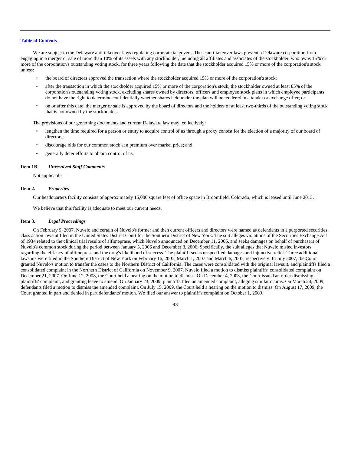We are subject to the Delaware anti-takeover laws regulating corporate takeovers. These anti-takeover laws prevent a Delaware corporation from engaging in a merger or sale of more than 10% of its assets with any stockholder, including all affiliates and associates of the stockholder, who owns 15% or more of the corporation's outstanding voting stock, for three years following the date that the stockholder acquired 15% or more of the corporation's stock unless:

- the board of directors approved the transaction where the stockholder acquired 15% or more of the corporation's stock;
- after the transaction in which the stockholder acquired 15% or more of the corporation's stock, the stockholder owned at least 85% of the corporation's outstanding voting stock, excluding shares owned by directors, officers and employee stock plans in which employee participants do not have the right to determine confidentially whether shares held under the plan will be tendered in a tender or exchange offer; or
- on or after this date, the merger or sale is approved by the board of directors and the holders of at least two-thirds of the outstanding voting stock that is not owned by the stockholder.

The provisions of our governing documents and current Delaware law may, collectively:

- lengthen the time required for a person or entity to acquire control of us through a proxy contest for the election of a majority of our board of directors;
- discourage bids for our common stock at a premium over market price; and
- generally deter efforts to obtain control of us.

## **Item 1B.** *Unresolved Staff Comments*

Not applicable.

## **Item 2.** *Properties*

Our headquarters facility consists of approximately 15,000 square feet of office space in Broomfield, Colorado, which is leased until June 2013.

We believe that this facility is adequate to meet our current needs.

## **Item 3.** *Legal Proceedings*

On February 9, 2007, Nuvelo and certain of Nuvelo's former and then current officers and directors were named as defendants in a purported securities class action lawsuit filed in the United States District Court for the Southern District of New York. The suit alleges violations of the Securities Exchange Act of 1934 related to the clinical trial results of alfimeprase, which Nuvelo announced on December 11, 2006, and seeks damages on behalf of purchasers of Nuvelo's common stock during the period between January 5, 2006 and December 8, 2006. Specifically, the suit alleges that Nuvelo misled investors regarding the efficacy of alfimeprase and the drug's likelihood of success. The plaintiff seeks unspecified damages and injunctive relief. Three additional lawsuits were filed in the Southern District of New York on February 16, 2007, March 1, 2007 and March 6, 2007, respectively. In July 2007, the Court granted Nuvelo's motion to transfer the cases to the Northern District of California. The cases were consolidated with the original lawsuit, and plaintiffs filed a consolidated complaint in the Northern District of California on November 9, 2007. Nuvelo filed a motion to dismiss plaintiffs' consolidated complaint on December 21, 2007. On June 12, 2008, the Court held a hearing on the motion to dismiss. On December 4, 2008, the Court issued an order dismissing plaintiffs' complaint, and granting leave to amend. On January 23, 2009, plaintiffs filed an amended complaint, alleging similar claims. On March 24, 2009, defendants filed a motion to dismiss the amended complaint. On July 15, 2009, the Court held a hearing on the motion to dismiss. On August 17, 2009, the Court granted in part and denied in part defendants' motion. We filed our answer to plaintiff's complaint on October 1, 2009.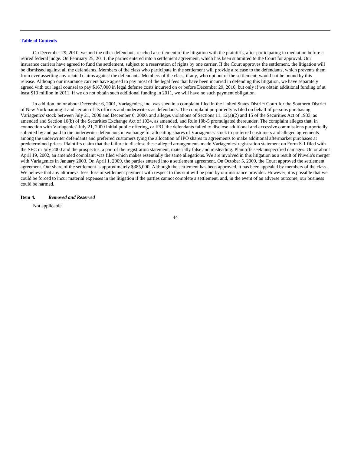On December 29, 2010, we and the other defendants reached a settlement of the litigation with the plaintiffs, after participating in mediation before a retired federal judge. On February 25, 2011, the parties entered into a settlement agreement, which has been submitted to the Court for approval. Our insurance carriers have agreed to fund the settlement, subject to a reservation of rights by one carrier. If the Court approves the settlement, the litigation will be dismissed against all the defendants. Members of the class who participate in the settlement will provide a release to the defendants, which prevents them from ever asserting any related claims against the defendants. Members of the class, if any, who opt out of the settlement, would not be bound by this release. Although our insurance carriers have agreed to pay most of the legal fees that have been incurred in defending this litigation, we have separately agreed with our legal counsel to pay \$167,000 in legal defense costs incurred on or before December 29, 2010, but only if we obtain additional funding of at least \$10 million in 2011. If we do not obtain such additional funding in 2011, we will have no such payment obligation.

In addition, on or about December 6, 2001, Variagenics, Inc. was sued in a complaint filed in the United States District Court for the Southern District of New York naming it and certain of its officers and underwriters as defendants. The complaint purportedly is filed on behalf of persons purchasing Variagenics' stock between July 21, 2000 and December 6, 2000, and alleges violations of Sections 11, 12(a)(2) and 15 of the Securities Act of 1933, as amended and Section 10(b) of the Securities Exchange Act of 1934, as amended, and Rule 10b-5 promulgated thereunder. The complaint alleges that, in connection with Variagenics' July 21, 2000 initial public offering, or IPO, the defendants failed to disclose additional and excessive commissions purportedly solicited by and paid to the underwriter defendants in exchange for allocating shares of Variagenics' stock to preferred customers and alleged agreements among the underwriter defendants and preferred customers tying the allocation of IPO shares to agreements to make additional aftermarket purchases at predetermined prices. Plaintiffs claim that the failure to disclose these alleged arrangements made Variagenics' registration statement on Form S-1 filed with the SEC in July 2000 and the prospectus, a part of the registration statement, materially false and misleading. Plaintiffs seek unspecified damages. On or about April 19, 2002, an amended complaint was filed which makes essentially the same allegations. We are involved in this litigation as a result of Nuvelo's merger with Variagenics in January 2003. On April 1, 2009, the parties entered into a settlement agreement. On October 5, 2009, the Court approved the settlement agreement. Our share of the settlement is approximately \$385,000. Although the settlement has been approved, it has been appealed by members of the class. We believe that any attorneys' fees, loss or settlement payment with respect to this suit will be paid by our insurance provider. However, it is possible that we could be forced to incur material expenses in the litigation if the parties cannot complete a settlement, and, in the event of an adverse outcome, our business could be harmed.

## **Item 4.** *Removed and Reserved*

Not applicable.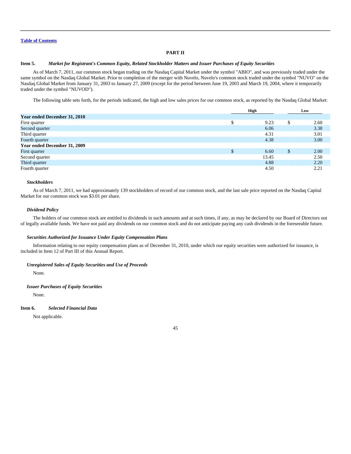## **PART II**

## **Item 5.** *Market for Registrant's Common Equity, Related Stockholder Matters and Issuer Purchases of Equity Securities*

As of March 7, 2011, our common stock began trading on the Nasdaq Capital Market under the symbol "ABIO", and was previously traded under the same symbol on the Nasdaq Global Market. Prior to completion of the merger with Nuvelo, Nuvelo's common stock traded under the symbol "NUVO" on the Nasdaq Global Market from January 31, 2003 to January 27, 2009 (except for the period between June 19, 2003 and March 19, 2004, where it temporarily traded under the symbol "NUVOD").

The following table sets forth, for the periods indicated, the high and low sales prices for our common stock, as reported by the Nasdaq Global Market:

|                              | High |       | Low |      |
|------------------------------|------|-------|-----|------|
| Year ended December 31, 2010 |      |       |     |      |
| First quarter                | \$   | 9.23  |     | 2.60 |
| Second quarter               |      | 6.06  |     | 3.38 |
| Third quarter                |      | 4.31  |     | 3.01 |
| Fourth quarter               |      | 4.38  |     | 3.00 |
| Year ended December 31, 2009 |      |       |     |      |
| First quarter                |      | 6.60  | \$  | 2.00 |
| Second quarter               |      | 13.45 |     | 2.50 |
| Third quarter                |      | 4.88  |     | 2.20 |
| Fourth quarter               |      | 4.50  |     | 2.21 |

#### *Stockholders*

As of March 7, 2011, we had approximately 139 stockholders of record of our common stock, and the last sale price reported on the Nasdaq Capital Market for our common stock was \$3.01 per share.

#### *Dividend Policy*

The holders of our common stock are entitled to dividends in such amounts and at such times, if any, as may be declared by our Board of Directors out of legally available funds. We have not paid any dividends on our common stock and do not anticipate paying any cash dividends in the foreseeable future.

#### *Securities Authorized for Issuance Under Equity Compensation Plans*

Information relating to our equity compensation plans as of December 31, 2010, under which our equity securities were authorized for issuance, is included in Item 12 of Part III of this Annual Report.

#### *Unregistered Sales of Equity Securities and Use of Proceeds*

None.

## *Issuer Purchases of Equity Securities*

None.

#### **Item 6.** *Selected Financial Data*

Not applicable.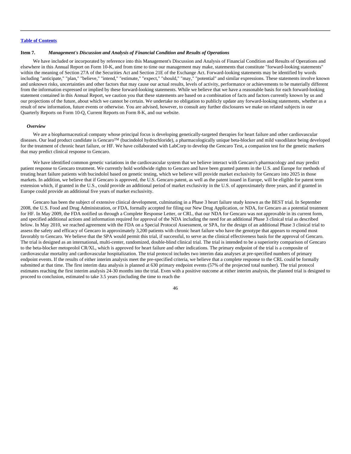#### **Item 7.** *Management's Discussion and Analysis of Financial Condition and Results of Operations*

We have included or incorporated by reference into this Management's Discussion and Analysis of Financial Condition and Results of Operations and elsewhere in this Annual Report on Form 10-K, and from time to time our management may make, statements that constitute "forward-looking statements" within the meaning of Section 27A of the Securities Act and Section 21E of the Exchange Act. Forward-looking statements may be identified by words including "anticipate," "plan," "believe," "intend," "estimate," "expect," "should," "may," "potential" and similar expressions. These statements involve known and unknown risks, uncertainties and other factors that may cause our actual results, levels of activity, performance or achievements to be materially different from the information expressed or implied by these forward-looking statements. While we believe that we have a reasonable basis for each forward-looking statement contained in this Annual Report, we caution you that these statements are based on a combination of facts and factors currently known by us and our projections of the future, about which we cannot be certain. We undertake no obligation to publicly update any forward-looking statements, whether as a result of new information, future events or otherwise. You are advised, however, to consult any further disclosures we make on related subjects in our Quarterly Reports on Form 10-Q, Current Reports on Form 8-K, and our website.

#### *Overview*

We are a biopharmaceutical company whose principal focus is developing genetically-targeted therapies for heart failure and other cardiovascular diseases. Our lead product candidate is GencaroTM (bucindolol hydrochloride), a pharmacologically unique beta-blocker and mild vasodilator being developed for the treatment of chronic heart failure, or HF. We have collaborated with LabCorp to develop the Gencaro Test, a companion test for the genetic markers that may predict clinical response to Gencaro.

We have identified common genetic variations in the cardiovascular system that we believe interact with Gencaro's pharmacology and may predict patient response to Gencaro treatment. We currently hold worldwide rights to Gencaro and have been granted patents in the U.S. and Europe for methods of treating heart failure patients with bucindolol based on genetic testing, which we believe will provide market exclusivity for Gencaro into 2025 in those markets. In addition, we believe that if Gencaro is approved, the U.S. Gencaro patent, as well as the patent issued in Europe, will be eligible for patent term extension which, if granted in the U.S., could provide an additional period of market exclusivity in the U.S. of approximately three years, and if granted in Europe could provide an additional five years of market exclusivity.

Gencaro has been the subject of extensive clinical development, culminating in a Phase 3 heart failure study known as the BEST trial. In September 2008, the U.S. Food and Drug Administration, or FDA, formally accepted for filing our New Drug Application, or NDA, for Gencaro as a potential treatment for HF. In May 2009, the FDA notified us through a Complete Response Letter, or CRL, that our NDA for Gencaro was not approvable in its current form, and specified additional actions and information required for approval of the NDA including the need for an additional Phase 3 clinical trial as described below. In May 2010, we reached agreement with the FDA on a Special Protocol Assessment, or SPA, for the design of an additional Phase 3 clinical trial to assess the safety and efficacy of Gencaro in approximately 3,200 patients with chronic heart failure who have the genotype that appears to respond most favorably to Gencaro. We believe that the SPA would permit this trial, if successful, to serve as the clinical effectiveness basis for the approval of Gencaro. The trial is designed as an international, multi-center, randomized, double-blind clinical trial. The trial is intended to be a superiority comparison of Gencaro to the beta-blocker metoprolol CR/XL, which is approved for heart failure and other indications. The primary endpoint of the trial is a composite of cardiovascular mortality and cardiovascular hospitalization. The trial protocol includes two interim data analyses at pre-specified numbers of primary endpoint events. If the results of either interim analysis meet the pre-specified criteria, we believe that a complete response to the CRL could be formally submitted at that time. The first interim data analysis is planned at 630 primary endpoint events (57% of the projected total number). The trial protocol estimates reaching the first interim analysis 24-30 months into the trial. Even with a positive outcome at either interim analysis, the planned trial is designed to proceed to conclusion, estimated to take 3.5 years (including the time to reach the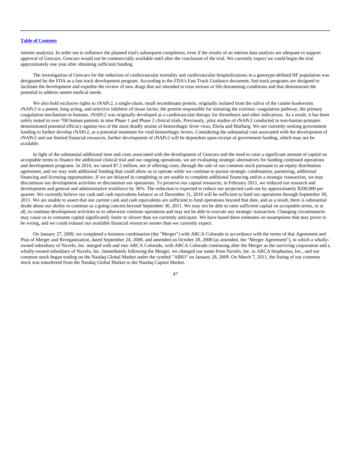interim analysis). In order not to influence the planned trial's subsequent completion, even if the results of an interim data analysis are adequate to support approval of Gencaro, Gencaro would not be commercially available until after the conclusion of the trial. We currently expect we could begin the trial approximately one year after obtaining sufficient funding.

The investigation of Gencaro for the reduction of cardiovascular mortality and cardiovascular hospitalizations in a genotype-defined HF population was designated by the FDA as a fast track development program. According to the FDA's Fast Track Guidance document, fast track programs are designed to facilitate the development and expedite the review of new drugs that are intended to treat serious or life-threatening conditions and that demonstrate the potential to address unmet medical needs.

We also hold exclusive rights to rNAPc2, a single-chain, small recombinant protein, originally isolated from the saliva of the canine hookworm. rNAPc2 is a potent, long acting, and selective inhibitor of tissue factor, the protein responsible for initiating the extrinsic coagulation pathway, the primary coagulation mechanism in humans. rNAPc2 was originally developed as a cardiovascular therapy for thrombosis and other indications. As a result, it has been safely tested in over 700 human patients in nine Phase 1 and Phase 2 clinical trials. Previously, pilot studies of rNAPc2 conducted in non-human primates demonstrated potential efficacy against two of the most deadly strains of hemorrhagic fever virus, Ebola and Marburg. We are currently seeking government funding to further develop rNAPc2, as a potential treatment for viral hemorrhagic fevers. Considering the substantial cost associated with the development of rNAPc2 and our limited financial resources, further development of rNAPc2 will be dependent upon receipt of government funding, which may not be available.

In light of the substantial additional time and costs associated with the development of Gencaro and the need to raise a significant amount of capital on acceptable terms to finance the additional clinical trial and our ongoing operations, we are evaluating strategic alternatives for funding continued operations and development programs. In 2010, we raised \$7.2 million, net of offering costs, through the sale of our common stock pursuant to an equity distribution agreement, and we may seek additional funding that could allow us to operate while we continue to pursue strategic combination, partnering, additional financing and licensing opportunities. If we are delayed in completing or are unable to complete additional financing and/or a strategic transaction, we may discontinue our development activities or discontinue our operations. To preserve our capital resources, in February 2011, we reduced our research and development and general and administrative workforce by 36%. The reduction is expected to reduce our projected cash use by approximately \$200,000 per quarter. We currently believe our cash and cash equivalents balance as of December 31, 2010 will be sufficient to fund our operations through September 30, 2011. We are unable to assert that our current cash and cash equivalents are sufficient to fund operations beyond that date, and as a result, there is substantial doubt about our ability to continue as a going concern beyond September 30, 2011. We may not be able to raise sufficient capital on acceptable terms, or at all, to continue development activities or to otherwise continue operations and may not be able to execute any strategic transaction. Changing circumstances may cause us to consume capital significantly faster or slower than we currently anticipate. We have based these estimates on assumptions that may prove to be wrong, and we could exhaust our available financial resources sooner than we currently expect.

On January 27, 2009, we completed a business combination (the "Merger") with ARCA Colorado in accordance with the terms of that Agreement and Plan of Merger and Reorganization, dated September 24, 2008, and amended on October 28, 2008 (as amended, the "Merger Agreement"), in which a whollyowned subsidiary of Nuvelo, Inc. merged with and into ARCA Colorado, with ARCA Colorado continuing after the Merger as the surviving corporation and a wholly-owned subsidiary of Nuvelo, Inc. Immediately following the Merger, we changed our name from Nuvelo, Inc. to ARCA biopharma, Inc., and our common stock began trading on the Nasdaq Global Market under the symbol "ABIO" on January 28, 2009. On March 7, 2011, the listing of our common stock was transferred from the Nasdaq Global Market to the Nasdaq Capital Market.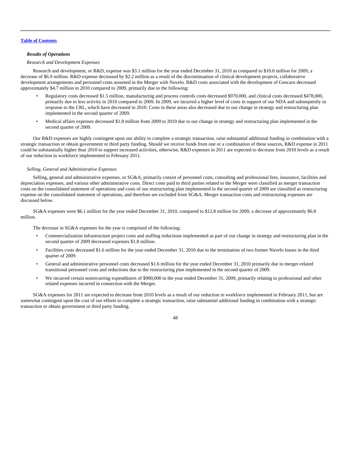#### *Results of Operations*

## *Research and Development Expenses*

Research and development, or R&D, expense was \$3.1 million for the year ended December 31, 2010 as compared to \$10.0 million for 2009, a decrease of \$6.9 million. R&D expense decreased by \$2.2 million as a result of the discontinuation of clinical development projects, collaborative development arrangements and personnel costs assumed in the Merger with Nuvelo. R&D costs associated with the development of Gencaro decreased approximately \$4.7 million in 2010 compared to 2009, primarily due to the following:

- Regulatory costs decreased \$1.5 million, manufacturing and process controls costs decreased \$970,000, and clinical costs decreased \$478,000, primarily due to less activity in 2010 compared to 2009. In 2009, we incurred a higher level of costs in support of our NDA and subsequently in response to the CRL, which have decreased in 2010. Costs in these areas also decreased due to our change in strategy and restructuring plan implemented in the second quarter of 2009.
- Medical affairs expenses decreased \$1.8 million from 2009 to 2010 due to our change in strategy and restructuring plan implemented in the second quarter of 2009.

Our R&D expenses are highly contingent upon our ability to complete a strategic transaction, raise substantial additional funding in combination with a strategic transaction or obtain government or third party funding. Should we receive funds from one or a combination of these sources, R&D expense in 2011 could be substantially higher than 2010 to support increased activities, otherwise, R&D expenses in 2011 are expected to decrease from 2010 levels as a result of our reduction in workforce implemented in February 2011.

### *Selling, General and Administrative Expenses*

Selling, general and administrative expenses, or SG&A, primarily consist of personnel costs, consulting and professional fees, insurance, facilities and depreciation expenses, and various other administrative costs. Direct costs paid to third parties related to the Merger were classified as merger transaction costs on the consolidated statement of operations and costs of our restructuring plan implemented in the second quarter of 2009 are classified as restructuring expense on the consolidated statement of operations, and therefore are excluded from SG&A. Merger transaction costs and restructuring expenses are discussed below.

SG&A expenses were \$6.1 million for the year ended December 31, 2010, compared to \$12.8 million for 2009, a decrease of approximately \$6.8 million.

The decrease in SG&A expenses for the year is comprised of the following:

- Commercialization infrastructure project costs and staffing reductions implemented as part of our change in strategy and restructuring plan in the second quarter of 2009 decreased expenses \$1.8 million.
- Facilities costs decreased \$1.6 million for the year ended December 31, 2010 due to the termination of two former Nuvelo leases in the third quarter of 2009.
- General and administrative personnel costs decreased \$1.6 million for the year ended December 31, 2010 primarily due to merger-related transitional personnel costs and reductions due to the restructuring plan implemented in the second quarter of 2009.
- We incurred certain nonrecurring expenditures of \$900,000 in the year ended December 31, 2009, primarily relating to professional and other related expenses incurred in connection with the Merger.

SG&A expenses for 2011 are expected to decrease from 2010 levels as a result of our reduction in workforce implemented in February 2011, but are somewhat contingent upon the cost of our efforts to complete a strategic transaction, raise substantial additional funding in combination with a strategic transaction or obtain government or third party funding.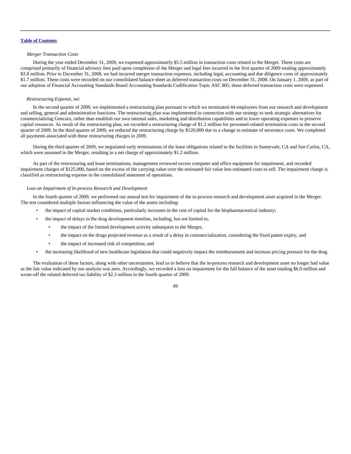## *Merger Transaction Costs*

During the year ended December 31, 2009, we expensed approximately \$5.5 million in transaction costs related to the Merger. These costs are comprised primarily of financial advisory fees paid upon completion of the Merger and legal fees incurred in the first quarter of 2009 totaling approximately \$3.8 million. Prior to December 31, 2008, we had incurred merger transaction expenses, including legal, accounting and due diligence costs of approximately \$1.7 million. These costs were recorded on our consolidated balance sheet as deferred transaction costs on December 31, 2008. On January 1, 2009, as part of our adoption of Financial Accounting Standards Board Accounting Standards Codification Topic ASC 805, these deferred transaction costs were expensed.

#### *Restructuring Expense, net*

In the second quarter of 2009, we implemented a restructuring plan pursuant to which we terminated 44 employees from our research and development and selling, general and administrative functions. The restructuring plan was implemented in connection with our strategy to seek strategic alternatives for commercializing Gencaro, rather than establish our own internal sales, marketing and distribution capabilities and to lower operating expenses to preserve capital resources. As result of the restructuring plan, we recorded a restructuring charge of \$1.2 million for personnel-related termination costs in the second quarter of 2009. In the third quarter of 2009, we reduced the restructuring charge by \$120,000 due to a change in estimate of severance costs. We completed all payments associated with these restructuring charges in 2009.

During the third quarter of 2009, we negotiated early terminations of the lease obligations related to the facilities in Sunnyvale, CA and San Carlos, CA, which were assumed in the Merger, resulting in a net charge of approximately \$1.2 million.

As part of the restructuring and lease terminations, management reviewed excess computer and office equipment for impairment, and recorded impairment charges of \$125,000, based on the excess of the carrying value over the estimated fair value less estimated costs to sell. The impairment charge is classified as restructuring expense in the consolidated statement of operations.

#### *Loss on Impairment of In-process Research and Development*

In the fourth quarter of 2009, we performed our annual test for impairment of the in-process research and development asset acquired in the Merger. The test considered multiple factors influencing the value of the assets including:

- the impact of capital market conditions, particularly increases in the cost of capital for the biopharmaceutical industry;
- the impact of delays in the drug development timeline, including, but not limited to,
	- the impact of the limited development activity subsequent to the Merger,
	- the impact on the drugs projected revenue as a result of a delay in commercialization, considering the fixed patent expiry, and
	- the impact of increased risk of competition; and
- the increasing likelihood of new healthcare legislation that could negatively impact the reimbursement and increase pricing pressure for the drug.

The evaluation of these factors, along with other uncertainties, lead us to believe that the in-process research and development asset no longer had value as the fair value indicated by our analysis was zero. Accordingly, we recorded a loss on impairment for the full balance of the asset totaling \$6.0 million and wrote-off the related deferred tax liability of \$2.3 million in the fourth quarter of 2009.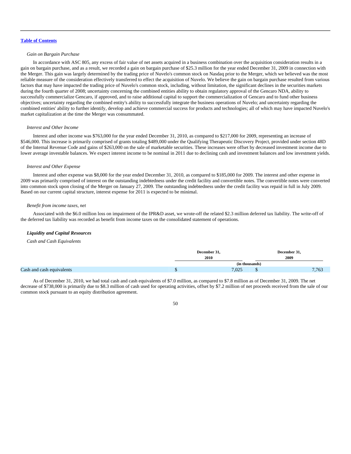### *Gain on Bargain Purchase*

In accordance with ASC 805, any excess of fair value of net assets acquired in a business combination over the acquisition consideration results in a gain on bargain purchase, and as a result, we recorded a gain on bargain purchase of \$25.3 million for the year ended December 31, 2009 in connection with the Merger. This gain was largely determined by the trading price of Nuvelo's common stock on Nasdaq prior to the Merger, which we believed was the most reliable measure of the consideration effectively transferred to effect the acquisition of Nuvelo. We believe the gain on bargain purchase resulted from various factors that may have impacted the trading price of Nuvelo's common stock, including, without limitation, the significant declines in the securities markets during the fourth quarter of 2008; uncertainty concerning the combined entities ability to obtain regulatory approval of the Gencaro NDA, ability to successfully commercialize Gencaro, if approved, and to raise additional capital to support the commercialization of Gencaro and to fund other business objectives; uncertainty regarding the combined entity's ability to successfully integrate the business operations of Nuvelo; and uncertainty regarding the combined entities' ability to further identify, develop and achieve commercial success for products and technologies; all of which may have impacted Nuvelo's market capitalization at the time the Merger was consummated.

#### *Interest and Other Income*

Interest and other income was \$763,000 for the year ended December 31, 2010, as compared to \$217,000 for 2009, representing an increase of \$546,000. This increase is primarily comprised of grants totaling \$489,000 under the Qualifying Therapeutic Discovery Project, provided under section 48D of the Internal Revenue Code and gains of \$263,000 on the sale of marketable securities. These increases were offset by decreased investment income due to lower average investable balances. We expect interest income to be nominal in 2011 due to declining cash and investment balances and low investment yields.

#### *Interest and Other Expense*

Interest and other expense was \$8,000 for the year ended December 31, 2010, as compared to \$185,000 for 2009. The interest and other expense in 2009 was primarily comprised of interest on the outstanding indebtedness under the credit facility and convertible notes. The convertible notes were converted into common stock upon closing of the Merger on January 27, 2009. The outstanding indebtedness under the credit facility was repaid in full in July 2009. Based on our current capital structure, interest expense for 2011 is expected to be minimal.

#### *Benefit from income taxes, net*

Associated with the \$6.0 million loss on impairment of the IPR&D asset, we wrote-off the related \$2.3 million deferred tax liability. The write-off of the deferred tax liability was recorded as benefit from income taxes on the consolidated statement of operations.

#### *Liquidity and Capital Resources*

*Cash and Cash Equivalents*

| December 31,<br>2010 | December 31,<br>2009 |                |
|----------------------|----------------------|----------------|
|                      |                      |                |
| 7,025                | 7,763<br>ഄ           |                |
|                      |                      | (in thousands) |

As of December 31, 2010, we had total cash and cash equivalents of \$7.0 million, as compared to \$7.8 million as of December 31, 2009. The net decrease of \$738,000 is primarily due to \$8.3 million of cash used for operating activities, offset by \$7.2 million of net proceeds received from the sale of our common stock pursuant to an equity distribution agreement.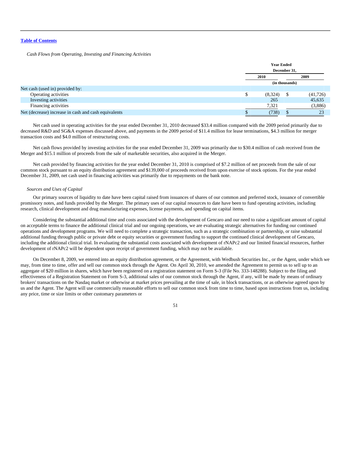*Cash Flows from Operating, Investing and Financing Activities*

|                                                      |  | <b>Year Ended</b> |  |           |  |  |  |
|------------------------------------------------------|--|-------------------|--|-----------|--|--|--|
|                                                      |  | December 31.      |  |           |  |  |  |
|                                                      |  | 2009<br>2010      |  |           |  |  |  |
|                                                      |  | (in thousands)    |  |           |  |  |  |
| Net cash (used in) provided by:                      |  |                   |  |           |  |  |  |
| Operating activities                                 |  | (8,324)           |  | (41, 726) |  |  |  |
| Investing activities                                 |  | 265               |  | 45,635    |  |  |  |
| Financing activities                                 |  | 7,321             |  | (3,886)   |  |  |  |
| Net (decrease) increase in cash and cash equivalents |  | (738)             |  | 23        |  |  |  |

Net cash used in operating activities for the year ended December 31, 2010 decreased \$33.4 million compared with the 2009 period primarily due to decreased R&D and SG&A expenses discussed above, and payments in the 2009 period of \$11.4 million for lease terminations, \$4.3 million for merger transaction costs and \$4.0 million of restructuring costs.

Net cash flows provided by investing activities for the year ended December 31, 2009 was primarily due to \$30.4 million of cash received from the Merger and \$15.1 million of proceeds from the sale of marketable securities, also acquired in the Merger.

Net cash provided by financing activities for the year ended December 31, 2010 is comprised of \$7.2 million of net proceeds from the sale of our common stock pursuant to an equity distribution agreement and \$139,000 of proceeds received from upon exercise of stock options. For the year ended December 31, 2009, net cash used in financing activities was primarily due to repayments on the bank note.

#### *Sources and Uses of Capital*

Our primary sources of liquidity to date have been capital raised from issuances of shares of our common and preferred stock, issuance of convertible promissory notes, and funds provided by the Merger. The primary uses of our capital resources to date have been to fund operating activities, including research, clinical development and drug manufacturing expenses, license payments, and spending on capital items.

Considering the substantial additional time and costs associated with the development of Gencaro and our need to raise a significant amount of capital on acceptable terms to finance the additional clinical trial and our ongoing operations, we are evaluating strategic alternatives for funding our continued operations and development programs. We will need to complete a strategic transaction, such as a strategic combination or partnership, or raise substantial additional funding through public or private debt or equity securities or government funding to support the continued clinical development of Gencaro, including the additional clinical trial. In evaluating the substantial costs associated with development of rNAPc2 and our limited financial resources, further development of rNAPc2 will be dependent upon receipt of government funding, which may not be available.

On December 8, 2009, we entered into an equity distribution agreement, or the Agreement, with Wedbush Securities Inc., or the Agent, under which we may, from time to time, offer and sell our common stock through the Agent. On April 30, 2010, we amended the Agreement to permit us to sell up to an aggregate of \$20 million in shares, which have been registered on a registration statement on Form S-3 (File No. 333-148288). Subject to the filing and effectiveness of a Registration Statement on Form S-3, additional sales of our common stock through the Agent, if any, will be made by means of ordinary brokers' transactions on the Nasdaq market or otherwise at market prices prevailing at the time of sale, in block transactions, or as otherwise agreed upon by us and the Agent. The Agent will use commercially reasonable efforts to sell our common stock from time to time, based upon instructions from us, including any price, time or size limits or other customary parameters or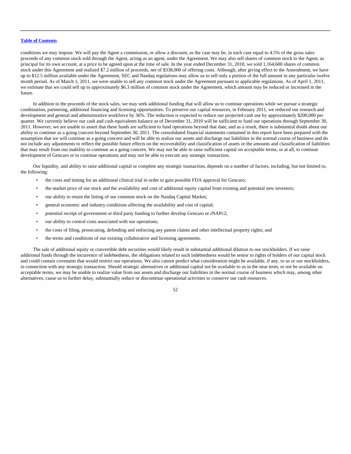conditions we may impose. We will pay the Agent a commission, or allow a discount, as the case may be, in each case equal to 4.5% of the gross sales proceeds of any common stock sold through the Agent, acting as an agent, under the Agreement. We may also sell shares of common stock to the Agent, as principal for its own account, at a price to be agreed upon at the time of sale. In the year ended December 31, 2010, we sold 1,164,600 shares of common stock under this Agreement and realized \$7.2 million of proceeds, net of \$338,000 of offering costs. Although, after giving effect to the Amendment, we have up to \$12.5 million available under the Agreement, SEC and Nasdaq regulations may allow us to sell only a portion of the full amount in any particular twelve month period. As of March 1, 2011, we were unable to sell any common stock under the Agreement pursuant to applicable regulations. As of April 1, 2011, we estimate that we could sell up to approximately \$6.3 million of common stock under the Agreement, which amount may be reduced or increased in the future.

In addition to the proceeds of the stock sales, we may seek additional funding that will allow us to continue operations while we pursue a strategic combination, partnering, additional financing and licensing opportunities. To preserve our capital resources, in February 2011, we reduced our research and development and general and administrative workforce by 36%. The reduction is expected to reduce our projected cash use by approximately \$200,000 per quarter. We currently believe our cash and cash equivalents balance as of December 31, 2010 will be sufficient to fund our operations through September 30, 2011. However, we are unable to assert that these funds are sufficient to fund operations beyond that date, and as a result, there is substantial doubt about our ability to continue as a going concern beyond September 30, 2011. The consolidated financial statements contained in this report have been prepared with the assumption that we will continue as a going concern and will be able to realize our assets and discharge our liabilities in the normal course of business and do not include any adjustments to reflect the possible future effects on the recoverability and classification of assets or the amounts and classification of liabilities that may result from our inability to continue as a going concern. We may not be able to raise sufficient capital on acceptable terms, or at all, to continue development of Gencaro or to continue operations and may not be able to execute any strategic transaction.

Our liquidity, and ability to raise additional capital or complete any strategic transaction, depends on a number of factors, including, but not limited to, the following:

- the costs and timing for an additional clinical trial in order to gain possible FDA approval for Gencaro;
- the market price of our stock and the availability and cost of additional equity capital from existing and potential new investors;
- our ability to retain the listing of our common stock on the Nasdaq Capital Market;
- general economic and industry conditions affecting the availability and cost of capital;
- potential receipt of government or third party funding to further develop Gencaro or rNAPc2;
- our ability to control costs associated with our operations;
- the costs of filing, prosecuting, defending and enforcing any patent claims and other intellectual property rights; and
- the terms and conditions of our existing collaborative and licensing agreements.

The sale of additional equity or convertible debt securities would likely result in substantial additional dilution to our stockholders. If we raise additional funds through the incurrence of indebtedness, the obligations related to such indebtedness would be senior to rights of holders of our capital stock and could contain covenants that would restrict our operations. We also cannot predict what consideration might be available, if any, to us or our stockholders, in connection with any strategic transaction. Should strategic alternatives or additional capital not be available to us in the near term, or not be available on acceptable terms, we may be unable to realize value from our assets and discharge our liabilities in the normal course of business which may, among other alternatives, cause us to further delay, substantially reduce or discontinue operational activities to conserve our cash resources.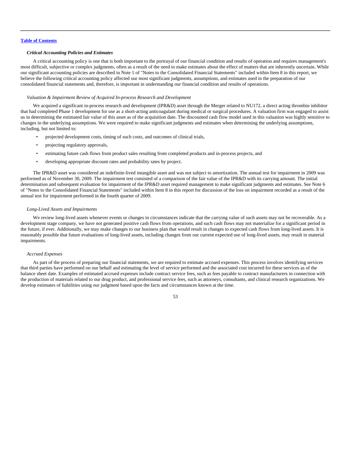## *Critical Accounting Policies and Estimates*

A critical accounting policy is one that is both important to the portrayal of our financial condition and results of operation and requires management's most difficult, subjective or complex judgments, often as a result of the need to make estimates about the effect of matters that are inherently uncertain. While our significant accounting policies are described in Note 1 of "Notes to the Consolidated Financial Statements" included within Item 8 in this report, we believe the following critical accounting policy affected our most significant judgments, assumptions, and estimates used in the preparation of our consolidated financial statements and, therefore, is important in understanding our financial condition and results of operations.

#### *Valuation & Impairment Review of Acquired In-process Research and Development*

We acquired a significant in-process research and development (IPR&D) asset through the Merger related to NU172, a direct acting thrombin inhibitor that had completed Phase 1 development for use as a short-acting anticoagulant during medical or surgical procedures. A valuation firm was engaged to assist us in determining the estimated fair value of this asset as of the acquisition date. The discounted cash flow model used in this valuation was highly sensitive to changes in the underlying assumptions. We were required to make significant judgments and estimates when determining the underlying assumptions, including, but not limited to:

- projected development costs, timing of such costs, and outcomes of clinical trials,
- projecting regulatory approvals,
- estimating future cash flows from product sales resulting from completed products and in-process projects, and
- developing appropriate discount rates and probability rates by project.

The IPR&D asset was considered an indefinite-lived intangible asset and was not subject to amortization. The annual test for impairment in 2009 was performed as of November 30, 2009. The impairment test consisted of a comparison of the fair value of the IPR&D with its carrying amount. The initial determination and subsequent evaluation for impairment of the IPR&D asset required management to make significant judgments and estimates. See Note 6 of "Notes to the Consolidated Financial Statements" included within Item 8 in this report for discussion of the loss on impairment recorded as a result of the annual test for impairment performed in the fourth quarter of 2009.

#### *Long-Lived Assets and Impairments*

We review long-lived assets whenever events or changes in circumstances indicate that the carrying value of such assets may not be recoverable. As a development stage company, we have not generated positive cash flows from operations, and such cash flows may not materialize for a significant period in the future, if ever. Additionally, we may make changes to our business plan that would result in changes to expected cash flows from long-lived assets. It is reasonably possible that future evaluations of long-lived assets, including changes from our current expected use of long-lived assets, may result in material impairments.

#### *Accrued Expenses*

As part of the process of preparing our financial statements, we are required to estimate accrued expenses. This process involves identifying services that third parties have performed on our behalf and estimating the level of service performed and the associated cost incurred for these services as of the balance sheet date. Examples of estimated accrued expenses include contract service fees, such as fees payable to contract manufacturers in connection with the production of materials related to our drug product, and professional service fees, such as attorneys, consultants, and clinical research organizations. We develop estimates of liabilities using our judgment based upon the facts and circumstances known at the time.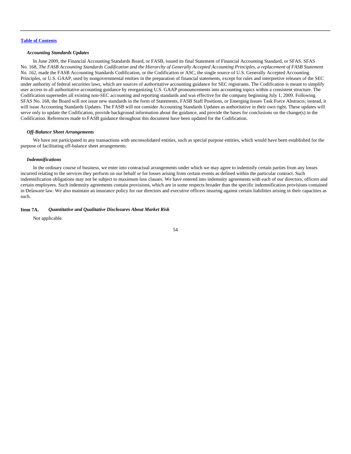## *Accounting Standards Updates*

In June 2009, the Financial Accounting Standards Board, or FASB, issued its final Statement of Financial Accounting Standard, or SFAS. SFAS No. 168, *The FASB Accounting Standards Codification and the Hierarchy of Generally Accepted Accounting Principles, a replacement of FASB Statement No. 162*, made the FASB Accounting Standards Codification, or the Codification or ASC, the single source of U.S. Generally Accepted Accounting Principles, or U.S. GAAP, used by nongovernmental entities in the preparation of financial statements, except for rules and interpretive releases of the SEC under authority of federal securities laws, which are sources of authoritative accounting guidance for SEC registrants. The Codification is meant to simplify user access to all authoritative accounting guidance by reorganizing U.S. GAAP pronouncements into accounting topics within a consistent structure. The Codification supersedes all existing non-SEC accounting and reporting standards and was effective for the company beginning July 1, 2009. Following SFAS No. 168, the Board will not issue new standards in the form of Statements, FASB Staff Positions, or Emerging Issues Task Force Abstracts; instead, it will issue Accounting Standards Updates. The FASB will not consider Accounting Standards Updates as authoritative in their own right. These updates will serve only to update the Codification, provide background information about the guidance, and provide the bases for conclusions on the change(s) in the Codification. References made to FASB guidance throughout this document have been updated for the Codification.

#### *Off-Balance Sheet Arrangements*

We have not participated in any transactions with unconsolidated entities, such as special purpose entities, which would have been established for the purpose of facilitating off-balance sheet arrangements.

#### *Indemnifications*

In the ordinary course of business, we enter into contractual arrangements under which we may agree to indemnify certain parties from any losses incurred relating to the services they perform on our behalf or for losses arising from certain events as defined within the particular contract. Such indemnification obligations may not be subject to maximum loss clauses. We have entered into indemnity agreements with each of our directors, officers and certain employees. Such indemnity agreements contain provisions, which are in some respects broader than the specific indemnification provisions contained in Delaware law. We also maintain an insurance policy for our directors and executive officers insuring against certain liabilities arising in their capacities as such.

#### **Item 7A.** *Quantitative and Qualitative Disclosures About Market Risk*

Not applicable.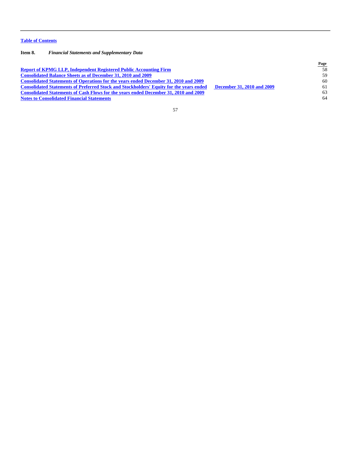## **Item 8.** *Financial Statements and Supplementary Data*

|                                                                                                |                                   | Page |
|------------------------------------------------------------------------------------------------|-----------------------------------|------|
| <b>Report of KPMG LLP, Independent Registered Public Accounting Firm</b>                       |                                   | 58   |
| <b>Consolidated Balance Sheets as of December 31, 2010 and 2009</b>                            |                                   | 59   |
| <b>Consolidated Statements of Operations for the years ended December 31, 2010 and 2009</b>    |                                   | 60   |
| <b>Consolidated Statements of Preferred Stock and Stockholders' Equity for the years ended</b> | <b>December 31, 2010 and 2009</b> | 61   |
| <b>Consolidated Statements of Cash Flows for the years ended December 31, 2010 and 2009</b>    |                                   | 63   |
| <b>Notes to Consolidated Financial Statements</b>                                              |                                   | 64   |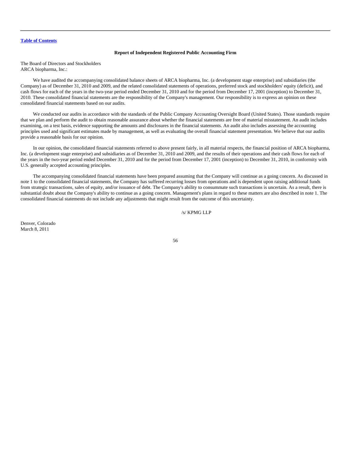## **Report of Independent Registered Public Accounting Firm**

<span id="page-58-0"></span>The Board of Directors and Stockholders ARCA biopharma, Inc.:

We have audited the accompanying consolidated balance sheets of ARCA biopharma, Inc. (a development stage enterprise) and subsidiaries (the Company) as of December 31, 2010 and 2009, and the related consolidated statements of operations, preferred stock and stockholders' equity (deficit), and cash flows for each of the years in the two-year period ended December 31, 2010 and for the period from December 17, 2001 (inception) to December 31, 2010. These consolidated financial statements are the responsibility of the Company's management. Our responsibility is to express an opinion on these consolidated financial statements based on our audits.

We conducted our audits in accordance with the standards of the Public Company Accounting Oversight Board (United States). Those standards require that we plan and perform the audit to obtain reasonable assurance about whether the financial statements are free of material misstatement. An audit includes examining, on a test basis, evidence supporting the amounts and disclosures in the financial statements. An audit also includes assessing the accounting principles used and significant estimates made by management, as well as evaluating the overall financial statement presentation. We believe that our audits provide a reasonable basis for our opinion.

In our opinion, the consolidated financial statements referred to above present fairly, in all material respects, the financial position of ARCA biopharma, Inc. (a development stage enterprise) and subsidiaries as of December 31, 2010 and 2009, and the results of their operations and their cash flows for each of the years in the two-year period ended December 31, 2010 and for the period from December 17, 2001 (inception) to December 31, 2010, in conformity with U.S. generally accepted accounting principles.

The accompanying consolidated financial statements have been prepared assuming that the Company will continue as a going concern. As discussed in note 1 to the consolidated financial statements, the Company has suffered recurring losses from operations and is dependent upon raising additional funds from strategic transactions, sales of equity, and/or issuance of debt. The Company's ability to consummate such transactions is uncertain. As a result, there is substantial doubt about the Company's ability to continue as a going concern. Management's plans in regard to these matters are also described in note 1. The consolidated financial statements do not include any adjustments that might result from the outcome of this uncertainty.

## /s/ KPMG LLP

Denver, Colorado March 8, 2011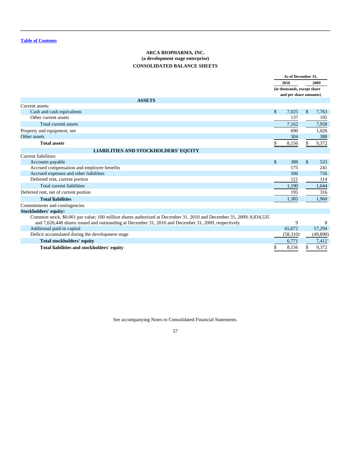# **ARCA BIOPHARMA, INC. (a development stage enterprise) CONSOLIDATED BALANCE SHEETS**

<span id="page-59-0"></span>

|                                                                                                                      | As of December 31, |                             |               |          |
|----------------------------------------------------------------------------------------------------------------------|--------------------|-----------------------------|---------------|----------|
|                                                                                                                      |                    | 2010                        |               | 2009     |
|                                                                                                                      |                    | (in thousands, except share |               |          |
|                                                                                                                      |                    | and per share amounts)      |               |          |
| <b>ASSETS</b>                                                                                                        |                    |                             |               |          |
| Current assets:                                                                                                      |                    |                             |               |          |
| Cash and cash equivalents                                                                                            | $\mathsf{\$}$      | 7.025                       | $\mathsf{\$}$ | 7,763    |
| Other current assets                                                                                                 |                    | 137                         |               | 195      |
| <b>Total current assets</b>                                                                                          |                    | 7,162                       |               | 7,958    |
| Property and equipment, net                                                                                          |                    | 690                         |               | 1,026    |
| Other assets                                                                                                         |                    | 304                         |               | 388      |
| <b>Total assets</b>                                                                                                  |                    | 8,156                       |               | 9,372    |
| <b>LIABILITIES AND STOCKHOLDERS' EQUITY</b>                                                                          |                    |                             |               |          |
| Current liabilities:                                                                                                 |                    |                             |               |          |
| Accounts payable                                                                                                     | $\mathsf{\$}$      | 388                         | $\mathsf{\$}$ | 533      |
| Accrued compensation and employee benefits                                                                           |                    | 175                         |               | 241      |
| Accrued expenses and other liabilities                                                                               |                    | 506                         |               | 756      |
| Deferred rent, current portion                                                                                       |                    | 121                         |               | 114      |
| <b>Total current liabilities</b>                                                                                     |                    | 1,190                       |               | 1,644    |
| Deferred rent, net of current portion                                                                                |                    | 195                         |               | 316      |
| <b>Total liabilities</b>                                                                                             |                    | 1,385                       |               | 1,960    |
| Commitments and contingencies                                                                                        |                    |                             |               |          |
| <b>Stockholders' equity:</b>                                                                                         |                    |                             |               |          |
| Common stock, \$0.001 par value; 100 million shares authorized at December 31, 2010 and December 31, 2009; 8,834,535 |                    |                             |               |          |
| and 7,620,448 shares issued and outstanding at December 31, 2010 and December 31, 2009, respectively                 |                    | 9                           |               | 8        |
| Additional paid-in capital                                                                                           |                    | 65,072                      |               | 57,294   |
| Deficit accumulated during the development stage                                                                     |                    | (58,310)                    |               | (49,890) |
| <b>Total stockholders' equity</b>                                                                                    |                    | 6,771                       |               | 7,412    |
| Total liabilities and stockholders' equity                                                                           |                    | 8,156                       |               | 9,372    |

See accompanying Notes to Consolidated Financial Statements.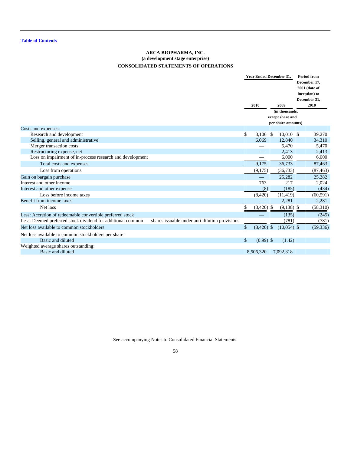# **ARCA BIOPHARMA, INC. (a development stage enterprise) CONSOLIDATED STATEMENTS OF OPERATIONS**

<span id="page-60-0"></span>

|                                                             |                                                |               | <b>Year Ended December 31.</b> |              |                    | <b>Period from</b><br>December 17. |               |  |
|-------------------------------------------------------------|------------------------------------------------|---------------|--------------------------------|--------------|--------------------|------------------------------------|---------------|--|
|                                                             |                                                |               |                                |              |                    |                                    | 2001 (date of |  |
|                                                             |                                                |               |                                |              |                    |                                    | inception) to |  |
|                                                             |                                                |               |                                |              |                    |                                    | December 31,  |  |
|                                                             |                                                |               | 2010                           |              | 2009               |                                    | 2010          |  |
|                                                             |                                                |               |                                |              | (in thousands,     |                                    |               |  |
|                                                             |                                                |               |                                |              | except share and   |                                    |               |  |
|                                                             |                                                |               |                                |              | per share amounts) |                                    |               |  |
| Costs and expenses:                                         |                                                |               |                                |              |                    |                                    |               |  |
| Research and development                                    |                                                | \$            | $3,106$ \$                     |              | $10,010$ \$        |                                    | 39,270        |  |
| Selling, general and administrative                         |                                                |               | 6,069                          |              | 12,840             |                                    | 34,310        |  |
| Merger transaction costs                                    |                                                |               |                                |              | 5,470              |                                    | 5,470         |  |
| Restructuring expense, net                                  |                                                |               |                                |              | 2,413              |                                    | 2,413         |  |
| Loss on impairment of in-process research and development   |                                                |               | –                              |              | 6,000              |                                    | 6,000         |  |
| Total costs and expenses                                    |                                                |               | 9,175                          |              | 36,733             |                                    | 87,463        |  |
| Loss from operations                                        |                                                |               | (9,175)                        |              | (36, 733)          |                                    | (87, 463)     |  |
| Gain on bargain purchase                                    |                                                |               |                                |              | 25,282             |                                    | 25,282        |  |
| Interest and other income                                   |                                                |               | 763                            |              | 217                |                                    | 2,024         |  |
| Interest and other expense                                  |                                                |               | (8)                            |              | (185)              |                                    | (434)         |  |
| Loss before income taxes                                    |                                                |               | (8,420)                        |              | (11, 419)          |                                    | (60, 591)     |  |
| Benefit from income taxes                                   |                                                |               |                                |              | 2,281              |                                    | 2,281         |  |
| Net loss                                                    |                                                | \$            | $(8,420)$ \$                   |              | $(9,138)$ \$       |                                    | (58,310)      |  |
| Less: Accretion of redeemable convertible preferred stock   |                                                |               |                                |              | (135)              |                                    | (245)         |  |
| Less: Deemed preferred stock dividend for additional common | shares issuable under anti-dilution provisions |               |                                |              | (781)              |                                    | (781)         |  |
| Net loss available to common stockholders                   |                                                | \$            | (8,420)                        | $\mathbb{S}$ | $(10,054)$ \$      |                                    | (59, 336)     |  |
| Net loss available to common stockholders per share:        |                                                |               |                                |              |                    |                                    |               |  |
| Basic and diluted                                           |                                                | $\mathsf{\$}$ | $(0.99)$ \$                    |              | (1.42)             |                                    |               |  |
| Weighted average shares outstanding:                        |                                                |               |                                |              |                    |                                    |               |  |
| Basic and diluted                                           |                                                |               | 8.506.320                      |              | 7,092,318          |                                    |               |  |

See accompanying Notes to Consolidated Financial Statements.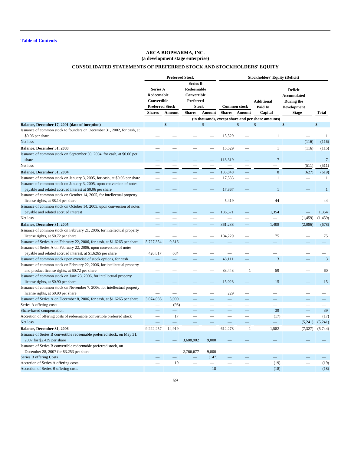## **ARCA BIOPHARMA, INC. (a development stage enterprise)**

# **CONSOLIDATED STATEMENTS OF PREFERRED STOCK AND STOCKHOLDERS' EQUITY**

<span id="page-61-0"></span>

|                                                                            |                        | <b>Preferred Stock</b>   |                          |                          | <b>Stockholders' Equity (Deficit)</b> |                          |                                                    |                          |                                |
|----------------------------------------------------------------------------|------------------------|--------------------------|--------------------------|--------------------------|---------------------------------------|--------------------------|----------------------------------------------------|--------------------------|--------------------------------|
|                                                                            |                        |                          | <b>Series B</b>          |                          |                                       |                          |                                                    |                          |                                |
|                                                                            | Series A               |                          | Redeemable               |                          |                                       |                          |                                                    | <b>Deficit</b>           |                                |
|                                                                            | Redeemable             |                          | Convertible              |                          |                                       |                          |                                                    | <b>Accumulated</b>       |                                |
|                                                                            | Convertible            |                          | Preferred                |                          |                                       |                          | <b>Additional</b>                                  |                          |                                |
|                                                                            |                        |                          |                          |                          |                                       |                          |                                                    | During the               |                                |
|                                                                            | <b>Preferred Stock</b> |                          | <b>Stock</b>             |                          |                                       | <b>Common stock</b>      | Paid In                                            | <b>Development</b>       |                                |
|                                                                            | <b>Shares</b>          | Amount                   | <b>Shares</b>            | Amount                   | <b>Shares</b>                         | Amount                   | Capital                                            | <b>Stage</b>             | <b>Total</b>                   |
|                                                                            |                        |                          |                          |                          |                                       |                          | (in thousands, except share and per share amounts) |                          |                                |
| Balance, December 17, 2001 (date of inception)                             |                        | \$                       |                          | $\mathcal{S}$            |                                       | \$                       | $\mathsf{\$}$                                      | \$                       | \$<br>$\overline{\phantom{a}}$ |
| Issuance of common stock to founders on December 31, 2002, for cash, at    |                        |                          |                          |                          |                                       |                          |                                                    |                          |                                |
| \$0.06 per share                                                           |                        |                          |                          |                          | 15,529                                |                          | $\mathbf{1}$                                       |                          | -1                             |
| Net loss                                                                   |                        |                          |                          | -                        |                                       |                          |                                                    | (116)                    | (116)                          |
| Balance, December 31, 2003                                                 |                        |                          |                          | $\overline{\phantom{0}}$ | 15,529                                | $\overline{\phantom{a}}$ | $\mathbf{1}$                                       | (116)                    | (115)                          |
| Issuance of common stock on September 30, 2004, for cash, at \$0.06 per    |                        |                          |                          |                          |                                       |                          |                                                    |                          |                                |
| share                                                                      |                        |                          |                          | ═                        | 118,319                               |                          | $\overline{7}$                                     | $\overline{\phantom{0}}$ | $7\phantom{.0}$                |
| Net loss                                                                   |                        |                          |                          |                          |                                       |                          |                                                    | (511)                    | (511)                          |
| Balance, December 31, 2004                                                 |                        |                          |                          |                          | 133,848                               |                          | $\boldsymbol{8}$                                   | (627)                    | (619)                          |
| Issuance of common stock on January 3, 2005, for cash, at \$0.06 per share |                        |                          |                          |                          | 17,533                                |                          | $\mathbf{1}$                                       |                          | 1                              |
| Issuance of common stock on January 3, 2005, upon conversion of notes      |                        |                          |                          |                          |                                       |                          |                                                    |                          |                                |
| payable and related accrued interest at \$0.06 per share                   |                        |                          |                          |                          | 17,867                                |                          | $\mathbf{1}$                                       |                          | $\mathbf{1}$                   |
|                                                                            |                        |                          |                          |                          |                                       |                          |                                                    |                          |                                |
| Issuance of common stock on October 14, 2005, for intellectual property    |                        |                          |                          |                          | 5,419                                 |                          | 44                                                 |                          |                                |
| license rights, at \$8.14 per share                                        |                        |                          |                          |                          |                                       |                          |                                                    |                          | 44                             |
| Issuance of common stock on October 14, 2005, upon conversion of notes     |                        |                          |                          |                          |                                       |                          |                                                    |                          |                                |
| payable and related accrued interest                                       |                        |                          |                          |                          | 186,571                               |                          | 1,354                                              |                          | 1,354                          |
| Net loss                                                                   |                        |                          |                          |                          |                                       |                          | -                                                  | (1, 459)                 | (1, 459)                       |
| Balance, December 31, 2005                                                 |                        |                          |                          |                          | 361.238                               |                          | 1.408                                              | (2,086)                  | (678)                          |
| Issuance of common stock on February 21, 2006, for intellectual property   |                        |                          |                          |                          |                                       |                          |                                                    |                          |                                |
| license rights, at \$0.72 per share                                        |                        |                          |                          |                          | 104,229                               |                          | 75                                                 |                          | 75                             |
| Issuance of Series A on February 22, 2006, for cash, at \$1.6265 per share | 5,727,354              | 9,316                    |                          |                          |                                       |                          |                                                    |                          |                                |
| Issuance of Series A on February 22, 2006, upon conversion of notes        |                        |                          |                          |                          |                                       |                          |                                                    |                          |                                |
| payable and related accrued interest, at \$1.6265 per share                | 420,817                | 684                      |                          |                          |                                       |                          |                                                    |                          |                                |
| Issuance of common stock upon exercise of stock options, for cash          |                        |                          |                          |                          | 48,111                                |                          | $\overline{3}$                                     |                          | $\overline{3}$                 |
| Issuance of common stock on February 22, 2006, for intellectual property   |                        |                          |                          |                          |                                       |                          |                                                    |                          |                                |
| and product license rights, at \$0.72 per share                            |                        |                          |                          |                          | 83,443                                | 1                        | 59                                                 |                          | 60                             |
| Issuance of common stock on June 23, 2006, for intellectual property       |                        |                          |                          |                          |                                       |                          |                                                    |                          |                                |
| license rights, at \$0.90 per share                                        |                        |                          |                          |                          | 15,028                                |                          | 15                                                 |                          | 15                             |
| Issuance of common stock on November 7, 2006, for intellectual property    |                        |                          |                          |                          |                                       |                          |                                                    |                          |                                |
| license rights, at \$0.90 per share                                        |                        |                          |                          |                          | 229                                   |                          |                                                    |                          |                                |
| Issuance of Series A on December 8, 2006, for cash, at \$1.6265 per share  | 3,074,086              | 5,000                    |                          |                          |                                       |                          |                                                    |                          |                                |
| Series A offering costs                                                    |                        | (98)                     | $\overline{\phantom{0}}$ |                          |                                       |                          |                                                    |                          |                                |
| Share-based compensation                                                   |                        | $\overline{\phantom{0}}$ |                          |                          |                                       |                          | 39                                                 |                          | 39                             |
| Accretion of offering costs of redeemable convertible preferred stock      |                        | 17                       |                          | $\overline{\phantom{0}}$ |                                       |                          | (17)                                               |                          | (17)                           |
| Net loss                                                                   |                        |                          |                          |                          |                                       |                          |                                                    | (5,241)                  | (5,241)                        |
| Balance, December 31, 2006                                                 | 9,222,257              | 14,919                   | $\overline{\phantom{a}}$ | $\overline{\phantom{0}}$ | 612,278                               | 1                        | 1,582                                              | (7, 327)                 | (5,744)                        |
| Issuance of Series B convertible redeemable preferred stock, on May 31,    |                        |                          |                          |                          |                                       |                          |                                                    |                          |                                |
| 2007 for \$2.439 per share                                                 |                        |                          | 3.688.902                | 9,000                    |                                       |                          |                                                    |                          |                                |
| Issuance of Series B convertible redeemable preferred stock, on            |                        |                          |                          |                          |                                       |                          |                                                    |                          |                                |
| December 28, 2007 for \$3.253 per share                                    |                        |                          | 2,766,677                | 9,000                    |                                       |                          |                                                    |                          |                                |
| Series B offering Costs                                                    |                        |                          | -                        | (147)                    |                                       |                          |                                                    |                          |                                |
| Accretion of Series A offering costs                                       |                        | 19                       |                          | $\overline{\phantom{0}}$ | -                                     | $\overline{\phantom{0}}$ | (19)                                               |                          | (19)                           |
| Accretion of Series B offering costs                                       |                        |                          |                          | 18                       |                                       |                          | (18)                                               |                          | (18)                           |
|                                                                            |                        |                          |                          |                          |                                       |                          |                                                    |                          |                                |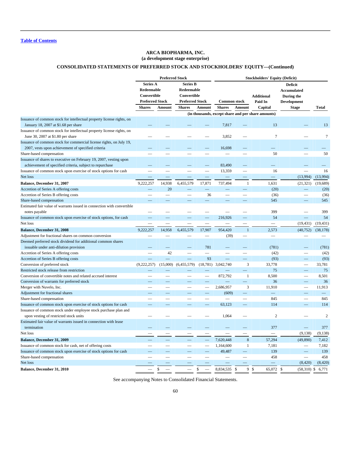## **ARCA BIOPHARMA, INC. (a development stage enterprise)**

# **CONSOLIDATED STATEMENTS OF PREFERRED STOCK AND STOCKHOLDERS' EQUITY—(Continued)**

|                                                                        |               | <b>Preferred Stock</b> |                 |           | <b>Stockholders' Equity (Deficit)</b>                                              |                          |                                                    |                           |                  |  |                    |  |
|------------------------------------------------------------------------|---------------|------------------------|-----------------|-----------|------------------------------------------------------------------------------------|--------------------------|----------------------------------------------------|---------------------------|------------------|--|--------------------|--|
|                                                                        | Series A      |                        | <b>Series B</b> |           |                                                                                    |                          |                                                    | <b>Deficit</b>            |                  |  |                    |  |
|                                                                        | Redeemable    |                        | Redeemable      |           |                                                                                    |                          |                                                    | <b>Accumulated</b>        |                  |  |                    |  |
|                                                                        | Convertible   |                        | Convertible     |           |                                                                                    |                          | <b>Additional</b>                                  | During the                |                  |  |                    |  |
|                                                                        |               |                        |                 |           | <b>Preferred Stock</b><br><b>Preferred Stock</b><br><b>Common stock</b><br>Paid In |                          |                                                    |                           |                  |  | <b>Development</b> |  |
|                                                                        | <b>Shares</b> | Amount                 | <b>Shares</b>   | Amount    | <b>Shares</b>                                                                      | Amount                   | Capital                                            | <b>Stage</b>              | <b>Total</b>     |  |                    |  |
|                                                                        |               |                        |                 |           |                                                                                    |                          | (in thousands, except share and per share amounts) |                           |                  |  |                    |  |
| Issuance of common stock for intellectual property license rights, on  |               |                        |                 |           |                                                                                    |                          |                                                    |                           |                  |  |                    |  |
| January 18, 2007 at \$1.68 per share                                   |               |                        |                 |           | 7,817                                                                              |                          | 13                                                 |                           | 13               |  |                    |  |
| Issuance of common stock for intellectual property license rights, on  |               |                        |                 |           |                                                                                    |                          |                                                    |                           |                  |  |                    |  |
| June 30, 2007 at \$1.80 per share                                      |               |                        |                 |           | 3,852                                                                              |                          | $\overline{7}$                                     |                           | $\boldsymbol{7}$ |  |                    |  |
| Issuance of common stock for commercial license rights, on July 19,    |               |                        |                 |           |                                                                                    |                          |                                                    |                           |                  |  |                    |  |
| 2007, vests upon achievement of specified criteria                     |               |                        |                 |           | 16,698                                                                             |                          |                                                    |                           |                  |  |                    |  |
| Share-based compensation                                               |               |                        |                 |           |                                                                                    | $\overline{\phantom{0}}$ | 50                                                 |                           | 50               |  |                    |  |
| Issuance of shares to executive on February 19, 2007, vesting upon     |               |                        |                 |           |                                                                                    |                          |                                                    |                           |                  |  |                    |  |
| achievement of specified criteria, subject to repurchase               |               |                        |                 |           | 83,490                                                                             |                          |                                                    |                           |                  |  |                    |  |
| Issuance of common stock upon exercise of stock options for cash       |               |                        |                 |           | 13,359                                                                             |                          | 16                                                 |                           | 16               |  |                    |  |
| Net loss                                                               |               |                        |                 |           |                                                                                    | $\overline{\phantom{m}}$ | ═                                                  | (13,994)                  | (13,994)         |  |                    |  |
| Balance, December 31, 2007                                             | 9,222,257     | 14,938                 | 6,455,579       | 17,871    | 737,494                                                                            | -1                       | 1,631                                              | (21, 321)                 | (19,689)         |  |                    |  |
| Accretion of Series A offering costs                                   |               | 20                     |                 |           |                                                                                    |                          | (20)                                               |                           | (20)             |  |                    |  |
| Accretion of Series B offering costs                                   |               |                        |                 | 36        | $\overline{\phantom{0}}$                                                           | $\overline{\phantom{a}}$ | (36)                                               |                           | (36)             |  |                    |  |
| Share-based compensation                                               |               |                        |                 |           |                                                                                    |                          | 545                                                |                           | 545              |  |                    |  |
| Estimated fair value of warrants issued in connection with convertible |               |                        |                 |           |                                                                                    |                          |                                                    |                           |                  |  |                    |  |
| notes payable                                                          |               |                        |                 |           |                                                                                    |                          | 399                                                |                           | 399              |  |                    |  |
| Issuance of common stock upon exercise of stock options, for cash      |               |                        |                 |           | 216,926                                                                            |                          | 54                                                 |                           | 54               |  |                    |  |
| Net loss                                                               |               |                        |                 |           |                                                                                    |                          |                                                    | (19, 431)                 | (19, 431)        |  |                    |  |
| Balance, December 31, 2008                                             | 9.222.257     | 14,958                 | 6,455,579       | 17,907    | 954,420                                                                            | $\mathbf{1}$             | 2,573                                              | (40, 752)                 | (38, 178)        |  |                    |  |
| Adjustment for fractional shares on common conversion                  |               |                        |                 |           | (39)                                                                               | $\overline{\phantom{0}}$ | $\overline{\phantom{0}}$                           |                           |                  |  |                    |  |
| Deemed preferred stock dividend for additional common shares           |               |                        |                 |           |                                                                                    |                          |                                                    |                           |                  |  |                    |  |
| issuable under anti-dilution provision                                 |               |                        |                 | 781       |                                                                                    |                          | (781)                                              |                           | (781)            |  |                    |  |
| Accretion of Series A offering costs                                   |               | 42                     |                 |           |                                                                                    |                          | (42)                                               |                           | (42)             |  |                    |  |
| Accretion of Series B offering costs                                   |               |                        |                 | 93        |                                                                                    |                          | (93)                                               |                           | (93)             |  |                    |  |
| Conversion of preferred stock                                          | (9, 222, 257) | (15,000)               | (6,455,579)     | (18, 781) | 3,042,740                                                                          | 3                        | 33,778                                             |                           | 33,781           |  |                    |  |
| Restricted stock release from restriction                              |               |                        |                 |           |                                                                                    |                          | 75                                                 |                           | 75               |  |                    |  |
| Conversion of convertible notes and related accrued interest           |               |                        |                 |           | 872,792                                                                            | $\mathbf{1}$             | 8,500                                              |                           | 8,501            |  |                    |  |
| Conversion of warrants for preferred stock                             |               |                        |                 |           |                                                                                    |                          | 36                                                 |                           | 36               |  |                    |  |
| Merger with Nuvelo, Inc.                                               |               |                        |                 |           | 2,686,957                                                                          | 3                        | 11,910                                             |                           | 11,913           |  |                    |  |
| Adjustment for fractional shares                                       |               |                        |                 |           | (609)                                                                              |                          |                                                    |                           |                  |  |                    |  |
| Share-based compensation                                               |               |                        |                 |           |                                                                                    |                          | 845                                                |                           | 845              |  |                    |  |
| Issuance of common stock upon exercise of stock options for cash       |               |                        |                 |           | 63,123                                                                             |                          | 114                                                |                           | 114              |  |                    |  |
| Issuance of common stock under employee stock purchase plan and        |               |                        |                 |           |                                                                                    |                          |                                                    |                           |                  |  |                    |  |
| upon vesting of restricted stock units                                 |               |                        |                 |           | 1,064                                                                              |                          | $\overline{2}$                                     |                           | $\sqrt{2}$       |  |                    |  |
| Estimated fair value of warrants issued in connection with lease       |               |                        |                 |           |                                                                                    |                          |                                                    |                           |                  |  |                    |  |
| termination                                                            |               |                        |                 |           |                                                                                    |                          | 377                                                |                           | 377              |  |                    |  |
| Net loss                                                               |               |                        |                 |           |                                                                                    |                          |                                                    | (9, 138)                  | (9, 138)         |  |                    |  |
| Balance, December 31, 2009                                             |               |                        |                 |           | 7,620,448                                                                          | $\,8\,$                  | 57,294                                             | (49, 890)                 | 7,412            |  |                    |  |
| Issuance of common stock for cash, net of offering costs               |               |                        |                 |           | 1,164,600                                                                          | $\mathbf{1}$             | 7,181                                              |                           | 7,182            |  |                    |  |
| Issuance of common stock upon exercise of stock options for cash       |               |                        |                 |           | 49,487                                                                             | -                        | 139                                                |                           | 139              |  |                    |  |
| Share-based compensation                                               |               |                        |                 |           |                                                                                    |                          | 458                                                |                           | 458              |  |                    |  |
| Net loss                                                               |               |                        |                 |           |                                                                                    |                          |                                                    | (8, 420)                  | (8, 420)         |  |                    |  |
| Balance, December 31, 2010                                             |               | \$                     |                 | \$        | 8,834,535                                                                          | $\mathbb{S}$<br>9        | \$<br>65,072                                       | $\mathcal{S}$<br>(58,310) | \$<br>6,771      |  |                    |  |

See accompanying Notes to Consolidated Financial Statements.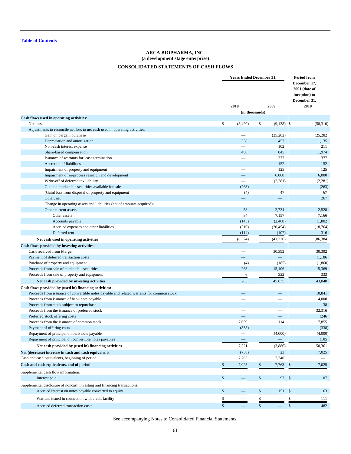# **ARCA BIOPHARMA, INC. (a development stage enterprise) CONSOLIDATED STATEMENTS OF CASH FLOWS**

<span id="page-63-0"></span>

|                                                                                           | <b>Years Ended December 31,</b> | <b>Period from</b>                                                     |                   |              |
|-------------------------------------------------------------------------------------------|---------------------------------|------------------------------------------------------------------------|-------------------|--------------|
|                                                                                           | 2010                            | December 17,<br>2001 (date of<br>inception) to<br>December 31,<br>2010 |                   |              |
|                                                                                           |                                 | (in thousands)                                                         |                   |              |
| Cash flows used in operating activities:                                                  |                                 |                                                                        |                   |              |
| Net loss                                                                                  | \$<br>(8, 420)                  | \$                                                                     | $(9,138)$ \$      | (58,310)     |
| Adjustments to reconcile net loss to net cash used in operating activities:               |                                 |                                                                        |                   |              |
| Gain on bargain purchase                                                                  |                                 |                                                                        | (25, 282)         | (25, 282)    |
| Depreciation and amortization                                                             | 338<br>$\overline{\phantom{0}}$ |                                                                        | 457<br>102        | 1,135<br>211 |
| Non-cash interest expense<br>Share-based compensation                                     | 458                             |                                                                        | 845               | 1,974        |
| Issuance of warrants for lease termination                                                | $\overline{\phantom{0}}$        |                                                                        | 377               | 377          |
| Accretion of liabilities                                                                  |                                 |                                                                        | 152               | 152          |
| Impairment of property and equipment                                                      |                                 |                                                                        | 125               | 125          |
| Impairment of in-process research and development                                         |                                 |                                                                        | 6,000             | 6,000        |
| Write-off of deferred tax liability                                                       | $\overline{\phantom{0}}$        |                                                                        | (2, 281)          | (2,281)      |
| Gain on marketable securities available for sale                                          | (263)                           |                                                                        | $\qquad \qquad -$ | (263)        |
| (Gain) loss from disposal of property and equipment                                       | (4)                             |                                                                        | 47                | 67           |
| Other, net                                                                                | $\qquad \qquad -$               |                                                                        | $\qquad \qquad -$ | 267          |
| Change in operating assets and liabilities (net of amounts acquired):                     |                                 |                                                                        |                   |              |
| Other current assets                                                                      | 58                              |                                                                        | 2,734             | 2,528        |
| Other assets                                                                              | 84                              |                                                                        | 7,157             | 7,166        |
| Accounts payable                                                                          | (145)                           |                                                                        | (2,460)           | (1,802)      |
| Accrued expenses and other liabilities                                                    | (316)                           |                                                                        | (20, 454)         | (18, 764)    |
| Deferred rent                                                                             | (114)                           |                                                                        | (107)             | 316          |
| Net cash used in operating activities                                                     | (8, 324)                        |                                                                        | (41, 726)         | (86, 384)    |
| Cash flows provided by investing activities:                                              |                                 |                                                                        |                   |              |
| Cash received from Merger                                                                 |                                 |                                                                        | 30,392            | 30,392       |
| Payment of deferred transaction costs                                                     | ═                               |                                                                        |                   | (1,186)      |
| Purchase of property and equipment                                                        | (4)                             |                                                                        | (185)             | (1,860)      |
| Proceeds from sale of marketable securities                                               | 263                             |                                                                        | 15,106            | 15,369       |
| Proceeds from sale of property and equipment                                              | 6                               |                                                                        | 322               | 333          |
| Net cash provided by investing activities                                                 | 265                             |                                                                        | 45,635            | 43,048       |
| Cash flows provided by (used in) financing activities:                                    |                                 |                                                                        |                   |              |
| Proceeds from issuance of convertible notes payable and related warrants for common stock |                                 |                                                                        |                   | 10,841       |
| Proceeds from issuance of bank note payable                                               |                                 |                                                                        |                   | 4,000        |
| Proceeds from stock subject to repurchase                                                 |                                 |                                                                        |                   | 38           |
| Proceeds from the issuance of preferred stock                                             |                                 |                                                                        |                   | 32,316       |
| Preferred stock offering costs                                                            |                                 |                                                                        |                   | (246)        |
| Proceeds from the issuance of common stock                                                | 7,659                           |                                                                        | 114               | 7,855        |
| Payment of offering costs                                                                 | (338)                           |                                                                        |                   | (338)        |
| Repayment of principal on bank note payable                                               |                                 |                                                                        | (4,000)           | (4,000)      |
| Repayment of principal on convertible notes payables                                      | $\overline{\phantom{m}}$        |                                                                        | $\qquad \qquad -$ | (105)        |
| Net cash provided by (used in) financing activities                                       | 7,321                           |                                                                        | (3,886)           | 50,361       |
| Net (decrease) increase in cash and cash equivalents                                      | (738)                           |                                                                        | 23                | 7,025        |
| Cash and cash equivalents, beginning of period                                            | 7,763                           |                                                                        | 7,740             |              |
| Cash and cash equivalents, end of period                                                  | \$<br>7,025                     | \$                                                                     | 7,763             | \$<br>7,025  |
|                                                                                           |                                 |                                                                        |                   |              |
| Supplemental cash flow information:                                                       |                                 |                                                                        |                   |              |
| Interest paid                                                                             | \$                              | \$                                                                     | 97                | 107<br>\$    |
| Supplemental disclosure of noncash investing and financing transactions:                  |                                 |                                                                        |                   |              |
| Accrued interest on notes payable converted to equity                                     | \$                              | \$                                                                     | 151               | \$<br>163    |
| Warrant issued in connection with credit facility                                         | \$                              | \$                                                                     |                   | \$<br>111    |
| Accrued deferred transaction costs                                                        | \$                              | \$                                                                     |                   | \$<br>482    |
|                                                                                           |                                 |                                                                        |                   |              |

See accompanying Notes to Consolidated Financial Statements.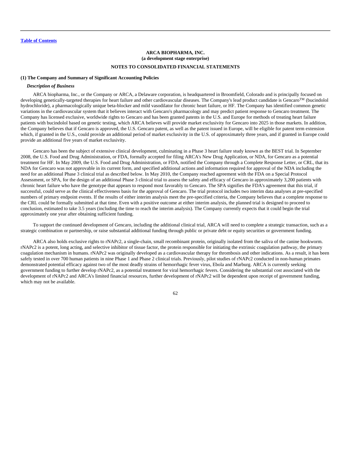#### <span id="page-64-0"></span>**(1) The Company and Summary of Significant Accounting Policies**

### *Description of Business*

ARCA biopharma, Inc., or the Company or ARCA, a Delaware corporation, is headquartered in Broomfield, Colorado and is principally focused on developing genetically-targeted therapies for heart failure and other cardiovascular diseases. The Company's lead product candidate is Gencaro™ (bucindolol hydrochloride), a pharmacologically unique beta-blocker and mild vasodilator for chronic heart failure, or HF. The Company has identified common genetic variations in the cardiovascular system that it believes interact with Gencaro's pharmacology and may predict patient response to Gencaro treatment. The Company has licensed exclusive, worldwide rights to Gencaro and has been granted patents in the U.S. and Europe for methods of treating heart failure patients with bucindolol based on genetic testing, which ARCA believes will provide market exclusivity for Gencaro into 2025 in those markets. In addition, the Company believes that if Gencaro is approved, the U.S. Gencaro patent, as well as the patent issued in Europe, will be eligible for patent term extension which, if granted in the U.S., could provide an additional period of market exclusivity in the U.S. of approximately three years, and if granted in Europe could provide an additional five years of market exclusivity.

Gencaro has been the subject of extensive clinical development, culminating in a Phase 3 heart failure study known as the BEST trial. In September 2008, the U.S. Food and Drug Administration, or FDA, formally accepted for filing ARCA's New Drug Application, or NDA, for Gencaro as a potential treatment for HF. In May 2009, the U.S. Food and Drug Administration, or FDA, notified the Company through a Complete Response Letter, or CRL, that its NDA for Gencaro was not approvable in its current form, and specified additional actions and information required for approval of the NDA including the need for an additional Phase 3 clinical trial as described below. In May 2010, the Company reached agreement with the FDA on a Special Protocol Assessment, or SPA, for the design of an additional Phase 3 clinical trial to assess the safety and efficacy of Gencaro in approximately 3,200 patients with chronic heart failure who have the genotype that appears to respond most favorably to Gencaro. The SPA signifies the FDA's agreement that this trial, if successful, could serve as the clinical effectiveness basis for the approval of Gencaro. The trial protocol includes two interim data analyses at pre-specified numbers of primary endpoint events. If the results of either interim analysis meet the pre-specified criteria, the Company believes that a complete response to the CRL could be formally submitted at that time. Even with a positive outcome at either interim analysis, the planned trial is designed to proceed to conclusion, estimated to take 3.5 years (including the time to reach the interim analysis). The Company currently expects that it could begin the trial approximately one year after obtaining sufficient funding.

To support the continued development of Gencaro, including the additional clinical trial, ARCA will need to complete a strategic transaction, such as a strategic combination or partnership, or raise substantial additional funding through public or private debt or equity securities or government funding.

ARCA also holds exclusive rights to rNAPc2, a single-chain, small recombinant protein, originally isolated from the saliva of the canine hookworm. rNAPc2 is a potent, long acting, and selective inhibitor of tissue factor, the protein responsible for initiating the extrinsic coagulation pathway, the primary coagulation mechanism in humans. rNAPc2 was originally developed as a cardiovascular therapy for thrombosis and other indications. As a result, it has been safely tested in over 700 human patients in nine Phase 1 and Phase 2 clinical trials. Previously, pilot studies of rNAPc2 conducted in non-human primates demonstrated potential efficacy against two of the most deadly strains of hemorrhagic fever virus, Ebola and Marburg. ARCA is currently seeking government funding to further develop rNAPc2, as a potential treatment for viral hemorrhagic fevers. Considering the substantial cost associated with the development of rNAPc2 and ARCA's limited financial resources, further development of rNAPc2 will be dependent upon receipt of government funding, which may not be available.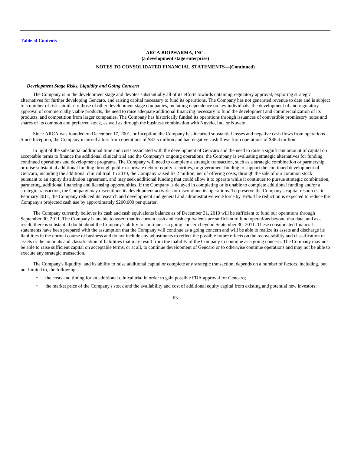#### *Development Stage Risks, Liquidity and Going Concern*

The Company is in the development stage and devotes substantially all of its efforts towards obtaining regulatory approval, exploring strategic alternatives for further developing Gencaro, and raising capital necessary to fund its operations. The Company has not generated revenue to date and is subject to a number of risks similar to those of other development stage companies, including dependence on key individuals, the development of and regulatory approval of commercially viable products, the need to raise adequate additional financing necessary to fund the development and commercialization of its products, and competition from larger companies. The Company has historically funded its operations through issuances of convertible promissory notes and shares of its common and preferred stock, as well as through the business combination with Nuvelo, Inc, or Nuvelo.

Since ARCA was founded on December 17, 2001, or Inception, the Company has incurred substantial losses and negative cash flows from operations. Since Inception, the Company incurred a loss from operations of \$87.5 million and had negative cash flows from operations of \$86.4 million.

In light of the substantial additional time and costs associated with the development of Gencaro and the need to raise a significant amount of capital on acceptable terms to finance the additional clinical trial and the Company's ongoing operations, the Company is evaluating strategic alternatives for funding continued operations and development programs. The Company will need to complete a strategic transaction, such as a strategic combination or partnership, or raise substantial additional funding through public or private debt or equity securities, or government funding to support the continued development of Gencaro, including the additional clinical trial. In 2010, the Company raised \$7.2 million, net of offering costs, through the sale of our common stock pursuant to an equity distribution agreement, and may seek additional funding that could allow it to operate while it continues to pursue strategic combination, partnering, additional financing and licensing opportunities. If the Company is delayed in completing or is unable to complete additional funding and/or a strategic transaction, the Company may discontinue its development activities or discontinue its operations. To preserve the Company's capital resources, in February 2011, the Company reduced its research and development and general and administrative workforce by 36%. The reduction is expected to reduce the Company's projected cash use by approximately \$200,000 per quarter.

The Company currently believes its cash and cash equivalents balance as of December 31, 2010 will be sufficient to fund our operations through September 30, 2011. The Company is unable to assert that its current cash and cash equivalents are sufficient to fund operations beyond that date, and as a result, there is substantial doubt about the Company's ability to continue as a going concern beyond September 30, 2011. These consolidated financial statements have been prepared with the assumption that the Company will continue as a going concern and will be able to realize its assets and discharge its liabilities in the normal course of business and do not include any adjustments to reflect the possible future effects on the recoverability and classification of assets or the amounts and classification of liabilities that may result from the inability of the Company to continue as a going concern. The Company may not be able to raise sufficient capital on acceptable terms, or at all, to continue development of Gencaro or to otherwise continue operations and may not be able to execute any strategic transaction.

The Company's liquidity, and its ability to raise additional capital or complete any strategic transaction, depends on a number of factors, including, but not limited to, the following:

- the costs and timing for an additional clinical trial in order to gain possible FDA approval for Gencaro;
- the market price of the Company's stock and the availability and cost of additional equity capital from existing and potential new investors;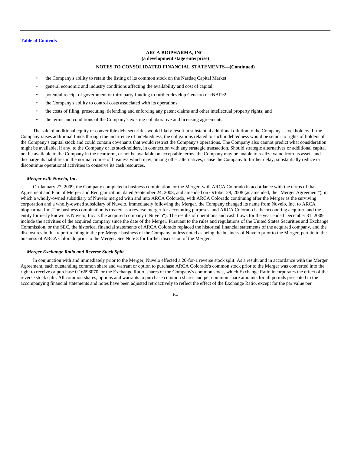# **ARCA BIOPHARMA, INC. (a development stage enterprise) NOTES TO CONSOLIDATED FINANCIAL STATEMENTS—(Continued)**

- the Company's ability to retain the listing of its common stock on the Nasdaq Capital Market;
- general economic and industry conditions affecting the availability and cost of capital;
- potential receipt of government or third party funding to further develop Gencaro or rNAPc2;
- the Company's ability to control costs associated with its operations;
- the costs of filing, prosecuting, defending and enforcing any patent claims and other intellectual property rights; and
- the terms and conditions of the Company's existing collaborative and licensing agreements.

The sale of additional equity or convertible debt securities would likely result in substantial additional dilution to the Company's stockholders. If the Company raises additional funds through the incurrence of indebtedness, the obligations related to such indebtedness would be senior to rights of holders of the Company's capital stock and could contain covenants that would restrict the Company's operations. The Company also cannot predict what consideration might be available, if any, to the Company or its stockholders, in connection with any strategic transaction. Should strategic alternatives or additional capital not be available to the Company in the near term, or not be available on acceptable terms, the Company may be unable to realize value from its assets and discharge its liabilities in the normal course of business which may, among other alternatives, cause the Company to further delay, substantially reduce or discontinue operational activities to conserve its cash resources.

### *Merger with Nuvelo, Inc.*

On January 27, 2009, the Company completed a business combination, or the Merger, with ARCA Colorado in accordance with the terms of that Agreement and Plan of Merger and Reorganization, dated September 24, 2008, and amended on October 28, 2008 (as amended, the "Merger Agreement"), in which a wholly-owned subsidiary of Nuvelo merged with and into ARCA Colorado, with ARCA Colorado continuing after the Merger as the surviving corporation and a wholly-owned subsidiary of Nuvelo. Immediately following the Merger, the Company changed its name from Nuvelo, Inc. to ARCA biopharma, Inc. The business combination is treated as a reverse merger for accounting purposes, and ARCA Colorado is the accounting acquirer, and the entity formerly known as Nuvelo, Inc. is the acquired company ("Nuvelo"). The results of operations and cash flows for the year ended December 31, 2009 include the activities of the acquired company since the date of the Merger. Pursuant to the rules and regulations of the United States Securities and Exchange Commission, or the SEC, the historical financial statements of ARCA Colorado replaced the historical financial statements of the acquired company, and the disclosures in this report relating to the pre-Merger business of the Company, unless noted as being the business of Nuvelo prior to the Merger, pertain to the business of ARCA Colorado prior to the Merger. See Note 3 for further discussion of the Merger.

#### *Merger Exchange Ratio and Reverse Stock Split*

In conjunction with and immediately prior to the Merger, Nuvelo effected a 20-for-1 reverse stock split. As a result, and in accordance with the Merger Agreement, each outstanding common share and warrant or option to purchase ARCA Colorado's common stock prior to the Merger was converted into the right to receive or purchase 0.16698070, or the Exchange Ratio, shares of the Company's common stock, which Exchange Ratio incorporates the effect of the reverse stock split. All common shares, options and warrants to purchase common shares and per common share amounts for all periods presented in the accompanying financial statements and notes have been adjusted retroactively to reflect the effect of the Exchange Ratio, except for the par value per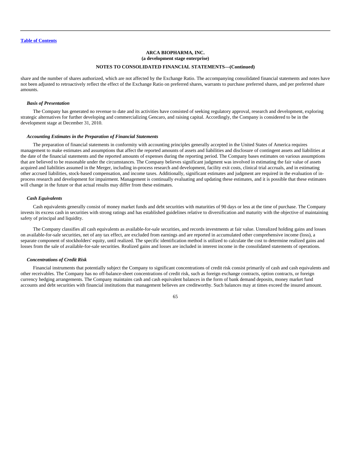share and the number of shares authorized, which are not affected by the Exchange Ratio. The accompanying consolidated financial statements and notes have not been adjusted to retroactively reflect the effect of the Exchange Ratio on preferred shares, warrants to purchase preferred shares, and per preferred share amounts.

## *Basis of Presentation*

The Company has generated no revenue to date and its activities have consisted of seeking regulatory approval, research and development, exploring strategic alternatives for further developing and commercializing Gencaro, and raising capital. Accordingly, the Company is considered to be in the development stage at December 31, 2010.

#### *Accounting Estimates in the Preparation of Financial Statements*

The preparation of financial statements in conformity with accounting principles generally accepted in the United States of America requires management to make estimates and assumptions that affect the reported amounts of assets and liabilities and disclosure of contingent assets and liabilities at the date of the financial statements and the reported amounts of expenses during the reporting period. The Company bases estimates on various assumptions that are believed to be reasonable under the circumstances. The Company believes significant judgment was involved in estimating the fair value of assets acquired and liabilities assumed in the Merger, including in-process research and development, facility exit costs, clinical trial accruals, and in estimating other accrued liabilities, stock-based compensation, and income taxes. Additionally, significant estimates and judgment are required in the evaluation of inprocess research and development for impairment. Management is continually evaluating and updating these estimates, and it is possible that these estimates will change in the future or that actual results may differ from these estimates.

## *Cash Equivalents*

Cash equivalents generally consist of money market funds and debt securities with maturities of 90 days or less at the time of purchase. The Company invests its excess cash in securities with strong ratings and has established guidelines relative to diversification and maturity with the objective of maintaining safety of principal and liquidity.

The Company classifies all cash equivalents as available-for-sale securities, and records investments at fair value. Unrealized holding gains and losses on available-for-sale securities, net of any tax effect, are excluded from earnings and are reported in accumulated other comprehensive income (loss), a separate component of stockholders' equity, until realized. The specific identification method is utilized to calculate the cost to determine realized gains and losses from the sale of available-for-sale securities. Realized gains and losses are included in interest income in the consolidated statements of operations.

#### *Concentrations of Credit Risk*

Financial instruments that potentially subject the Company to significant concentrations of credit risk consist primarily of cash and cash equivalents and other receivables. The Company has no off-balance-sheet concentrations of credit risk, such as foreign exchange contracts, option contracts, or foreign currency hedging arrangements. The Company maintains cash and cash equivalent balances in the form of bank demand deposits, money market fund accounts and debt securities with financial institutions that management believes are creditworthy. Such balances may at times exceed the insured amount.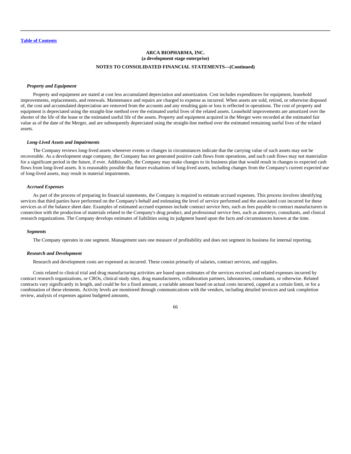#### *Property and Equipment*

Property and equipment are stated at cost less accumulated depreciation and amortization. Cost includes expenditures for equipment, leasehold improvements, replacements, and renewals. Maintenance and repairs are charged to expense as incurred. When assets are sold, retired, or otherwise disposed of, the cost and accumulated depreciation are removed from the accounts and any resulting gain or loss is reflected in operations. The cost of property and equipment is depreciated using the straight-line method over the estimated useful lives of the related assets. Leasehold improvements are amortized over the shorter of the life of the lease or the estimated useful life of the assets. Property and equipment acquired in the Merger were recorded at the estimated fair value as of the date of the Merger, and are subsequently depreciated using the straight-line method over the estimated remaining useful lives of the related assets.

#### *Long-Lived Assets and Impairments*

The Company reviews long-lived assets whenever events or changes in circumstances indicate that the carrying value of such assets may not be recoverable. As a development stage company, the Company has not generated positive cash flows from operations, and such cash flows may not materialize for a significant period in the future, if ever. Additionally, the Company may make changes to its business plan that would result in changes to expected cash flows from long-lived assets. It is reasonably possible that future evaluations of long-lived assets, including changes from the Company's current expected use of long-lived assets, may result in material impairments.

#### *Accrued Expenses*

As part of the process of preparing its financial statements, the Company is required to estimate accrued expenses. This process involves identifying services that third parties have performed on the Company's behalf and estimating the level of service performed and the associated cost incurred for these services as of the balance sheet date. Examples of estimated accrued expenses include contract service fees, such as fees payable to contract manufacturers in connection with the production of materials related to the Company's drug product, and professional service fees, such as attorneys, consultants, and clinical research organizations. The Company develops estimates of liabilities using its judgment based upon the facts and circumstances known at the time.

#### *Segments*

The Company operates in one segment. Management uses one measure of profitability and does not segment its business for internal reporting.

#### *Research and Development*

Research and development costs are expensed as incurred. These consist primarily of salaries, contract services, and supplies.

Costs related to clinical trial and drug manufacturing activities are based upon estimates of the services received and related expenses incurred by contract research organizations, or CROs, clinical study sites, drug manufacturers, collaboration partners, laboratories, consultants, or otherwise. Related contracts vary significantly in length, and could be for a fixed amount, a variable amount based on actual costs incurred, capped at a certain limit, or for a combination of these elements. Activity levels are monitored through communications with the vendors, including detailed invoices and task completion review, analysis of expenses against budgeted amounts,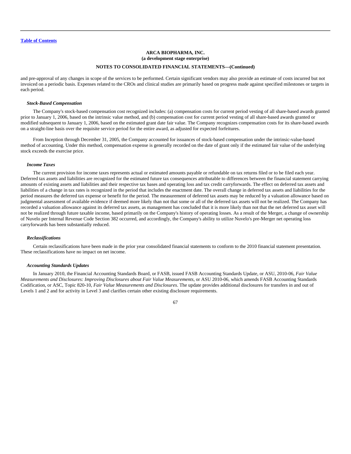and pre-approval of any changes in scope of the services to be performed. Certain significant vendors may also provide an estimate of costs incurred but not invoiced on a periodic basis. Expenses related to the CROs and clinical studies are primarily based on progress made against specified milestones or targets in each period.

## *Stock-Based Compensation*

The Company's stock-based compensation cost recognized includes: (a) compensation costs for current period vesting of all share-based awards granted prior to January 1, 2006, based on the intrinsic value method, and (b) compensation cost for current period vesting of all share-based awards granted or modified subsequent to January 1, 2006, based on the estimated grant date fair value. The Company recognizes compensation costs for its share-based awards on a straight-line basis over the requisite service period for the entire award, as adjusted for expected forfeitures.

From Inception through December 31, 2005, the Company accounted for issuances of stock-based compensation under the intrinsic-value-based method of accounting. Under this method, compensation expense is generally recorded on the date of grant only if the estimated fair value of the underlying stock exceeds the exercise price.

### *Income Taxes*

The current provision for income taxes represents actual or estimated amounts payable or refundable on tax returns filed or to be filed each year. Deferred tax assets and liabilities are recognized for the estimated future tax consequences attributable to differences between the financial statement carrying amounts of existing assets and liabilities and their respective tax bases and operating loss and tax credit carryforwards. The effect on deferred tax assets and liabilities of a change in tax rates is recognized in the period that includes the enactment date. The overall change in deferred tax assets and liabilities for the period measures the deferred tax expense or benefit for the period. The measurement of deferred tax assets may be reduced by a valuation allowance based on judgmental assessment of available evidence if deemed more likely than not that some or all of the deferred tax assets will not be realized. The Company has recorded a valuation allowance against its deferred tax assets, as management has concluded that it is more likely than not that the net deferred tax asset will not be realized through future taxable income, based primarily on the Company's history of operating losses. As a result of the Merger, a change of ownership of Nuvelo per Internal Revenue Code Section 382 occurred, and accordingly, the Company's ability to utilize Nuvelo's pre-Merger net operating loss carryforwards has been substantially reduced.

#### *Reclassifications*

Certain reclassifications have been made in the prior year consolidated financial statements to conform to the 2010 financial statement presentation. These reclassifications have no impact on net income.

#### *Accounting Standards Updates*

In January 2010, the Financial Accounting Standards Board, or FASB, issued FASB Accounting Standards Update, or ASU, 2010-06, *Fair Value Measurements and Disclosures: Improving Disclosures about Fair Value Measurements*, or ASU 2010-06, which amends FASB Accounting Standards Codification, or ASC, Topic 820-10, *Fair Value Measurements and Disclosures*. The update provides additional disclosures for transfers in and out of Levels 1 and 2 and for activity in Level 3 and clarifies certain other existing disclosure requirements.

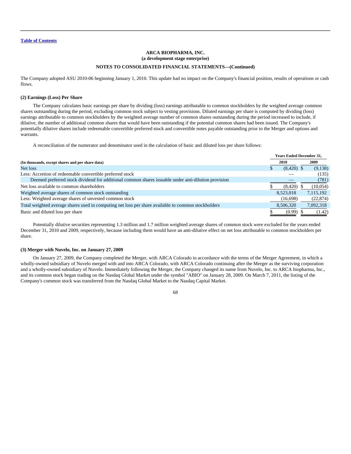The Company adopted ASU 2010-06 beginning January 1, 2010. This update had no impact on the Company's financial position, results of operations or cash flows.

### **(2) Earnings (Loss) Per Share**

The Company calculates basic earnings per share by dividing (loss) earnings attributable to common stockholders by the weighted average common shares outstanding during the period, excluding common stock subject to vesting provisions. Diluted earnings per share is computed by dividing (loss) earnings attributable to common stockholders by the weighted average number of common shares outstanding during the period increased to include, if dilutive, the number of additional common shares that would have been outstanding if the potential common shares had been issued. The Company's potentially dilutive shares include redeemable convertible preferred stock and convertible notes payable outstanding prior to the Merger and options and warrants.

A reconciliation of the numerator and denominator used in the calculation of basic and diluted loss per share follows:

|                                                                                                     |  | <b>Years Ended December 31,</b> |  |           |
|-----------------------------------------------------------------------------------------------------|--|---------------------------------|--|-----------|
| (In thousands, except shares and per share data)                                                    |  | 2010                            |  | 2009      |
| Net loss                                                                                            |  | $(8,420)$ \$                    |  | (9,138)   |
| Less: Accretion of redeemable convertible preferred stock                                           |  |                                 |  | (135)     |
| Deemed preferred stock dividend for additional common shares issuable under anti-dilution provision |  |                                 |  | (781)     |
| Net loss available to common shareholders                                                           |  | (8,420)                         |  | (10,054)  |
| Weighted average shares of common stock outstanding                                                 |  | 8.523.018                       |  | 7,115,192 |
| Less: Weighted average shares of unvested common stock                                              |  | (16,698)                        |  | (22, 874) |
| Total weighted average shares used in computing net loss per share available to common stockholders |  | 8,506,320                       |  | 7,092,318 |
| Basic and diluted loss per share                                                                    |  | (0.99)                          |  | (1.42)    |

Potentially dilutive securities representing 1.3 million and 1.7 million weighted average shares of common stock were excluded for the years ended December 31, 2010 and 2009, respectively, because including them would have an anti-dilutive effect on net loss attributable to common stockholders per share.

#### **(3) Merger with Nuvelo, Inc. on January 27, 2009**

On January 27, 2009, the Company completed the Merger, with ARCA Colorado in accordance with the terms of the Merger Agreement, in which a wholly-owned subsidiary of Nuvelo merged with and into ARCA Colorado, with ARCA Colorado continuing after the Merger as the surviving corporation and a wholly-owned subsidiary of Nuvelo. Immediately following the Merger, the Company changed its name from Nuvelo, Inc. to ARCA biopharma, Inc., and its common stock began trading on the Nasdaq Global Market under the symbol "ABIO" on January 28, 2009. On March 7, 2011, the listing of the Company's common stock was transferred from the Nasdaq Global Market to the Nasdaq Capital Market.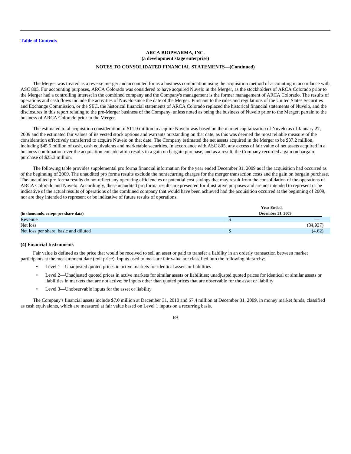The Merger was treated as a reverse merger and accounted for as a business combination using the acquisition method of accounting in accordance with ASC 805. For accounting purposes, ARCA Colorado was considered to have acquired Nuvelo in the Merger, as the stockholders of ARCA Colorado prior to the Merger had a controlling interest in the combined company and the Company's management is the former management of ARCA Colorado. The results of operations and cash flows include the activities of Nuvelo since the date of the Merger. Pursuant to the rules and regulations of the United States Securities and Exchange Commission, or the SEC, the historical financial statements of ARCA Colorado replaced the historical financial statements of Nuvelo, and the disclosures in this report relating to the pre-Merger business of the Company, unless noted as being the business of Nuvelo prior to the Merger, pertain to the business of ARCA Colorado prior to the Merger.

The estimated total acquisition consideration of \$11.9 million to acquire Nuvelo was based on the market capitalization of Nuvelo as of January 27, 2009 and the estimated fair values of its vested stock options and warrants outstanding on that date, as this was deemed the most reliable measure of the consideration effectively transferred to acquire Nuvelo on that date. The Company estimated the net assets acquired in the Merger to be \$37.2 million, including \$45.5 million of cash, cash equivalents and marketable securities. In accordance with ASC 805, any excess of fair value of net assets acquired in a business combination over the acquisition consideration results in a gain on bargain purchase, and as a result, the Company recorded a gain on bargain purchase of \$25.3 million.

The following table provides supplemental pro forma financial information for the year ended December 31, 2009 as if the acquisition had occurred as of the beginning of 2009. The unaudited pro forma results exclude the nonrecurring charges for the merger transaction costs and the gain on bargain purchase. The unaudited pro forma results do not reflect any operating efficiencies or potential cost savings that may result from the consolidation of the operations of ARCA Colorado and Nuvelo. Accordingly, these unaudited pro forma results are presented for illustrative purposes and are not intended to represent or be indicative of the actual results of operations of the combined company that would have been achieved had the acquisition occurred at the beginning of 2009, nor are they intended to represent or be indicative of future results of operations.

|                                       | Year Ended,              |
|---------------------------------------|--------------------------|
| (in thousands, except per share data) | <b>December 31, 2009</b> |
| Revenue                               | $\overline{\phantom{a}}$ |
| Net loss                              | (34,937)                 |
| Net loss per share, basic and diluted | (4.62)                   |

#### **(4) Financial Instruments**

Fair value is defined as the price that would be received to sell an asset or paid to transfer a liability in an orderly transaction between market participants at the measurement date (exit price). Inputs used to measure fair value are classified into the following hierarchy:

- Level 1—Unadjusted quoted prices in active markets for identical assets or liabilities
- Level 2—Unadjusted quoted prices in active markets for similar assets or liabilities; unadjusted quoted prices for identical or similar assets or liabilities in markets that are not active; or inputs other than quoted prices that are observable for the asset or liability
- Level 3—Unobservable inputs for the asset or liability

The Company's financial assets include \$7.0 million at December 31, 2010 and \$7.4 million at December 31, 2009, in money market funds, classified as cash equivalents, which are measured at fair value based on Level 1 inputs on a recurring basis.

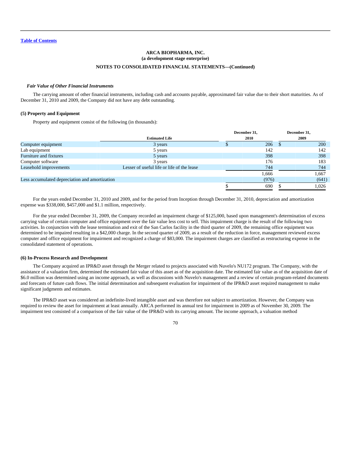## *Fair Value of Other Financial Instruments*

The carrying amount of other financial instruments, including cash and accounts payable, approximated fair value due to their short maturities. As of December 31, 2010 and 2009, the Company did not have any debt outstanding.

## **(5) Property and Equipment**

Property and equipment consist of the following (in thousands):

|                                                |                             |       | December 31, |
|------------------------------------------------|-----------------------------|-------|--------------|
| <b>Estimated Life</b>                          | December 31,<br><b>2010</b> | 2009  |              |
| 3 years                                        |                             | 206   | <b>200</b>   |
| 5 years                                        |                             | 142   | 142          |
| 5 years                                        |                             | 398   | 398          |
| 3 years                                        |                             | 176   | 183          |
| Lesser of useful life or life of the lease     |                             | 744   | 744          |
|                                                |                             | 1,666 | 1,667        |
| Less accumulated depreciation and amortization |                             | (976) | (641)        |
|                                                |                             | 690   | 1.026        |
|                                                |                             |       |              |

For the years ended December 31, 2010 and 2009, and for the period from Inception through December 31, 2010, depreciation and amortization expense was \$338,000, \$457,000 and \$1.1 million, respectively.

For the year ended December 31, 2009, the Company recorded an impairment charge of \$125,000, based upon management's determination of excess carrying value of certain computer and office equipment over the fair value less cost to sell. This impairment charge is the result of the following two activities. In conjunction with the lease termination and exit of the San Carlos facility in the third quarter of 2009, the remaining office equipment was determined to be impaired resulting in a \$42,000 charge. In the second quarter of 2009, as a result of the reduction in force, management reviewed excess computer and office equipment for impairment and recognized a charge of \$83,000. The impairment charges are classified as restructuring expense in the consolidated statement of operations.

### **(6) In-Process Research and Development**

The Company acquired an IPR&D asset through the Merger related to projects associated with Nuvelo's NU172 program. The Company, with the assistance of a valuation firm, determined the estimated fair value of this asset as of the acquisition date. The estimated fair value as of the acquisition date of \$6.0 million was determined using an income approach, as well as discussions with Nuvelo's management and a review of certain program-related documents and forecasts of future cash flows. The initial determination and subsequent evaluation for impairment of the IPR&D asset required management to make significant judgments and estimates.

The IPR&D asset was considered an indefinite-lived intangible asset and was therefore not subject to amortization. However, the Company was required to review the asset for impairment at least annually. ARCA performed its annual test for impairment in 2009 as of November 30, 2009. The impairment test consisted of a comparison of the fair value of the IPR&D with its carrying amount. The income approach, a valuation method

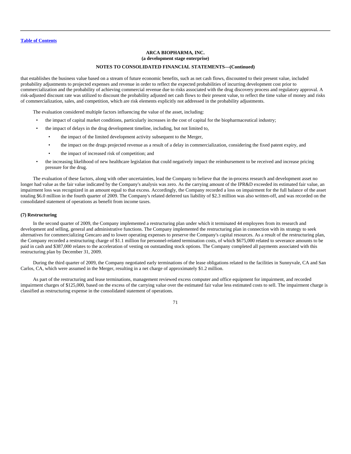that establishes the business value based on a stream of future economic benefits, such as net cash flows, discounted to their present value, included probability adjustments to projected expenses and revenue in order to reflect the expected probabilities of incurring development cost prior to commercialization and the probability of achieving commercial revenue due to risks associated with the drug discovery process and regulatory approval. A risk-adjusted discount rate was utilized to discount the probability adjusted net cash flows to their present value, to reflect the time value of money and risks of commercialization, sales, and competition, which are risk elements explicitly not addressed in the probability adjustments.

The evaluation considered multiple factors influencing the value of the asset, including:

- the impact of capital market conditions, particularly increases in the cost of capital for the biopharmaceutical industry;
- the impact of delays in the drug development timeline, including, but not limited to,
	- the impact of the limited development activity subsequent to the Merger,
	- the impact on the drugs projected revenue as a result of a delay in commercialization, considering the fixed patent expiry, and
	- the impact of increased risk of competition; and
- the increasing likelihood of new healthcare legislation that could negatively impact the reimbursement to be received and increase pricing pressure for the drug.

The evaluation of these factors, along with other uncertainties, lead the Company to believe that the in-process research and development asset no longer had value as the fair value indicated by the Company's analysis was zero. As the carrying amount of the IPR&D exceeded its estimated fair value, an impairment loss was recognized in an amount equal to that excess. Accordingly, the Company recorded a loss on impairment for the full balance of the asset totaling \$6.0 million in the fourth quarter of 2009. The Company's related deferred tax liability of \$2.3 million was also written-off, and was recorded on the consolidated statement of operations as benefit from income taxes.

## **(7) Restructuring**

In the second quarter of 2009, the Company implemented a restructuring plan under which it terminated 44 employees from its research and development and selling, general and administrative functions. The Company implemented the restructuring plan in connection with its strategy to seek alternatives for commercializing Gencaro and to lower operating expenses to preserve the Company's capital resources. As a result of the restructuring plan, the Company recorded a restructuring charge of \$1.1 million for personnel-related termination costs, of which \$675,000 related to severance amounts to be paid in cash and \$387,000 relates to the acceleration of vesting on outstanding stock options. The Company completed all payments associated with this restructuring plan by December 31, 2009.

During the third quarter of 2009, the Company negotiated early terminations of the lease obligations related to the facilities in Sunnyvale, CA and San Carlos, CA, which were assumed in the Merger, resulting in a net charge of approximately \$1.2 million.

As part of the restructuring and lease terminations, management reviewed excess computer and office equipment for impairment, and recorded impairment charges of \$125,000, based on the excess of the carrying value over the estimated fair value less estimated costs to sell. The impairment charge is classified as restructuring expense in the consolidated statement of operations.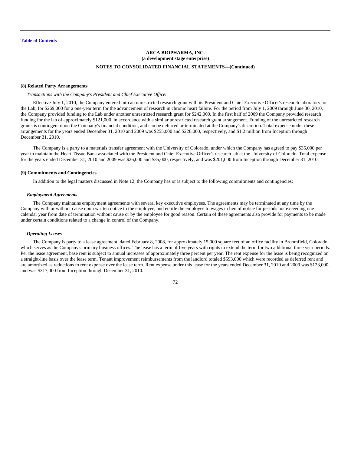#### **(8) Related Party Arrangements**

## *Transactions with the Company's President and Chief Executive Officer*

Effective July 1, 2010, the Company entered into an unrestricted research grant with its President and Chief Executive Officer's research laboratory, or the Lab, for \$269,000 for a one-year term for the advancement of research in chronic heart failure. For the period from July 1, 2009 through June 30, 2010, the Company provided funding to the Lab under another unrestricted research grant for \$242,000. In the first half of 2009 the Company provided research funding for the lab of approximately \$121,000, in accordance with a similar unrestricted research grant arrangement. Funding of the unrestricted research grants is contingent upon the Company's financial condition, and can be deferred or terminated at the Company's discretion. Total expense under these arrangements for the years ended December 31, 2010 and 2009 was \$255,000 and \$220,000, respectively, and \$1.2 million from Inception through December 31, 2010.

The Company is a party to a materials transfer agreement with the University of Colorado, under which the Company has agreed to pay \$35,000 per year to maintain the Heart Tissue Bank associated with the President and Chief Executive Officer's research lab at the University of Colorado. Total expense for the years ended December 31, 2010 and 2009 was \$26,000 and \$35,000, respectively, and was \$201,000 from Inception through December 31, 2010.

## **(9) Commitments and Contingencies**

In addition to the legal matters discussed in Note 12, the Company has or is subject to the following commitments and contingencies:

### *Employment Agreements*

The Company maintains employment agreements with several key executive employees. The agreements may be terminated at any time by the Company with or without cause upon written notice to the employee, and entitle the employee to wages in lieu of notice for periods not exceeding one calendar year from date of termination without cause or by the employee for good reason. Certain of these agreements also provide for payments to be made under certain conditions related to a change in control of the Company.

## *Operating Leases*

The Company is party to a lease agreement, dated February 8, 2008, for approximately 15,000 square feet of an office facility in Broomfield, Colorado, which serves as the Company's primary business offices. The lease has a term of five years with rights to extend the term for two additional three year periods. Per the lease agreement, base rent is subject to annual increases of approximately three percent per year. The rent expense for the lease is being recognized on a straight-line basis over the lease term. Tenant improvement reimbursements from the landlord totaled \$593,000 which were recorded as deferred rent and are amortized as reductions to rent expense over the lease term. Rent expense under this lease for the years ended December 31, 2010 and 2009 was \$123,000, and was \$317,000 from Inception through December 31, 2010.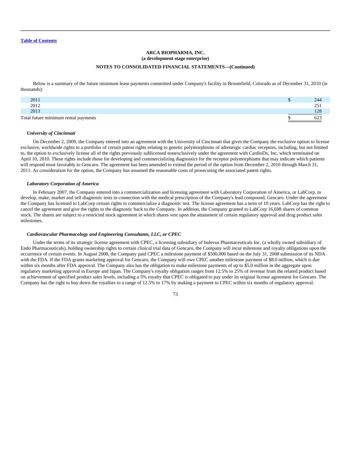Below is a summary of the future minimum lease payments committed under Company's facility in Broomfield, Colorado as of December 31, 2010 (in thousands):

| 2011                                 | 244               |
|--------------------------------------|-------------------|
| 2012                                 | $\sim$ $-$<br>ر _ |
| 2013                                 | 29                |
| Total future minimum rental payments |                   |

#### *University of Cincinnati*

On December 2, 2009, the Company entered into an agreement with the University of Cincinnati that gives the Company the exclusive option to license exclusive, worldwide rights to a portfolio of certain patent rights relating to genetic polymorphisms of adrenergic cardiac receptors, including, but not limited to, the option to exclusively license all of the rights previously sublicensed nonexclusively under the agreement with CardioDx, Inc, which terminated on April 10, 2010. These rights include those for developing and commercializing diagnostics for the receptor polymorphisms that may indicate which patients will respond most favorably to Gencaro. The agreement has been amended to extend the period of the option from December 2, 2010 through March 31, 2011. As consideration for the option, the Company has assumed the reasonable costs of prosecuting the associated patent rights.

#### *Laboratory Corporation of America*

In February 2007, the Company entered into a commercialization and licensing agreement with Laboratory Corporation of America, or LabCorp, to develop, make, market and sell diagnostic tests in connection with the medical prescription of the Company's lead compound, Gencaro. Under the agreement the Company has licensed to LabCorp certain rights to commercialize a diagnostic test. The license agreement has a term of 10 years. LabCorp has the right to cancel the agreement and give the rights to the diagnostic back to the Company. In addition, the Company granted to LabCorp 16,698 shares of common stock. The shares are subject to a restricted stock agreement in which shares vest upon the attainment of certain regulatory approval and drug product sales milestones.

### *Cardiovascular Pharmacology and Engineering Consultants, LLC, or CPEC*

Under the terms of its strategic license agreement with CPEC, a licensing subsidiary of Indevus Pharmaceuticals Inc. (a wholly owned subsidiary of Endo Pharmaceuticals), holding ownership rights to certain clinical trial data of Gencaro, the Company will incur milestone and royalty obligations upon the occurrence of certain events. In August 2008, the Company paid CPEC a milestone payment of \$500,000 based on the July 31, 2008 submission of its NDA with the FDA. If the FDA grants marketing approval for Gencaro, the Company will owe CPEC another milestone payment of \$8.0 million, which is due within six months after FDA approval. The Company also has the obligation to make milestone payments of up to \$5.0 million in the aggregate upon regulatory marketing approval in Europe and Japan. The Company's royalty obligation ranges from 12.5% to 25% of revenue from the related product based on achievement of specified product sales levels, including a 5% royalty that CPEC is obligated to pay under its original license agreement for Gencaro. The Company has the right to buy down the royalties to a range of 12.5% to 17% by making a payment to CPEC within six months of regulatory approval.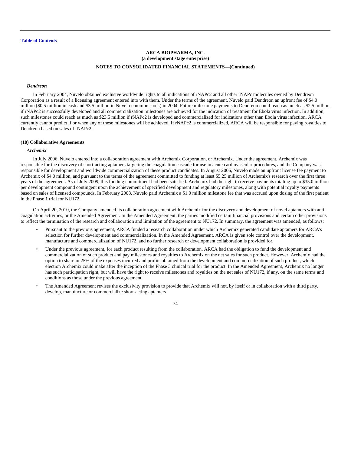### *Dendreon*

In February 2004, Nuvelo obtained exclusive worldwide rights to all indications of rNAPc2 and all other rNAPc molecules owned by Dendreon Corporation as a result of a licensing agreement entered into with them. Under the terms of the agreement, Nuvelo paid Dendreon an upfront fee of \$4.0 million (\$0.5 million in cash and \$3.5 million in Nuvelo common stock) in 2004. Future milestone payments to Dendreon could reach as much as \$2.5 million if rNAPc2 is successfully developed and all commercialization milestones are achieved for the indication of treatment for Ebola virus infection. In addition, such milestones could reach as much as \$23.5 million if rNAPc2 is developed and commercialized for indications other than Ebola virus infection. ARCA currently cannot predict if or when any of these milestones will be achieved. If rNAPc2 is commercialized, ARCA will be responsible for paying royalties to Dendreon based on sales of rNAPc2.

### **(10) Collaborative Agreements**

## *Archemix*

In July 2006, Nuvelo entered into a collaboration agreement with Archemix Corporation, or Archemix. Under the agreement, Archemix was responsible for the discovery of short-acting aptamers targeting the coagulation cascade for use in acute cardiovascular procedures, and the Company was responsible for development and worldwide commercialization of these product candidates. In August 2006, Nuvelo made an upfront license fee payment to Archemix of \$4.0 million, and pursuant to the terms of the agreement committed to funding at least \$5.25 million of Archemix's research over the first three years of the agreement. As of July 2009, this funding commitment had been satisfied. Archemix had the right to receive payments totaling up to \$35.0 million per development compound contingent upon the achievement of specified development and regulatory milestones, along with potential royalty payments based on sales of licensed compounds. In February 2008, Nuvelo paid Archemix a \$1.0 million milestone fee that was accrued upon dosing of the first patient in the Phase 1 trial for NU172.

On April 20, 2010, the Company amended its collaboration agreement with Archemix for the discovery and development of novel aptamers with anticoagulation activities, or the Amended Agreement. In the Amended Agreement, the parties modified certain financial provisions and certain other provisions to reflect the termination of the research and collaboration and limitation of the agreement to NU172. In summary, the agreement was amended, as follows:

- Pursuant to the previous agreement, ARCA funded a research collaboration under which Archemix generated candidate aptamers for ARCA's selection for further development and commercialization. In the Amended Agreement, ARCA is given sole control over the development, manufacture and commercialization of NU172, and no further research or development collaboration is provided for.
- Under the previous agreement, for each product resulting from the collaboration, ARCA had the obligation to fund the development and commercialization of such product and pay milestones and royalties to Archemix on the net sales for such product. However, Archemix had the option to share in 25% of the expenses incurred and profits obtained from the development and commercialization of such product, which election Archemix could make after the inception of the Phase 3 clinical trial for the product. In the Amended Agreement, Archemix no longer has such participation right, but will have the right to receive milestones and royalties on the net sales of NU172, if any, on the same terms and conditions as those under the previous agreement.
- The Amended Agreement revises the exclusivity provision to provide that Archemix will not, by itself or in collaboration with a third party, develop, manufacture or commercialize short-acting aptamers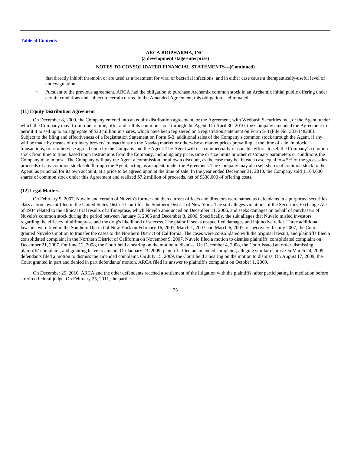that directly inhibit thrombin or are used as a treatment for viral or bacterial infections, and in either case cause a therapeutically-useful level of anticoagulation.

• Pursuant to the previous agreement, ARCA had the obligation to purchase Archemix common stock in an Archemix initial public offering under certain conditions and subject to certain terms. In the Amended Agreement, this obligation is eliminated.

#### **(11) Equity Distribution Agreement**

On December 8, 2009, the Company entered into an equity distribution agreement, or the Agreement, with Wedbush Securities Inc., or the Agent, under which the Company may, from time to time, offer and sell its common stock through the Agent. On April 30, 2010, the Company amended the Agreement to permit it to sell up to an aggregate of \$20 million in shares, which have been registered on a registration statement on Form S-3 (File No. 333-148288). Subject to the filing and effectiveness of a Registration Statement on Form S-3, additional sales of the Company's common stock through the Agent, if any, will be made by means of ordinary brokers' transactions on the Nasdaq market or otherwise at market prices prevailing at the time of sale, in block transactions, or as otherwise agreed upon by the Company and the Agent. The Agent will use commercially reasonable efforts to sell the Company's common stock from time to time, based upon instructions from the Company, including any price, time or size limits or other customary parameters or conditions the Company may impose. The Company will pay the Agent a commission, or allow a discount, as the case may be, in each case equal to 4.5% of the gross sales proceeds of any common stock sold through the Agent, acting as an agent, under the Agreement. The Company may also sell shares of common stock to the Agent, as principal for its own account, at a price to be agreed upon at the time of sale. In the year ended December 31, 2010, the Company sold 1,164,600 shares of common stock under this Agreement and realized \$7.2 million of proceeds, net of \$338,000 of offering costs.

#### **(12) Legal Matters**

On February 9, 2007, Nuvelo and certain of Nuvelo's former and then current officers and directors were named as defendants in a purported securities class action lawsuit filed in the United States District Court for the Southern District of New York. The suit alleges violations of the Securities Exchange Act of 1934 related to the clinical trial results of alfimeprase, which Nuvelo announced on December 11, 2006, and seeks damages on behalf of purchasers of Nuvelo's common stock during the period between January 5, 2006 and December 8, 2006. Specifically, the suit alleges that Nuvelo misled investors regarding the efficacy of alfimeprase and the drug's likelihood of success. The plaintiff seeks unspecified damages and injunctive relief. Three additional lawsuits were filed in the Southern District of New York on February 16, 2007, March 1, 2007 and March 6, 2007, respectively. In July 2007, the Court granted Nuvelo's motion to transfer the cases to the Northern District of California. The cases were consolidated with the original lawsuit, and plaintiffs filed a consolidated complaint in the Northern District of California on November 9, 2007. Nuvelo filed a motion to dismiss plaintiffs' consolidated complaint on December 21, 2007. On June 12, 2008, the Court held a hearing on the motion to dismiss. On December 4, 2008, the Court issued an order dismissing plaintiffs' complaint, and granting leave to amend. On January 23, 2009, plaintiffs filed an amended complaint, alleging similar claims. On March 24, 2009, defendants filed a motion to dismiss the amended complaint. On July 15, 2009, the Court held a hearing on the motion to dismiss. On August 17, 2009, the Court granted in part and denied in part defendants' motion. ARCA filed its answer to plaintiff's complaint on October 1, 2009.

On December 29, 2010, ARCA and the other defendants reached a settlement of the litigation with the plaintiffs, after participating in mediation before a retired federal judge. On February 25, 2011, the parties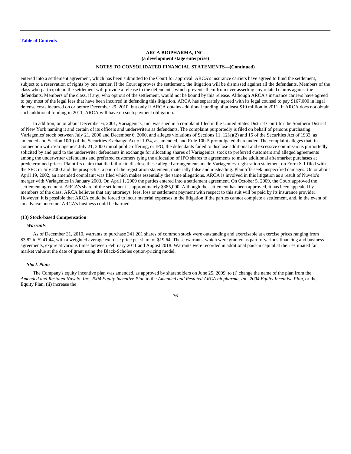entered into a settlement agreement, which has been submitted to the Court for approval. ARCA's insurance carriers have agreed to fund the settlement, subject to a reservation of rights by one carrier. If the Court approves the settlement, the litigation will be dismissed against all the defendants. Members of the class who participate in the settlement will provide a release to the defendants, which prevents them from ever asserting any related claims against the defendants. Members of the class, if any, who opt out of the settlement, would not be bound by this release. Although ARCA's insurance carriers have agreed to pay most of the legal fees that have been incurred in defending this litigation, ARCA has separately agreed with its legal counsel to pay \$167,000 in legal defense costs incurred on or before December 29, 2010, but only if ARCA obtains additional funding of at least \$10 million in 2011. If ARCA does not obtain such additional funding in 2011, ARCA will have no such payment obligation.

In addition, on or about December 6, 2001, Variagenics, Inc. was sued in a complaint filed in the United States District Court for the Southern District of New York naming it and certain of its officers and underwriters as defendants. The complaint purportedly is filed on behalf of persons purchasing Variagenics' stock between July 21, 2000 and December 6, 2000, and alleges violations of Sections 11, 12(a)(2) and 15 of the Securities Act of 1933, as amended and Section 10(b) of the Securities Exchange Act of 1934, as amended, and Rule 10b-5 promulgated thereunder. The complaint alleges that, in connection with Variagenics' July 21, 2000 initial public offering, or IPO, the defendants failed to disclose additional and excessive commissions purportedly solicited by and paid to the underwriter defendants in exchange for allocating shares of Variagenics' stock to preferred customers and alleged agreements among the underwriter defendants and preferred customers tying the allocation of IPO shares to agreements to make additional aftermarket purchases at predetermined prices. Plaintiffs claim that the failure to disclose these alleged arrangements made Variagenics' registration statement on Form S-1 filed with the SEC in July 2000 and the prospectus, a part of the registration statement, materially false and misleading. Plaintiffs seek unspecified damages. On or about April 19, 2002, an amended complaint was filed which makes essentially the same allegations. ARCA is involved in this litigation as a result of Nuvelo's merger with Variagenics in January 2003. On April 1, 2009 the parties entered into a settlement agreement. On October 5, 2009, the Court approved the settlement agreement. ARCA's share of the settlement is approximately \$385,000. Although the settlement has been approved, it has been appealed by members of the class. ARCA believes that any attorneys' fees, loss or settlement payment with respect to this suit will be paid by its insurance provider. However, it is possible that ARCA could be forced to incur material expenses in the litigation if the parties cannot complete a settlement, and, in the event of an adverse outcome, ARCA's business could be harmed.

### **(13) Stock-based Compensation**

### *Warrants*

As of December 31, 2010, warrants to purchase 341,201 shares of common stock were outstanding and exercisable at exercise prices ranging from \$3.82 to \$241.44, with a weighted average exercise price per share of \$19.64. These warrants, which were granted as part of various financing and business agreements, expire at various times between February 2011 and August 2018. Warrants were recorded in additional paid-in capital at their estimated fair market value at the date of grant using the Black-Scholes option-pricing model.

#### *Stock Plans*

The Company's equity incentive plan was amended, as approved by shareholders on June 25, 2009, to (i) change the name of the plan from the *Amended and Restated Nuvelo, Inc. 2004 Equity Incentive Plan* to the *Amended and Restated ARCA biopharma, Inc. 2004 Equity Incentive Plan*, or the Equity Plan, (ii) increase the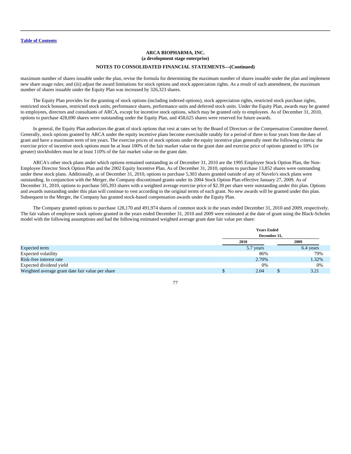maximum number of shares issuable under the plan, revise the formula for determining the maximum number of shares issuable under the plan and implement new share usage rules; and (iii) adjust the award limitations for stock options and stock appreciation rights. As a result of such amendment, the maximum number of shares issuable under the Equity Plan was increased by 326,323 shares.

The Equity Plan provides for the granting of stock options (including indexed options), stock appreciation rights, restricted stock purchase rights, restricted stock bonuses, restricted stock units, performance shares, performance units and deferred stock units. Under the Equity Plan, awards may be granted to employees, directors and consultants of ARCA, except for incentive stock options, which may be granted only to employees. As of December 31, 2010, options to purchase 428,690 shares were outstanding under the Equity Plan, and 458,625 shares were reserved for future awards.

In general, the Equity Plan authorizes the grant of stock options that vest at rates set by the Board of Directors or the Compensation Committee thereof. Generally, stock options granted by ARCA under the equity incentive plans become exercisable ratably for a period of three to four years from the date of grant and have a maximum term of ten years. The exercise prices of stock options under the equity incentive plan generally meet the following criteria: the exercise price of incentive stock options must be at least 100% of the fair market value on the grant date and exercise price of options granted to 10% (or greater) stockholders must be at least 110% of the fair market value on the grant date.

ARCA's other stock plans under which options remained outstanding as of December 31, 2010 are the 1995 Employee Stock Option Plan, the Non-Employee Director Stock Option Plan and the 2002 Equity Incentive Plan. As of December 31, 2010, options to purchase 13,852 shares were outstanding under these stock plans. Additionally, as of December 31, 2010, options to purchase 5,303 shares granted outside of any of Nuvelo's stock plans were outstanding. In conjunction with the Merger, the Company discontinued grants under its 2004 Stock Option Plan effective January 27, 2009. As of December 31, 2010, options to purchase 505,393 shares with a weighted average exercise price of \$2.39 per share were outstanding under this plan. Options and awards outstanding under this plan will continue to vest according to the original terms of each grant. No new awards will be granted under this plan. Subsequent to the Merger, the Company has granted stock-based compensation awards under the Equity Plan.

The Company granted options to purchase 128,170 and 491,974 shares of common stock in the years ended December 31, 2010 and 2009, respectively. The fair values of employee stock options granted in the years ended December 31, 2010 and 2009 were estimated at the date of grant using the Black-Scholes model with the following assumptions and had the following estimated weighted average grant date fair value per share:

|                                                  |              | <b>Years Ended</b> |  |           |
|--------------------------------------------------|--------------|--------------------|--|-----------|
|                                                  | December 31, |                    |  |           |
|                                                  | <b>2010</b>  |                    |  | 2009      |
| Expected term                                    |              | 5.7 years          |  | 6.4 years |
| Expected volatility                              |              | 86%                |  | 79%       |
| Risk-free interest rate                          |              | 2.70%              |  | 1.32%     |
| Expected dividend yield                          |              | 0%                 |  | 0%        |
| Weighted average grant date fair value per share |              | 2.04               |  | 3.21      |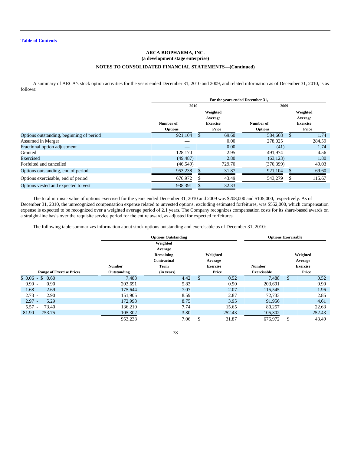# **ARCA BIOPHARMA, INC. (a development stage enterprise) NOTES TO CONSOLIDATED FINANCIAL STATEMENTS—(Continued)**

A summary of ARCA's stock option activities for the years ended December 31, 2010 and 2009, and related information as of December 31, 2010, is as follows:

|                                          | For the years ended December 31, |          |                 |                |          |                 |  |  |
|------------------------------------------|----------------------------------|----------|-----------------|----------------|----------|-----------------|--|--|
|                                          | 2010                             |          |                 | 2009           |          |                 |  |  |
|                                          |                                  | Weighted |                 |                | Weighted |                 |  |  |
|                                          |                                  | Average  |                 |                | Average  |                 |  |  |
|                                          | Number of                        |          | <b>Exercise</b> | Number of      |          | <b>Exercise</b> |  |  |
|                                          | <b>Options</b>                   |          | Price           | <b>Options</b> |          | Price           |  |  |
| Options outstanding, beginning of period | 921,104                          | \$       | 69.60           | 584,668        | \$       | 1.74            |  |  |
| Assumed in Merger                        |                                  |          | 0.00            | 278,025        |          | 284.59          |  |  |
| Fractional option adjustment             |                                  |          | 0.00            | (41)           |          | 1.74            |  |  |
| Granted                                  | 128,170                          |          | 2.95            | 491,974        |          | 4.56            |  |  |
| Exercised                                | (49, 487)                        |          | 2.80            | (63, 123)      |          | 1.80            |  |  |
| Forfeited and cancelled                  | (46, 549)                        |          | 729.70          | (370, 399)     |          | 49.03           |  |  |
| Options outstanding, end of period       | 953,238                          |          | 31.87           | 921,104        |          | 69.60           |  |  |
| Options exercisable, end of period       | 676,972                          |          | 43.49           | 543,279        |          | 115.67          |  |  |
| Options vested and expected to vest      | 938,391                          |          | 32.33           |                |          |                 |  |  |

The total intrinsic value of options exercised for the years ended December 31, 2010 and 2009 was \$208,000 and \$105,000, respectively. As of December 31, 2010, the unrecognized compensation expense related to unvested options, excluding estimated forfeitures, was \$552,000, which compensation expense is expected to be recognized over a weighted average period of 2.1 years. The Company recognizes compensation costs for its share-based awards on a straight-line basis over the requisite service period for the entire award, as adjusted for expected forfeitures.

The following table summarizes information about stock options outstanding and exercisable as of December 31, 2010:

|                                 |               | <b>Options Outstanding</b> |                 | <b>Options Exercisable</b> |    |                 |  |
|---------------------------------|---------------|----------------------------|-----------------|----------------------------|----|-----------------|--|
|                                 |               | Weighted                   |                 |                            |    |                 |  |
|                                 |               | Average                    |                 |                            |    |                 |  |
|                                 |               | Remaining                  | Weighted        |                            |    | Weighted        |  |
|                                 |               | Contractual                | Average         |                            |    | Average         |  |
|                                 | <b>Number</b> | Term                       | <b>Exercise</b> | <b>Number</b>              |    | <b>Exercise</b> |  |
| <b>Range of Exercise Prices</b> | Outstanding   | (in years)                 | Price           | <b>Exercisable</b>         |    | Price           |  |
| $$0.06 - $0.60$                 | 7,488         | 4.42                       | 0.52<br>\$      | 7.488                      | \$ | 0.52            |  |
| $0.90 -$<br>0.90                | 203.691       | 5.83                       | 0.90            | 203.691                    |    | 0.90            |  |
| $1.68 -$<br>2.69                | 175.644       | 7.07                       | 2.07            | 115,545                    |    | 1.96            |  |
| $2.73 -$<br>2.90                | 151,905       | 8.59                       | 2.87            | 72,733                     |    | 2.85            |  |
| $2.97 -$<br>5.29                | 172,998       | 8.75                       | 3.95            | 91,956                     |    | 4.61            |  |
| 5.57<br>73.40                   | 136.210       | 7.74                       | 15.65           | 80,257                     |    | 22.63           |  |
| $81.90 - 753.75$                | 105,302       | 3.80                       | 252.43          | 105,302                    |    | 252.43          |  |
|                                 | 953,238       | 7.06                       | \$<br>31.87     | 676,972                    | \$ | 43.49           |  |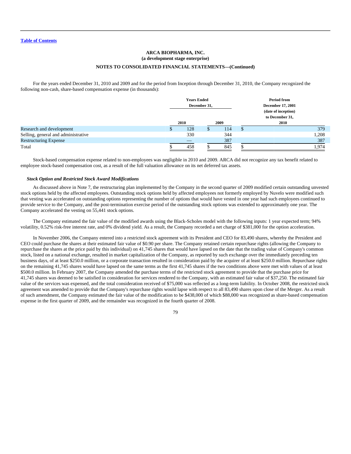For the years ended December 31, 2010 and 2009 and for the period from Inception through December 31, 2010, the Company recognized the following non-cash, share-based compensation expense (in thousands):

|                                     | <b>Years Ended</b><br>December 31, |  |      | <b>Period from</b><br><b>December 17, 2001</b><br>(date of inception) |
|-------------------------------------|------------------------------------|--|------|-----------------------------------------------------------------------|
|                                     |                                    |  |      | to December 31,                                                       |
|                                     | 2010<br>2009                       |  | 2010 |                                                                       |
| Research and development            | 128                                |  | 114  | 379                                                                   |
| Selling, general and administrative | 330                                |  | 344  | 1,208                                                                 |
| <b>Restructuring Expense</b>        |                                    |  | 387  | 387                                                                   |
| Total                               | 458                                |  | 845  | .974                                                                  |

Stock-based compensation expense related to non-employees was negligible in 2010 and 2009. ARCA did not recognize any tax benefit related to employee stock-based compensation cost, as a result of the full valuation allowance on its net deferred tax assets.

## *Stock Option and Restricted Stock Award Modifications*

As discussed above in Note 7, the restructuring plan implemented by the Company in the second quarter of 2009 modified certain outstanding unvested stock options held by the affected employees. Outstanding stock options held by affected employees not formerly employed by Nuvelo were modified such that vesting was accelerated on outstanding options representing the number of options that would have vested in one year had such employees continued to provide service to the Company, and the post-termination exercise period of the outstanding stock options was extended to approximately one year. The Company accelerated the vesting on 55,441 stock options.

The Company estimated the fair value of the modified awards using the Black-Scholes model with the following inputs: 1 year expected term; 94% volatility, 0.52% risk-free interest rate, and 0% dividend yield. As a result, the Company recorded a net charge of \$381,000 for the option acceleration.

In November 2006, the Company entered into a restricted stock agreement with its President and CEO for 83,490 shares, whereby the President and CEO could purchase the shares at their estimated fair value of \$0.90 per share. The Company retained certain repurchase rights (allowing the Company to repurchase the shares at the price paid by this individual) on 41,745 shares that would have lapsed on the date that the trading value of Company's common stock, listed on a national exchange, resulted in market capitalization of the Company, as reported by such exchange over the immediately preceding ten business days, of at least \$250.0 million, or a corporate transaction resulted in consideration paid by the acquirer of at least \$250.0 million. Repurchase rights on the remaining 41,745 shares would have lapsed on the same terms as the first 41,745 shares if the two conditions above were met with values of at least \$500.0 million. In February 2007, the Company amended the purchase terms of the restricted stock agreement to provide that the purchase price for 41,745 shares was deemed to be satisfied in consideration for services rendered to the Company, with an estimated fair value of \$37,250. The estimated fair value of the services was expensed, and the total consideration received of \$75,000 was reflected as a long-term liability. In October 2008, the restricted stock agreement was amended to provide that the Company's repurchase rights would lapse with respect to all 83,490 shares upon close of the Merger. As a result of such amendment, the Company estimated the fair value of the modification to be \$438,000 of which \$88,000 was recognized as share-based compensation expense in the first quarter of 2009, and the remainder was recognized in the fourth quarter of 2008.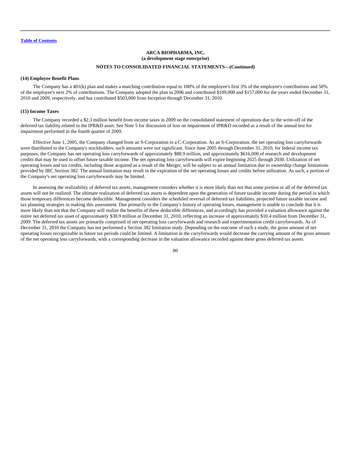### **(14) Employee Benefit Plans**

The Company has a 401(k) plan and makes a matching contribution equal to 100% of the employee's first 3% of the employee's contributions and 50% of the employee's next 2% of contributions. The Company adopted the plan in 2006 and contributed \$109,000 and \$157,000 for the years ended December 31, 2010 and 2009, respectively, and has contributed \$503,000 from Inception through December 31, 2010.

### **(15) Income Taxes**

The Company recorded a \$2.3 million benefit from income taxes in 2009 on the consolidated statement of operations due to the write-off of the deferred tax liability related to the IPR&D asset. See Note 5 for discussion of loss on impairment of IPR&D recorded as a result of the annual test for impairment performed in the fourth quarter of 2009.

Effective June 1, 2005, the Company changed from an S-Corporation to a C-Corporation. As an S-Corporation, the net operating loss carryforwards were distributed to the Company's stockholders; such amounts were not significant. Since June 2005 through December 31, 2010, for federal income tax purposes, the Company has net operating loss carryforwards of approximately \$88.9 million, and approximately \$616,000 of research and development credits that may be used to offset future taxable income. The net operating loss carryforwards will expire beginning 2025 through 2030. Utilization of net operating losses and tax credits, including those acquired as a result of the Merger, will be subject to an annual limitation due to ownership change limitations provided by IRC Section 382. The annual limitation may result in the expiration of the net operating losses and credits before utilization. As such, a portion of the Company's net operating loss carryforwards may be limited.

In assessing the realizability of deferred tax assets, management considers whether it is more likely than not that some portion or all of the deferred tax assets will not be realized. The ultimate realization of deferred tax assets is dependent upon the generation of future taxable income during the period in which those temporary differences become deductible. Management considers the scheduled reversal of deferred tax liabilities, projected future taxable income and tax planning strategies in making this assessment. Due primarily to the Company's history of operating losses, management is unable to conclude that it is more likely than not that the Company will realize the benefits of these deductible differences, and accordingly has provided a valuation allowance against the entire net deferred tax asset of approximately \$38.9 million at December 31, 2010, reflecting an increase of approximately \$10.4 million from December 31, 2009. The deferred tax assets are primarily comprised of net operating loss carryforwards and research and experimentation credit carryforwards. As of December 31, 2010 the Company has not performed a Section 382 limitation study. Depending on the outcome of such a study, the gross amount of net operating losses recognizable in future tax periods could be limited. A limitation in the carryforwards would decrease the carrying amount of the gross amount of the net operating loss carryforwards, with a corresponding decrease in the valuation allowance recorded against these gross deferred tax assets.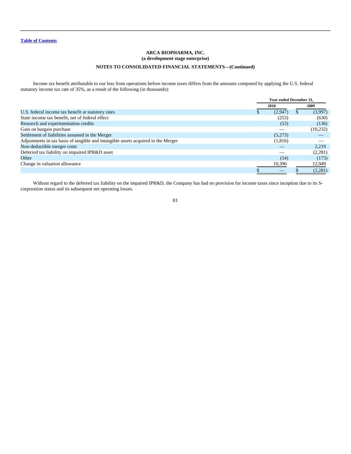Income tax benefit attributable to our loss from operations before income taxes differs from the amounts computed by applying the U.S. federal statutory income tax rate of 35%, as a result of the following (in thousands):

|                                                                                   |      | <b>Year ended December 31.</b> |      |           |
|-----------------------------------------------------------------------------------|------|--------------------------------|------|-----------|
|                                                                                   | 2010 |                                | 2009 |           |
| U.S. federal income tax benefit at statutory rates                                |      | (2,947)                        |      | (3,997)   |
| State income tax benefit, net of federal effect                                   |      | (253)                          |      | (630)     |
| Research and experimentation credits                                              |      | (53)                           |      | (136)     |
| Gain on bargain purchase                                                          |      |                                |      | (10, 232) |
| Settlement of liabilities assumed in the Merger                                   |      | (5,273)                        |      |           |
| Adjustments in tax basis of tangible and intangible assets acquired in the Merger |      | (1,816)                        |      |           |
| Non-deductible merger costs                                                       |      |                                |      | 2.219     |
| Deferred tax liability on impaired IPR&D asset                                    |      |                                |      | (2,281)   |
| Other                                                                             |      | (54)                           |      | (173)     |
| Change in valuation allowance                                                     |      | 10,396                         |      | 12,949    |
|                                                                                   |      |                                |      | (2,281)   |

Without regard to the deferred tax liability on the impaired IPR&D, the Company has had no provision for income taxes since inception due to its Scorporation status and its subsequent net operating losses.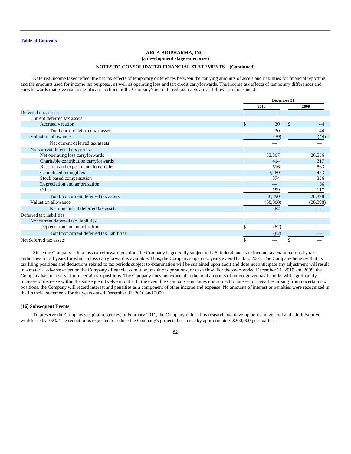Deferred income taxes reflect the net tax effects of temporary differences between the carrying amounts of assets and liabilities for financial reporting and the amounts used for income tax purposes, as well as operating loss and tax credit carryforwards. The income tax effects of temporary differences and carryforwards that give rise to significant portions of the Company's net deferred tax assets are as follows (in thousands):

|                                           |            | December 31,       |
|-------------------------------------------|------------|--------------------|
|                                           | 2010       | 2009               |
| Deferred tax assets:                      |            |                    |
| Current deferred tax assets:              |            |                    |
| Accrued vacation                          | \$<br>30   | $\mathbb{S}$<br>44 |
| Total current deferred tax assets         | 30         | 44                 |
| Valuation allowance                       | (30)       | (44)               |
| Net current deferred tax assets           |            |                    |
| Noncurrent deferred tax assets:           |            |                    |
| Net operating loss carryforwards          | 33,807     | 26,536             |
| Charitable contribution carryforwards     | 414        | 317                |
| Research and experimentation credits      | 616        | 563                |
| Capitalized intangibles                   | 3,480      | 473                |
| Stock based compensation                  | 374        | 336                |
| Depreciation and amortization             |            | 56                 |
| Other                                     | 199        | 117                |
| Total noncurrent deferred tax assets      | 38,890     | 28,398             |
| Valuation allowance                       | (38, 808)  | (28, 398)          |
| Net noncurrent deferred tax assets        | 82         |                    |
| Deferred tax liabilities:                 |            |                    |
| Noncurrent deferred tax liabilities:      |            |                    |
| Depreciation and amortization             | \$<br>(82) |                    |
| Total noncurrent deferred tax liabilities | (82)       |                    |
| Net deferred tax assets                   |            |                    |

Since the Company is in a loss carryforward position, the Company is generally subject to U.S. federal and state income tax examinations by tax authorities for all years for which a loss carryforward is available. Thus, the Company's open tax years extend back to 2005. The Company believes that its tax filing positions and deductions related to tax periods subject to examination will be sustained upon audit and does not anticipate any adjustment will result in a material adverse effect on the Company's financial condition, result of operations, or cash flow. For the years ended December 31, 2010 and 2009, the Company has no reserve for uncertain tax positions. The Company does not expect that the total amounts of unrecognized tax benefits will significantly increase or decrease within the subsequent twelve months. In the event the Company concludes it is subject to interest or penalties arising from uncertain tax positions, the Company will record interest and penalties as a component of other income and expense. No amounts of interest or penalties were recognized in the financial statements for the years ended December 31, 2010 and 2009.

### **(16) Subsequent Events**

To preserve the Company's capital resources, in February 2011, the Company reduced its research and development and general and administrative workforce by 36%. The reduction is expected to reduce the Company's projected cash use by approximately \$200,000 per quarter.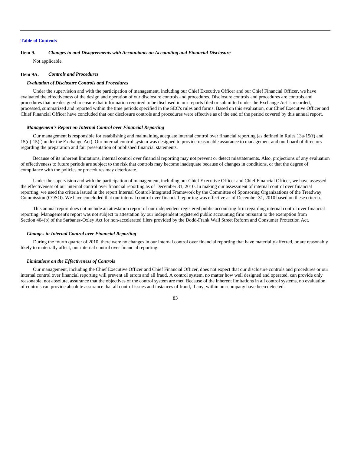### **Item 9.** *Changes in and Disagreements with Accountants on Accounting and Financial Disclosure*

Not applicable.

### **Item 9A.** *Controls and Procedures*

### *Evaluation of Disclosure Controls and Procedures*

Under the supervision and with the participation of management, including our Chief Executive Officer and our Chief Financial Officer, we have evaluated the effectiveness of the design and operation of our disclosure controls and procedures. Disclosure controls and procedures are controls and procedures that are designed to ensure that information required to be disclosed in our reports filed or submitted under the Exchange Act is recorded, processed, summarized and reported within the time periods specified in the SEC's rules and forms. Based on this evaluation, our Chief Executive Officer and Chief Financial Officer have concluded that our disclosure controls and procedures were effective as of the end of the period covered by this annual report.

#### *Management's Report on Internal Control over Financial Reporting*

Our management is responsible for establishing and maintaining adequate internal control over financial reporting (as defined in Rules 13a-15(f) and 15(d)-15(f) under the Exchange Act). Our internal control system was designed to provide reasonable assurance to management and our board of directors regarding the preparation and fair presentation of published financial statements.

Because of its inherent limitations, internal control over financial reporting may not prevent or detect misstatements. Also, projections of any evaluation of effectiveness to future periods are subject to the risk that controls may become inadequate because of changes in conditions, or that the degree of compliance with the policies or procedures may deteriorate.

Under the supervision and with the participation of management, including our Chief Executive Officer and Chief Financial Officer, we have assessed the effectiveness of our internal control over financial reporting as of December 31, 2010. In making our assessment of internal control over financial reporting, we used the criteria issued in the report Internal Control-Integrated Framework by the Committee of Sponsoring Organizations of the Treadway Commission (COSO). We have concluded that our internal control over financial reporting was effective as of December 31, 2010 based on these criteria.

This annual report does not include an attestation report of our independent registered public accounting firm regarding internal control over financial reporting. Management's report was not subject to attestation by our independent registered public accounting firm pursuant to the exemption from Section 404(b) of the Sarbanes-Oxley Act for non-accelerated filers provided by the Dodd-Frank Wall Street Reform and Consumer Protection Act.

## *Changes in Internal Control over Financial Reporting*

During the fourth quarter of 2010, there were no changes in our internal control over financial reporting that have materially affected, or are reasonably likely to materially affect, our internal control over financial reporting.

### *Limitations on the Effectiveness of Controls*

Our management, including the Chief Executive Officer and Chief Financial Officer, does not expect that our disclosure controls and procedures or our internal control over financial reporting will prevent all errors and all fraud. A control system, no matter how well designed and operated, can provide only reasonable, not absolute, assurance that the objectives of the control system are met. Because of the inherent limitations in all control systems, no evaluation of controls can provide absolute assurance that all control issues and instances of fraud, if any, within our company have been detected.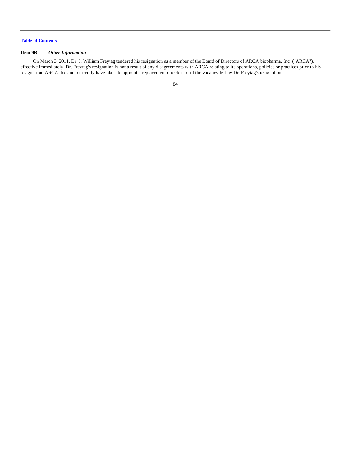## **Item 9B.** *Other Information*

On March 3, 2011, Dr. J. William Freytag tendered his resignation as a member of the Board of Directors of ARCA biopharma, Inc. ("ARCA"), effective immediately. Dr. Freytag's resignation is not a result of any disagreements with ARCA relating to its operations, policies or practices prior to his resignation. ARCA does not currently have plans to appoint a replacement director to fill the vacancy left by Dr. Freytag's resignation.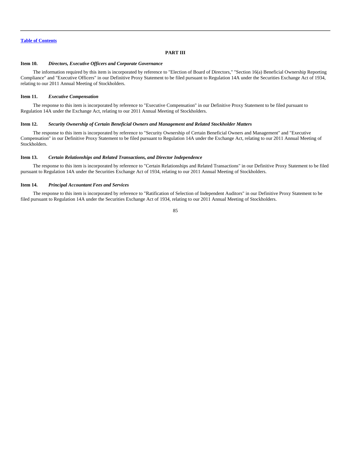## **PART III**

### **Item 10.** *Directors, Executive Officers and Corporate Governance*

The information required by this item is incorporated by reference to "Election of Board of Directors," "Section 16(a) Beneficial Ownership Reporting Compliance" and "Executive Officers" in our Definitive Proxy Statement to be filed pursuant to Regulation 14A under the Securities Exchange Act of 1934, relating to our 2011 Annual Meeting of Stockholders.

### **Item 11.** *Executive Compensation*

The response to this item is incorporated by reference to "Executive Compensation" in our Definitive Proxy Statement to be filed pursuant to Regulation 14A under the Exchange Act, relating to our 2011 Annual Meeting of Stockholders.

## **Item 12.** *Security Ownership of Certain Beneficial Owners and Management and Related Stockholder Matters*

The response to this item is incorporated by reference to "Security Ownership of Certain Beneficial Owners and Management" and "Executive Compensation" in our Definitive Proxy Statement to be filed pursuant to Regulation 14A under the Exchange Act, relating to our 2011 Annual Meeting of Stockholders.

## **Item 13.** *Certain Relationships and Related Transactions, and Director Independence*

The response to this item is incorporated by reference to "Certain Relationships and Related Transactions" in our Definitive Proxy Statement to be filed pursuant to Regulation 14A under the Securities Exchange Act of 1934, relating to our 2011 Annual Meeting of Stockholders.

## **Item 14.** *Principal Accountant Fees and Services*

The response to this item is incorporated by reference to "Ratification of Selection of Independent Auditors" in our Definitive Proxy Statement to be filed pursuant to Regulation 14A under the Securities Exchange Act of 1934, relating to our 2011 Annual Meeting of Stockholders.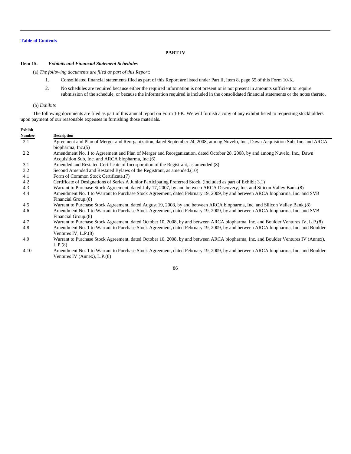## **PART IV**

## **Item 15.** *Exhibits and Financial Statement Schedules*

(a) *The following documents are filed as part of this Report:*

- 1. Consolidated financial statements filed as part of this Report are listed under Part II, Item 8, page 55 of this Form 10-K.
- 2. No schedules are required because either the required information is not present or is not present in amounts sufficient to require submission of the schedule, or because the information required is included in the consolidated financial statements or the notes thereto.

### (b) *Exhibits*

The following documents are filed as part of this annual report on Form 10-K. We will furnish a copy of any exhibit listed to requesting stockholders upon payment of our reasonable expenses in furnishing those materials.

| Exhibit       |                                                                                                                                    |
|---------------|------------------------------------------------------------------------------------------------------------------------------------|
| <b>Number</b> | <b>Description</b>                                                                                                                 |
| 2.1           | Agreement and Plan of Merger and Reorganization, dated September 24, 2008, among Nuvelo, Inc., Dawn Acquisition Sub, Inc. and ARCA |
|               | biopharma, $Inc.(5)$                                                                                                               |
| 2.2           | Amendment No. 1 to Agreement and Plan of Merger and Reorganization, dated October 28, 2008, by and among Nuvelo, Inc., Dawn        |
|               | Acquisition Sub, Inc. and ARCA biopharma, Inc. (6)                                                                                 |
| 3.1           | Amended and Restated Certificate of Incorporation of the Registrant, as amended. (8)                                               |
| 3.2           | Second Amended and Restated Bylaws of the Registrant, as amended. (10)                                                             |
| 4.1           | Form of Common Stock Certificate.(7)                                                                                               |
| 4.2           | Certificate of Designations of Series A Junior Participating Preferred Stock. (included as part of Exhibit 3.1)                    |
| 4.3           | Warrant to Purchase Stock Agreement, dated July 17, 2007, by and between ARCA Discovery, Inc. and Silicon Valley Bank.(8)          |
| 4.4           | Amendment No. 1 to Warrant to Purchase Stock Agreement, dated February 19, 2009, by and between ARCA biopharma, Inc. and SVB       |
|               | Financial Group.(8)                                                                                                                |
| 4.5           | Warrant to Purchase Stock Agreement, dated August 19, 2008, by and between ARCA biopharma, Inc. and Silicon Valley Bank.(8)        |
| 4.6           | Amendment No. 1 to Warrant to Purchase Stock Agreement, dated February 19, 2009, by and between ARCA biopharma, Inc. and SVB       |
|               | Financial Group.(8)                                                                                                                |
| 4.7           | Warrant to Purchase Stock Agreement, dated October 10, 2008, by and between ARCA biopharma, Inc. and Boulder Ventures IV, L.P.(8)  |
| 4.8           | Amendment No. 1 to Warrant to Purchase Stock Agreement, dated February 19, 2009, by and between ARCA biopharma, Inc. and Boulder   |
|               | Ventures IV, $L.P.(8)$                                                                                                             |
| 4.9           | Warrant to Purchase Stock Agreement, dated October 10, 2008, by and between ARCA biopharma, Inc. and Boulder Ventures IV (Annex),  |
|               | L.P.(8)                                                                                                                            |

 4.10 Amendment No. 1 to Warrant to Purchase Stock Agreement, dated February 19, 2009, by and between ARCA biopharma, Inc. and Boulder Ventures IV (Annex), L.P.(8)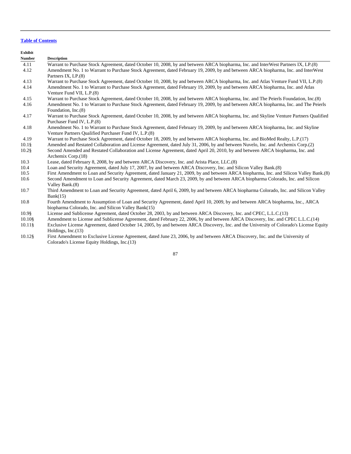**Exhibit Number Description** 4.11 Warrant to Purchase Stock Agreement, dated October 10, 2008, by and between ARCA biopharma, Inc. and InterWest Partners IX, LP.(8) 4.12 Amendment No. 1 to Warrant to Purchase Stock Agreement, dated February 19, 2009, by and between ARCA biopharma, Inc. and InterWest Partners IX, LP.(8) 4.13 Warrant to Purchase Stock Agreement, dated October 10, 2008, by and between ARCA biopharma, Inc. and Atlas Venture Fund VII, L.P.(8) 4.14 Amendment No. 1 to Warrant to Purchase Stock Agreement, dated February 19, 2009, by and between ARCA biopharma, Inc. and Atlas Venture Fund VII, L.P.(8) 4.15 Warrant to Purchase Stock Agreement, dated October 10, 2008, by and between ARCA biopharma, Inc. and The Peierls Foundation, Inc.(8) 4.16 Amendment No. 1 to Warrant to Purchase Stock Agreement, dated February 19, 2009, by and between ARCA biopharma, Inc. and The Peierls Foundation, Inc.(8) 4.17 Warrant to Purchase Stock Agreement, dated October 10, 2008, by and between ARCA biopharma, Inc. and Skyline Venture Partners Qualified Purchaser Fund IV, L.P.(8) 4.18 Amendment No. 1 to Warrant to Purchase Stock Agreement, dated February 19, 2009, by and between ARCA biopharma, Inc. and Skyline Venture Partners Qualified Purchaser Fund IV, L.P.(8) 4.19 Warrant to Purchase Stock Agreement, dated October 18, 2009, by and between ARCA biopharma, Inc. and BioMed Realty, L.P.(17) 10.1§ Amended and Restated Collaboration and License Agreement, dated July 31, 2006, by and between Nuvelo, Inc. and Archemix Corp.(2) 10.2§ Second Amended and Restated Collaboration and License Agreement, dated April 20, 2010, by and between ARCA biopharma, Inc. and Archemix Corp.(18) 10.3 Lease, dated February 8, 2008, by and between ARCA Discovery, Inc. and Arista Place, LLC.(8) 10.4 Loan and Security Agreement, dated July 17, 2007, by and between ARCA Discovery, Inc. and Silicon Valley Bank.(8) 10.5 First Amendment to Loan and Security Agreement, dated January 21, 2009, by and between ARCA biopharma, Inc. and Silicon Valley Bank.(8) 10.6 Second Amendment to Loan and Security Agreement, dated March 23, 2009, by and between ARCA biopharma Colorado, Inc. and Silicon Valley Bank.(8) 10.7 Third Amendment to Loan and Security Agreement, dated April 6, 2009, by and between ARCA biopharma Colorado, Inc. and Silicon Valley  $Bank(15)$ 

- 10.8 Fourth Amendment to Assumption of Loan and Security Agreement, dated April 10, 2009, by and between ARCA biopharma, Inc., ARCA biopharma Colorado, Inc. and Silicon Valley Bank(15)
- 10.9§ License and Sublicense Agreement, dated October 28, 2003, by and between ARCA Discovery, Inc. and CPEC, L.L.C.(13)
- 10.10§ Amendment to License and Sublicense Agreement, dated February 22, 2006, by and between ARCA Discovery, Inc. and CPEC L.L.C.(14)
- 10.11§ Exclusive License Agreement, dated October 14, 2005, by and between ARCA Discovery, Inc. and the University of Colorado's License Equity Holdings, Inc.(13)
- 10.12§ First Amendment to Exclusive License Agreement, dated June 23, 2006, by and between ARCA Discovery, Inc. and the University of Colorado's License Equity Holdings, Inc.(13)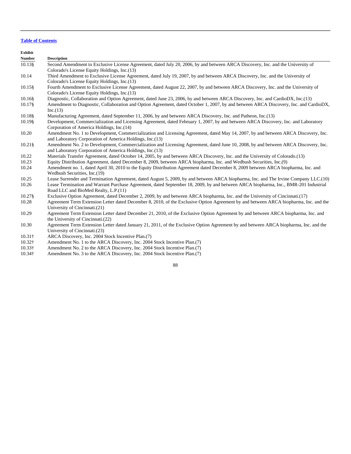**Exhibit Number Description** 10.13§ Second Amendment to Exclusive License Agreement, dated July 20, 2006, by and between ARCA Discovery, Inc. and the University of Colorado's License Equity Holdings, Inc.(13) 10.14 Third Amendment to Exclusive License Agreement, dated July 19, 2007, by and between ARCA Discovery, Inc. and the University of Colorado's License Equity Holdings, Inc.(13) 10.15§ Fourth Amendment to Exclusive License Agreement, dated August 22, 2007, by and between ARCA Discovery, Inc. and the University of Colorado's License Equity Holdings, Inc.(13) 10.16§ Diagnostic, Collaboration and Option Agreement, dated June 23, 2006, by and between ARCA Discovery, Inc. and CardioDX, Inc.(13) 10.17§ Amendment to Diagnostic, Collaboration and Option Agreement, dated October 1, 2007, by and between ARCA Discovery, Inc. and CardioDX,  $Inc.(13)$ 10.18§ Manufacturing Agreement, dated September 11, 2006, by and between ARCA Discovery, Inc. and Patheon, Inc.(13) 10.19§ Development, Commercialization and Licensing Agreement, dated February 1, 2007, by and between ARCA Discovery, Inc. and Laboratory Corporation of America Holdings, Inc.(14) 10.20 Amendment No. 1 to Development, Commercialization and Licensing Agreement, dated May 14, 2007, by and between ARCA Discovery, Inc. and Laboratory Corporation of America Holdings, Inc.(13) 10.21§ Amendment No. 2 to Development, Commercialization and Licensing Agreement, dated June 10, 2008, by and between ARCA Discovery, Inc. and Laboratory Corporation of America Holdings, Inc.(13) 10.22 Materials Transfer Agreement, dated October 14, 2005, by and between ARCA Discovery, Inc. and the University of Colorado.(13) 10.23 Equity Distribution Agreement, dated December 8, 2009, between ARCA biopharma, Inc. and Wedbush Securities, Inc.(9) 10.24 Amendment no. 1, dated April 30, 2010 to the Equity Distribution Agreement dated December 8, 2009 between ARCA biopharma, Inc. and Wedbush Securities, Inc.(19) 10.25 Lease Surrender and Termination Agreement, dated August 5, 2009, by and between ARCA biopharma, Inc. and The Irvine Company LLC.(10) 10.26 Lease Termination and Warrant Purchase Agreement, dated September 18, 2009, by and between ARCA biopharma, Inc., BMR-201 Industrial Road LLC and BioMed Realty, L.P.(11) 10.27§ Exclusive Option Agreement, dated December 2, 2009, by and between ARCA biopharma, Inc. and the University of Cincinnati.(17) 10.28 Agreement Term Extension Letter dated December 8, 2010, of the Exclusive Option Agreement by and between ARCA biopharma, Inc. and the University of Cincinnati.(21) 10.29 Agreement Term Extension Letter dated December 21, 2010, of the Exclusive Option Agreement by and between ARCA biopharma, Inc. and the University of Cincinnati.(22) 10.30 Agreement Term Extension Letter dated January 21, 2011, of the Exclusive Option Agreement by and between ARCA biopharma, Inc. and the University of Cincinnati.(23) 10.31† ARCA Discovery, Inc. 2004 Stock Incentive Plan.(7) 10.32† Amendment No. 1 to the ARCA Discovery, Inc. 2004 Stock Incentive Plan.(7)

- 10.33† Amendment No. 2 to the ARCA Discovery, Inc. 2004 Stock Incentive Plan.(7)
- 10.34† Amendment No. 3 to the ARCA Discovery, Inc. 2004 Stock Incentive Plan.(7)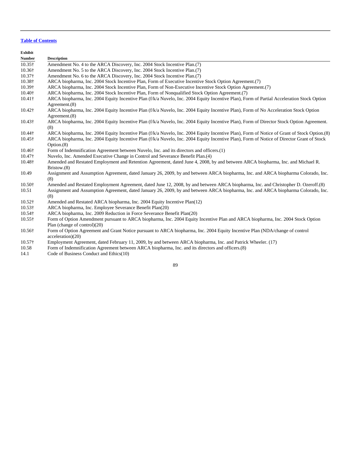| Exhibit        |                                                                                                                                                             |
|----------------|-------------------------------------------------------------------------------------------------------------------------------------------------------------|
| Number         | <b>Description</b>                                                                                                                                          |
| $10.35\dagger$ | Amendment No. 4 to the ARCA Discovery, Inc. 2004 Stock Incentive Plan. (7)                                                                                  |
| 10.36†         | Amendment No. 5 to the ARCA Discovery, Inc. 2004 Stock Incentive Plan.(7)                                                                                   |
| 10.37†         | Amendment No. 6 to the ARCA Discovery, Inc. 2004 Stock Incentive Plan.(7)                                                                                   |
| 10.38†         | ARCA biopharma, Inc. 2004 Stock Incentive Plan, Form of Executive Incentive Stock Option Agreement.(7)                                                      |
| 10.39†         | ARCA biopharma, Inc. 2004 Stock Incentive Plan, Form of Non-Executive Incentive Stock Option Agreement.(7)                                                  |
| 10.40+         | ARCA biopharma, Inc. 2004 Stock Incentive Plan, Form of Nonqualified Stock Option Agreement.(7)                                                             |
| 10.41†         | ARCA biopharma, Inc. 2004 Equity Incentive Plan (f/k/a Nuvelo, Inc. 2004 Equity Incentive Plan), Form of Partial Acceleration Stock Option<br>Agreement.(8) |
| 10.42†         | ARCA biopharma, Inc. 2004 Equity Incentive Plan (f/k/a Nuvelo, Inc. 2004 Equity Incentive Plan), Form of No Acceleration Stock Option<br>Agreement. $(8)$   |
| 10.43†         | ARCA biopharma, Inc. 2004 Equity Incentive Plan (f/k/a Nuvelo, Inc. 2004 Equity Incentive Plan), Form of Director Stock Option Agreement.<br>(8)            |
| 10.44†         | ARCA biopharma, Inc. 2004 Equity Incentive Plan (f/k/a Nuvelo, Inc. 2004 Equity Incentive Plan), Form of Notice of Grant of Stock Option. (8)               |
| 10.45†         | ARCA biopharma, Inc. 2004 Equity Incentive Plan (f/k/a Nuvelo, Inc. 2004 Equity Incentive Plan), Form of Notice of Director Grant of Stock<br>Option.(8)    |
| 10.46†         | Form of Indemnification Agreement between Nuvelo, Inc. and its directors and officers.(1)                                                                   |
| 10.47†         | Nuvelo, Inc. Amended Executive Change in Control and Severance Benefit Plan.(4)                                                                             |
| 10.48†         | Amended and Restated Employment and Retention Agreement, dated June 4, 2008, by and between ARCA biopharma, Inc. and Michael R.<br>Bristow.(8)              |
| 10.49          | Assignment and Assumption Agreement, dated January 26, 2009, by and between ARCA biopharma, Inc. and ARCA biopharma Colorado, Inc.<br>(8)                   |
| 10.50†         | Amended and Restated Employment Agreement, dated June 12, 2008, by and between ARCA biopharma, Inc. and Christopher D. Ozeroff.(8)                          |
| 10.51          | Assignment and Assumption Agreement, dated January 26, 2009, by and between ARCA biopharma, Inc. and ARCA biopharma Colorado, Inc.<br>(8)                   |
| 10.52†         | Amended and Restated ARCA biopharma, Inc. 2004 Equity Incentive Plan(12)                                                                                    |
| 10.53†         | ARCA biopharma, Inc. Employee Severance Benefit Plan(20)                                                                                                    |
| 10.54†         | ARCA biopharma, Inc. 2009 Reduction in Force Severance Benefit Plan(20)                                                                                     |
| $10.55\dagger$ | Form of Option Amendment pursuant to ARCA biopharma, Inc. 2004 Equity Incentive Plan and ARCA biopharma, Inc. 2004 Stock Option                             |
|                | Plan (change of control) $(20)$                                                                                                                             |
| 10.56†         | Form of Option Agreement and Grant Notice pursuant to ARCA biopharma, Inc. 2004 Equity Incentive Plan (NDA/change of control<br>acceleration(20)            |
| 10.57†         | Employment Agreement, dated February 11, 2009, by and between ARCA biopharma, Inc. and Patrick Wheeler. (17)                                                |

- 10.58 Form of Indemnification Agreement between ARCA biopharma, Inc. and its directors and officers.(8)
- 14.1 Code of Business Conduct and Ethics(10)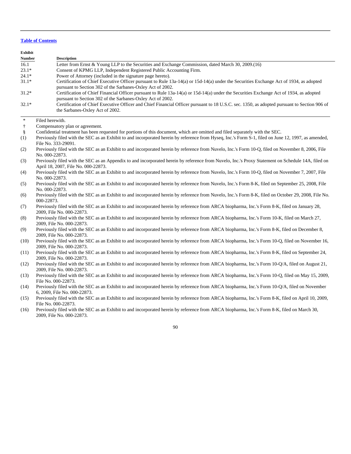| <b>Exhibit</b> |                                                                                                                                                                                                                                                                                                              |
|----------------|--------------------------------------------------------------------------------------------------------------------------------------------------------------------------------------------------------------------------------------------------------------------------------------------------------------|
| <b>Number</b>  | <b>Description</b>                                                                                                                                                                                                                                                                                           |
| 16.1           | Letter from Ernst & Young LLP to the Securities and Exchange Commission, dated March 30, 2009.(16)                                                                                                                                                                                                           |
| $23.1*$        | Consent of KPMG LLP, Independent Registered Public Accounting Firm.                                                                                                                                                                                                                                          |
| $24.1*$        | Power of Attorney (included in the signature page hereto).                                                                                                                                                                                                                                                   |
| $31.1*$        | Certification of Chief Executive Officer pursuant to Rule 13a-14(a) or 15d-14(a) under the Securities Exchange Act of 1934, as adopted<br>pursuant to Section 302 of the Sarbanes-Oxley Act of 2002.                                                                                                         |
| $31.2*$        | Certification of Chief Financial Officer pursuant to Rule 13a-14(a) or 15d-14(a) under the Securities Exchange Act of 1934, as adopted<br>pursuant to Section 302 of the Sarbanes-Oxley Act of 2002.                                                                                                         |
| $32.1*$        | Certification of Chief Executive Officer and Chief Financial Officer pursuant to 18 U.S.C. sec. 1350, as adopted pursuant to Section 906 of<br>the Sarbanes-Oxley Act of 2002.                                                                                                                               |
| $\ast$         | Filed herewith.                                                                                                                                                                                                                                                                                              |
| $^\dagger$     | Compensatory plan or agreement.                                                                                                                                                                                                                                                                              |
| $\S$<br>(1)    | Confidential treatment has been requested for portions of this document, which are omitted and filed separately with the SEC.<br>Previously filed with the SEC as an Exhibit to and incorporated herein by reference from Hyseq, Inc.'s Form S-1, filed on June 12, 1997, as amended,<br>File No. 333-29091. |
| (2)            | Previously filed with the SEC as an Exhibit to and incorporated herein by reference from Nuvelo, Inc.'s Form 10-Q, filed on November 8, 2006, File<br>No. 000-22873.                                                                                                                                         |
| (3)            | Previously filed with the SEC as an Appendix to and incorporated herein by reference from Nuvelo, Inc.'s Proxy Statement on Schedule 14A, filed on<br>April 18, 2007, File No. 000-22873.                                                                                                                    |
| (4)            | Previously filed with the SEC as an Exhibit to and incorporated herein by reference from Nuvelo, Inc.'s Form 10-Q, filed on November 7, 2007, File<br>No. 000-22873.                                                                                                                                         |
| (5)            | Previously filed with the SEC as an Exhibit to and incorporated herein by reference from Nuvelo, Inc.'s Form 8-K, filed on September 25, 2008, File<br>No. 000-22873.                                                                                                                                        |
| (6)            | Previously filed with the SEC as an Exhibit to and incorporated herein by reference from Nuvelo, Inc.'s Form 8-K, filed on October 29, 2008, File No.<br>000-22873.                                                                                                                                          |
| (7)            | Previously filed with the SEC as an Exhibit to and incorporated herein by reference from ARCA biopharma, Inc.'s Form 8-K, filed on January 28,<br>2009, File No. 000-22873.                                                                                                                                  |
| (8)            | Previously filed with the SEC as an Exhibit to and incorporated herein by reference from ARCA biopharma, Inc.'s Form 10-K, filed on March 27,<br>2009, File No. 000-22873.                                                                                                                                   |
| (9)            | Previously filed with the SEC as an Exhibit to and incorporated herein by reference from ARCA biopharma, Inc.'s Form 8-K, filed on December 8,<br>2009, File No. 000-22873.                                                                                                                                  |
| (10)           | Previously filed with the SEC as an Exhibit to and incorporated herein by reference from ARCA biopharma, Inc.'s Form 10-Q, filed on November 16,<br>2009, File No. 000-22873.                                                                                                                                |
| (11)           | Previously filed with the SEC as an Exhibit to and incorporated herein by reference from ARCA biopharma, Inc.'s Form 8-K, filed on September 24,<br>2009, File No. 000-22873.                                                                                                                                |
| (12)           | Previously filed with the SEC as an Exhibit to and incorporated herein by reference from ARCA biopharma, Inc.'s Form 10-Q/A, filed on August 21,<br>2009, File No. 000-22873.                                                                                                                                |
| (13)           | Previously filed with the SEC as an Exhibit to and incorporated herein by reference from ARCA biopharma, Inc.'s Form 10-Q, filed on May 15, 2009,<br>File No. 000-22873.                                                                                                                                     |
| (14)           | Previously filed with the SEC as an Exhibit to and incorporated herein by reference from ARCA biopharma, Inc.'s Form 10-Q/A, filed on November<br>6, 2009, File No. 000-22873.                                                                                                                               |
| (15)           | Previously filed with the SEC as an Exhibit to and incorporated herein by reference from ARCA biopharma, Inc.'s Form 8-K, filed on April 10, 2009,<br>File No. 000-22873.                                                                                                                                    |
| (16)           | Previously filed with the SEC as an Exhibit to and incorporated herein by reference from ARCA biopharma, Inc.'s Form 8-K, filed on March 30,<br>2009, File No. 000-22873.                                                                                                                                    |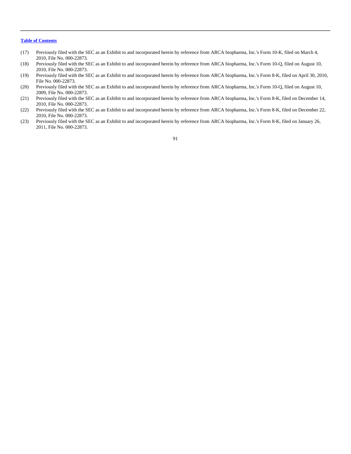- (17) Previously filed with the SEC as an Exhibit to and incorporated herein by reference from ARCA biopharma, Inc.'s Form 10-K, filed on March 4, 2010, File No. 000-22873.
- (18) Previously filed with the SEC as an Exhibit to and incorporated herein by reference from ARCA biopharma, Inc.'s Form 10-Q, filed on August 10, 2010, File No. 000-22873.
- (19) Previously filed with the SEC as an Exhibit to and incorporated herein by reference from ARCA biopharma, Inc.'s Form 8-K, filed on April 30, 2010, File No. 000-22873.
- (20) Previously filed with the SEC as an Exhibit to and incorporated herein by reference from ARCA biopharma, Inc.'s Form 10-Q, filed on August 10, 2009, File No. 000-22873.
- (21) Previously filed with the SEC as an Exhibit to and incorporated herein by reference from ARCA biopharma, Inc.'s Form 8-K, filed on December 14, 2010, File No. 000-22873.
- (22) Previously filed with the SEC as an Exhibit to and incorporated herein by reference from ARCA biopharma, Inc.'s Form 8-K, filed on December 22, 2010, File No. 000-22873.
- (23) Previously filed with the SEC as an Exhibit to and incorporated herein by reference from ARCA biopharma, Inc.'s Form 8-K, filed on January 26, 2011, File No. 000-22873.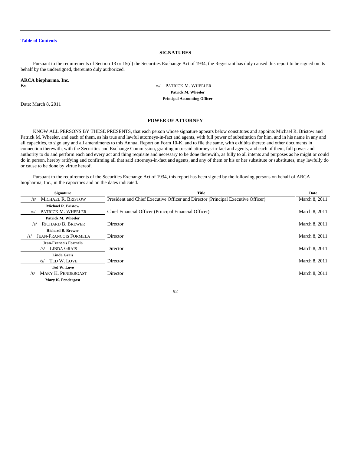## **SIGNATURES**

Pursuant to the requirements of Section 13 or 15(d) the Securities Exchange Act of 1934, the Registrant has duly caused this report to be signed on its behalf by the undersigned, thereunto duly authorized.

|  |  |  |  |  |  |  |  |  |  | ARCA biopharma, Inc. |  |
|--|--|--|--|--|--|--|--|--|--|----------------------|--|
|--|--|--|--|--|--|--|--|--|--|----------------------|--|

Date: March 8, 2011

By:  $\frac{1}{s}$  PATRICK M. WHEELER

**Patrick M. Wheeler**

**Principal Accounting Officer**

## **POWER OF ATTORNEY**

KNOW ALL PERSONS BY THESE PRESENTS, that each person whose signature appears below constitutes and appoints Michael R. Bristow and Patrick M. Wheeler, and each of them, as his true and lawful attorneys-in-fact and agents, with full power of substitution for him, and in his name in any and all capacities, to sign any and all amendments to this Annual Report on Form 10-K, and to file the same, with exhibits thereto and other documents in connection therewith, with the Securities and Exchange Commission, granting unto said attorneys-in-fact and agents, and each of them, full power and authority to do and perform each and every act and thing requisite and necessary to be done therewith, as fully to all intents and purposes as he might or could do in person, hereby ratifying and confirming all that said attorneys-in-fact and agents, and any of them or his or her substitute or substitutes, may lawfully do or cause to be done by virtue hereof.

Pursuant to the requirements of the Securities Exchange Act of 1934, this report has been signed by the following persons on behalf of ARCA biopharma, Inc., in the capacities and on the dates indicated.

| <b>Signature</b>                                      | Title                                                                            | Date          |
|-------------------------------------------------------|----------------------------------------------------------------------------------|---------------|
| <b>MICHAEL R. BRISTOW</b><br>/s/                      | President and Chief Executive Officer and Director (Principal Executive Officer) | March 8, 2011 |
| <b>Michael R. Bristow</b>                             |                                                                                  |               |
| PATRICK M. WHEELER<br>/s/                             | Chief Financial Officer (Principal Financial Officer)                            | March 8, 2011 |
| Patrick M. Wheeler<br><b>RICHARD B. BREWER</b><br>/S/ | Director                                                                         | March 8, 2011 |
| <b>Richard B. Brewer</b>                              |                                                                                  |               |
| <b>JEAN-FRANCOIS FORMELA</b><br>/s/                   | Director                                                                         | March 8, 2011 |
| Jean-Francois Formela                                 |                                                                                  |               |
| <b>LINDA GRAIS</b><br>/s/                             | Director                                                                         | March 8, 2011 |
| <b>Linda Grais</b>                                    |                                                                                  |               |
| TED W. LOVE<br>/s/                                    | Director                                                                         | March 8, 2011 |
| Ted W. Love                                           |                                                                                  |               |
| MARY K. PENDERGAST<br>$\sqrt{s}$                      | Director                                                                         | March 8, 2011 |
| <b>Mary K. Pendergast</b>                             |                                                                                  |               |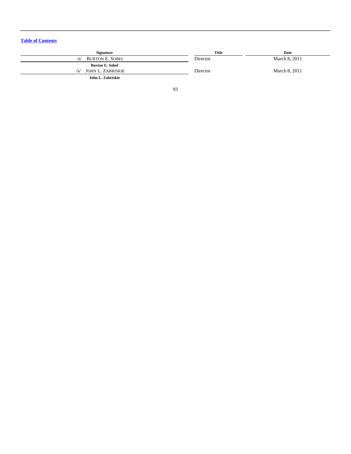| <b>Signature</b>              | Title    | Date          |
|-------------------------------|----------|---------------|
| <b>BURTON E. SOBEL</b><br>/s/ | Director | March 8, 2011 |
| <b>Burton E. Sobel</b>        |          |               |
| JOHN L. ZABRISKIE<br>/s/      | Director | March 8, 2011 |
| John L. Zabriskie             |          |               |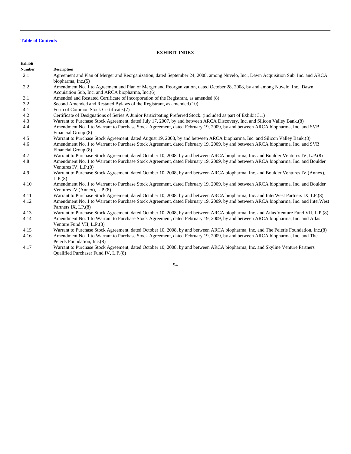## **EXHIBIT INDEX**

| Exhibit       |                                                                                                                                       |
|---------------|---------------------------------------------------------------------------------------------------------------------------------------|
| <b>Number</b> | <b>Description</b>                                                                                                                    |
| 2.1           | Agreement and Plan of Merger and Reorganization, dated September 24, 2008, among Nuvelo, Inc., Dawn Acquisition Sub, Inc. and ARCA    |
|               | biopharma, $Inc.(5)$                                                                                                                  |
| 2.2           | Amendment No. 1 to Agreement and Plan of Merger and Reorganization, dated October 28, 2008, by and among Nuvelo, Inc., Dawn           |
|               | Acquisition Sub, Inc. and ARCA biopharma, Inc. (6)                                                                                    |
| 3.1           | Amended and Restated Certificate of Incorporation of the Registrant, as amended.(8)                                                   |
| 3.2           | Second Amended and Restated Bylaws of the Registrant, as amended.(10)                                                                 |
| 4.1           | Form of Common Stock Certificate.(7)                                                                                                  |
| 4.2           | Certificate of Designations of Series A Junior Participating Preferred Stock. (included as part of Exhibit 3.1)                       |
| 4.3           | Warrant to Purchase Stock Agreement, dated July 17, 2007, by and between ARCA Discovery, Inc. and Silicon Valley Bank.(8)             |
| 4.4           | Amendment No. 1 to Warrant to Purchase Stock Agreement, dated February 19, 2009, by and between ARCA biopharma, Inc. and SVB          |
|               | Financial Group.(8)                                                                                                                   |
| 4.5           | Warrant to Purchase Stock Agreement, dated August 19, 2008, by and between ARCA biopharma, Inc. and Silicon Valley Bank.(8)           |
| 4.6           | Amendment No. 1 to Warrant to Purchase Stock Agreement, dated February 19, 2009, by and between ARCA biopharma, Inc. and SVB          |
|               | Financial Group.(8)                                                                                                                   |
| 4.7           | Warrant to Purchase Stock Agreement, dated October 10, 2008, by and between ARCA biopharma, Inc. and Boulder Ventures IV, L.P.(8)     |
| 4.8           | Amendment No. 1 to Warrant to Purchase Stock Agreement, dated February 19, 2009, by and between ARCA biopharma, Inc. and Boulder      |
|               | Ventures IV, $L.P.(8)$                                                                                                                |
| 4.9           | Warrant to Purchase Stock Agreement, dated October 10, 2008, by and between ARCA biopharma, Inc. and Boulder Ventures IV (Annex),     |
|               | L.P.(8)                                                                                                                               |
| 4.10          | Amendment No. 1 to Warrant to Purchase Stock Agreement, dated February 19, 2009, by and between ARCA biopharma, Inc. and Boulder      |
|               | Ventures IV (Annex), L.P.(8)                                                                                                          |
| 4.11          | Warrant to Purchase Stock Agreement, dated October 10, 2008, by and between ARCA biopharma, Inc. and InterWest Partners IX, LP.(8)    |
| 4.12          | Amendment No. 1 to Warrant to Purchase Stock Agreement, dated February 19, 2009, by and between ARCA biopharma, Inc. and InterWest    |
|               | Partners IX, LP.(8)                                                                                                                   |
| 4.13          | Warrant to Purchase Stock Agreement, dated October 10, 2008, by and between ARCA biopharma, Inc. and Atlas Venture Fund VII, L.P.(8)  |
| 4.14          | Amendment No. 1 to Warrant to Purchase Stock Agreement, dated February 19, 2009, by and between ARCA biopharma, Inc. and Atlas        |
|               | Venture Fund VII, L.P.(8)                                                                                                             |
| 4.15          | Warrant to Purchase Stock Agreement, dated October 10, 2008, by and between ARCA biopharma, Inc. and The Peierls Foundation, Inc. (8) |
| 4.16          | Amendment No. 1 to Warrant to Purchase Stock Agreement, dated February 19, 2009, by and between ARCA biopharma, Inc. and The          |
|               | Peierls Foundation, Inc.(8)                                                                                                           |
| 4.17          | Warrant to Purchase Stock Agreement, dated October 10, 2008, by and between ARCA biopharma, Inc. and Skyline Venture Partners         |

Qualified Purchaser Fund IV, L.P.(8)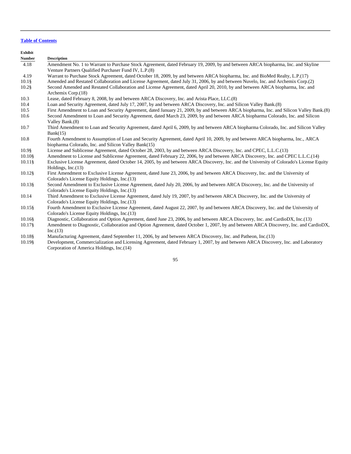**Exhibit Number Description** 4.18 Amendment No. 1 to Warrant to Purchase Stock Agreement, dated February 19, 2009, by and between ARCA biopharma, Inc. and Skyline Venture Partners Qualified Purchaser Fund IV, L.P.(8) 4.19 Warrant to Purchase Stock Agreement, dated October 18, 2009, by and between ARCA biopharma, Inc. and BioMed Realty, L.P.(17) 10.1§ Amended and Restated Collaboration and License Agreement, dated July 31, 2006, by and between Nuvelo, Inc. and Archemix Corp.(2) 10.2§ Second Amended and Restated Collaboration and License Agreement, dated April 20, 2010, by and between ARCA biopharma, Inc. and Archemix Corp.(18) 10.3 Lease, dated February 8, 2008, by and between ARCA Discovery, Inc. and Arista Place, LLC.(8) 10.4 Loan and Security Agreement, dated July 17, 2007, by and between ARCA Discovery, Inc. and Silicon Valley Bank.(8) 10.5 First Amendment to Loan and Security Agreement, dated January 21, 2009, by and between ARCA biopharma, Inc. and Silicon Valley Bank.(8) 10.6 Second Amendment to Loan and Security Agreement, dated March 23, 2009, by and between ARCA biopharma Colorado, Inc. and Silicon Valley Bank.(8) 10.7 Third Amendment to Loan and Security Agreement, dated April 6, 2009, by and between ARCA biopharma Colorado, Inc. and Silicon Valley  $Bank(15)$ 10.8 Fourth Amendment to Assumption of Loan and Security Agreement, dated April 10, 2009, by and between ARCA biopharma, Inc., ARCA biopharma Colorado, Inc. and Silicon Valley Bank(15) 10.9§ License and Sublicense Agreement, dated October 28, 2003, by and between ARCA Discovery, Inc. and CPEC, L.L.C.(13) 10.10§ Amendment to License and Sublicense Agreement, dated February 22, 2006, by and between ARCA Discovery, Inc. and CPEC L.L.C.(14) 10.11§ Exclusive License Agreement, dated October 14, 2005, by and between ARCA Discovery, Inc. and the University of Colorado's License Equity Holdings, Inc.(13) 10.12§ First Amendment to Exclusive License Agreement, dated June 23, 2006, by and between ARCA Discovery, Inc. and the University of Colorado's License Equity Holdings, Inc.(13) 10.13§ Second Amendment to Exclusive License Agreement, dated July 20, 2006, by and between ARCA Discovery, Inc. and the University of Colorado's License Equity Holdings, Inc.(13) 10.14 Third Amendment to Exclusive License Agreement, dated July 19, 2007, by and between ARCA Discovery, Inc. and the University of Colorado's License Equity Holdings, Inc.(13) 10.15§ Fourth Amendment to Exclusive License Agreement, dated August 22, 2007, by and between ARCA Discovery, Inc. and the University of Colorado's License Equity Holdings, Inc.(13) 10.16§ Diagnostic, Collaboration and Option Agreement, dated June 23, 2006, by and between ARCA Discovery, Inc. and CardioDX, Inc.(13) 10.17§ Amendment to Diagnostic, Collaboration and Option Agreement, dated October 1, 2007, by and between ARCA Discovery, Inc. and CardioDX,  $Inc.(13)$ 10.18§ Manufacturing Agreement, dated September 11, 2006, by and between ARCA Discovery, Inc. and Patheon, Inc.(13)

10.19§ Development, Commercialization and Licensing Agreement, dated February 1, 2007, by and between ARCA Discovery, Inc. and Laboratory Corporation of America Holdings, Inc.(14)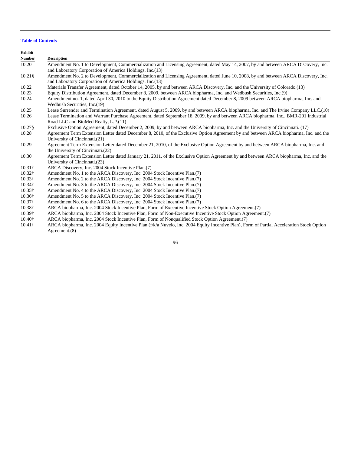**Exhibit**

| EXIMDIU        |                                                                                                                                       |
|----------------|---------------------------------------------------------------------------------------------------------------------------------------|
| <b>Number</b>  | <b>Description</b>                                                                                                                    |
| 10.20          | Amendment No. 1 to Development, Commercialization and Licensing Agreement, dated May 14, 2007, by and between ARCA Discovery, Inc.    |
|                | and Laboratory Corporation of America Holdings, Inc. (13)                                                                             |
| $10.21\$       | Amendment No. 2 to Development, Commercialization and Licensing Agreement, dated June 10, 2008, by and between ARCA Discovery, Inc.   |
|                | and Laboratory Corporation of America Holdings, Inc. (13)                                                                             |
| 10.22          | Materials Transfer Agreement, dated October 14, 2005, by and between ARCA Discovery, Inc. and the University of Colorado.(13)         |
| 10.23          | Equity Distribution Agreement, dated December 8, 2009, between ARCA biopharma, Inc. and Wedbush Securities, Inc. (9)                  |
| 10.24          | Amendment no. 1, dated April 30, 2010 to the Equity Distribution Agreement dated December 8, 2009 between ARCA biopharma, Inc. and    |
|                | Wedbush Securities, Inc.(19)                                                                                                          |
| 10.25          | Lease Surrender and Termination Agreement, dated August 5, 2009, by and between ARCA biopharma, Inc. and The Irvine Company LLC. (10) |
| 10.26          | Lease Termination and Warrant Purchase Agreement, dated September 18, 2009, by and between ARCA biopharma, Inc., BMR-201 Industrial   |
|                | Road LLC and BioMed Realty, L.P.(11)                                                                                                  |
| 10.27\$        | Exclusive Option Agreement, dated December 2, 2009, by and between ARCA biopharma, Inc. and the University of Cincinnati. (17)        |
| 10.28          | Agreement Term Extension Letter dated December 8, 2010, of the Exclusive Option Agreement by and between ARCA biopharma, Inc. and the |
|                | University of Cincinnati.(21)                                                                                                         |
| 10.29          | Agreement Term Extension Letter dated December 21, 2010, of the Exclusive Option Agreement by and between ARCA biopharma, Inc. and    |
|                | the University of Cincinnati. (22)                                                                                                    |
| 10.30          | Agreement Term Extension Letter dated January 21, 2011, of the Exclusive Option Agreement by and between ARCA biopharma, Inc. and the |
|                | University of Cincinnati. (23)                                                                                                        |
| $10.31\dagger$ | ARCA Discovery, Inc. 2004 Stock Incentive Plan. (7)                                                                                   |
| $10.32\dagger$ | Amendment No. 1 to the ARCA Discovery, Inc. 2004 Stock Incentive Plan. (7)                                                            |
| $10.33\dagger$ | Amendment No. 2 to the ARCA Discovery, Inc. 2004 Stock Incentive Plan. (7)                                                            |

- 
- 10.37† Amendment No. 6 to the ARCA Discovery, Inc. 2004 Stock Incentive Plan.(7)<br>10.38† ARCA biopharma, Inc. 2004 Stock Incentive Plan, Form of Executive Incentiv ARCA biopharma, Inc. 2004 Stock Incentive Plan, Form of Executive Incentive Stock Option Agreement.(7)
- 10.39† ARCA biopharma, Inc. 2004 Stock Incentive Plan, Form of Non-Executive Incentive Stock Option Agreement.(7)
- 10.40† ARCA biopharma, Inc. 2004 Stock Incentive Plan, Form of Nonqualified Stock Option Agreement.(7)

Amendment No. 2 to the ARCA Discovery, Inc. 2004 Stock Incentive Plan.(7)

10.34† Amendment No. 3 to the ARCA Discovery, Inc. 2004 Stock Incentive Plan.(7) 10.35<sup>†</sup> Amendment No. 4 to the ARCA Discovery, Inc. 2004 Stock Incentive Plan.(7) 10.36† Amendment No. 5 to the ARCA Discovery, Inc. 2004 Stock Incentive Plan.(7)

10.41† ARCA biopharma, Inc. 2004 Equity Incentive Plan (f/k/a Nuvelo, Inc. 2004 Equity Incentive Plan), Form of Partial Acceleration Stock Option Agreement.(8)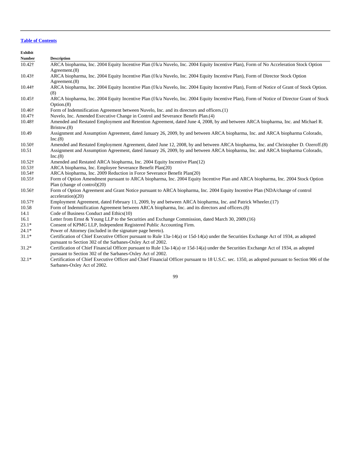| Exhibit        |                                                                                                                                                                    |
|----------------|--------------------------------------------------------------------------------------------------------------------------------------------------------------------|
| <b>Number</b>  | <b>Description</b>                                                                                                                                                 |
| $10.42\dagger$ | ARCA biopharma, Inc. 2004 Equity Incentive Plan (f/k/a Nuvelo, Inc. 2004 Equity Incentive Plan), Form of No Acceleration Stock Option                              |
|                | Agreement.(8)                                                                                                                                                      |
| $10.43\dagger$ | ARCA biopharma, Inc. 2004 Equity Incentive Plan (f/k/a Nuvelo, Inc. 2004 Equity Incentive Plan), Form of Director Stock Option                                     |
|                | Agreement.(8)                                                                                                                                                      |
| 10.44†         | ARCA biopharma, Inc. 2004 Equity Incentive Plan (f/k/a Nuvelo, Inc. 2004 Equity Incentive Plan), Form of Notice of Grant of Stock Option.<br>(8)                   |
| $10.45\dagger$ | ARCA biopharma, Inc. 2004 Equity Incentive Plan (f/k/a Nuvelo, Inc. 2004 Equity Incentive Plan), Form of Notice of Director Grant of Stock<br>Option.(8)           |
| 10.46†         | Form of Indemnification Agreement between Nuvelo, Inc. and its directors and officers.(1)                                                                          |
| $10.47\dagger$ | Nuvelo, Inc. Amended Executive Change in Control and Severance Benefit Plan. (4)                                                                                   |
| 10.48†         | Amended and Restated Employment and Retention Agreement, dated June 4, 2008, by and between ARCA biopharma, Inc. and Michael R.<br>Bristow.(8)                     |
| 10.49          | Assignment and Assumption Agreement, dated January 26, 2009, by and between ARCA biopharma, Inc. and ARCA biopharma Colorado,<br>Inc.(8)                           |
| $10.50+$       | Amended and Restated Employment Agreement, dated June 12, 2008, by and between ARCA biopharma, Inc. and Christopher D. Ozeroff.(8)                                 |
| 10.51          | Assignment and Assumption Agreement, dated January 26, 2009, by and between ARCA biopharma, Inc. and ARCA biopharma Colorado,<br>Inc.(8)                           |
| $10.52\dagger$ | Amended and Restated ARCA biopharma, Inc. 2004 Equity Incentive Plan(12)                                                                                           |
| $10.53\dagger$ | ARCA biopharma, Inc. Employee Severance Benefit Plan(20)                                                                                                           |
| 10.54†         | ARCA biopharma, Inc. 2009 Reduction in Force Severance Benefit Plan(20)                                                                                            |
| $10.55\dagger$ | Form of Option Amendment pursuant to ARCA biopharma, Inc. 2004 Equity Incentive Plan and ARCA biopharma, Inc. 2004 Stock Option<br>Plan (change of control) $(20)$ |
| 10.56†         | Form of Option Agreement and Grant Notice pursuant to ARCA biopharma, Inc. 2004 Equity Incentive Plan (NDA/change of control<br>acceleration)(20)                  |
| $10.57\dagger$ | Employment Agreement, dated February 11, 2009, by and between ARCA biopharma, Inc. and Patrick Wheeler.(17)                                                        |
| 10.58          | Form of Indemnification Agreement between ARCA biopharma, Inc. and its directors and officers.(8)                                                                  |
| 14.1           | Code of Business Conduct and Ethics(10)                                                                                                                            |
| 16.1           | Letter from Ernst & Young LLP to the Securities and Exchange Commission, dated March 30, 2009.(16)                                                                 |
| $23.1*$        | Consent of KPMG LLP, Independent Registered Public Accounting Firm.                                                                                                |
| $24.1*$        | Power of Attorney (included in the signature page hereto).                                                                                                         |
| $31.1*$        | Certification of Chief Executive Officer pursuant to Rule 13a-14(a) or 15d-14(a) under the Securities Exchange Act of 1934, as adopted                             |

pursuant to Section 302 of the Sarbanes-Oxley Act of 2002. 31.2\* Certification of Chief Financial Officer pursuant to Rule 13a-14(a) or 15d-14(a) under the Securities Exchange Act of 1934, as adopted pursuant to Section 302 of the Sarbanes-Oxley Act of 2002.

32.1\* Certification of Chief Executive Officer and Chief Financial Officer pursuant to 18 U.S.C. sec. 1350, as adopted pursuant to Section 906 of the Sarbanes-Oxley Act of 2002.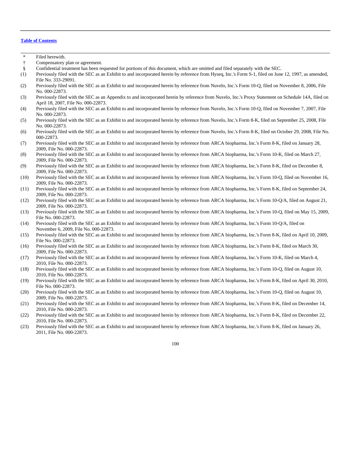- Filed herewith. † Compensatory plan or agreement.
	- § Confidential treatment has been requested for portions of this document, which are omitted and filed separately with the SEC.
	- (1) Previously filed with the SEC as an Exhibit to and incorporated herein by reference from Hyseq, Inc.'s Form S-1, filed on June 12, 1997, as amended, File No. 333-29091.
	- (2) Previously filed with the SEC as an Exhibit to and incorporated herein by reference from Nuvelo, Inc.'s Form 10-Q, filed on November 8, 2006, File No. 000-22873.
	- (3) Previously filed with the SEC as an Appendix to and incorporated herein by reference from Nuvelo, Inc.'s Proxy Statement on Schedule 14A, filed on April 18, 2007, File No. 000-22873.
	- (4) Previously filed with the SEC as an Exhibit to and incorporated herein by reference from Nuvelo, Inc.'s Form 10-Q, filed on November 7, 2007, File No. 000-22873.
	- (5) Previously filed with the SEC as an Exhibit to and incorporated herein by reference from Nuvelo, Inc.'s Form 8-K, filed on September 25, 2008, File No. 000-22873.
	- (6) Previously filed with the SEC as an Exhibit to and incorporated herein by reference from Nuvelo, Inc.'s Form 8-K, filed on October 29, 2008, File No. 000-22873.
	- (7) Previously filed with the SEC as an Exhibit to and incorporated herein by reference from ARCA biopharma, Inc.'s Form 8-K, filed on January 28, 2009, File No. 000-22873.
	- (8) Previously filed with the SEC as an Exhibit to and incorporated herein by reference from ARCA biopharma, Inc.'s Form 10-K, filed on March 27, 2009, File No. 000-22873.
	- (9) Previously filed with the SEC as an Exhibit to and incorporated herein by reference from ARCA biopharma, Inc.'s Form 8-K, filed on December 8, 2009, File No. 000-22873.
	- (10) Previously filed with the SEC as an Exhibit to and incorporated herein by reference from ARCA biopharma, Inc.'s Form 10-Q, filed on November 16, 2009, File No. 000-22873.
	- (11) Previously filed with the SEC as an Exhibit to and incorporated herein by reference from ARCA biopharma, Inc.'s Form 8-K, filed on September 24, 2009, File No. 000-22873.
	- (12) Previously filed with the SEC as an Exhibit to and incorporated herein by reference from ARCA biopharma, Inc.'s Form 10-Q/A, filed on August 21, 2009, File No. 000-22873.
	- (13) Previously filed with the SEC as an Exhibit to and incorporated herein by reference from ARCA biopharma, Inc.'s Form 10-Q, filed on May 15, 2009, File No. 000-22873.
	- (14) Previously filed with the SEC as an Exhibit to and incorporated herein by reference from ARCA biopharma, Inc.'s Form 10-Q/A, filed on November 6, 2009, File No. 000-22873.
	- (15) Previously filed with the SEC as an Exhibit to and incorporated herein by reference from ARCA biopharma, Inc.'s Form 8-K, filed on April 10, 2009, File No. 000-22873.
	- (16) Previously filed with the SEC as an Exhibit to and incorporated herein by reference from ARCA biopharma, Inc.'s Form 8-K, filed on March 30, 2009, File No. 000-22873.
	- (17) Previously filed with the SEC as an Exhibit to and incorporated herein by reference from ARCA biopharma, Inc.'s Form 10-K, filed on March 4, 2010, File No. 000-22873.
	- (18) Previously filed with the SEC as an Exhibit to and incorporated herein by reference from ARCA biopharma, Inc.'s Form 10-Q, filed on August 10, 2010, File No. 000-22873.
	- (19) Previously filed with the SEC as an Exhibit to and incorporated herein by reference from ARCA biopharma, Inc.'s Form 8-K, filed on April 30, 2010, File No. 000-22873.
	- (20) Previously filed with the SEC as an Exhibit to and incorporated herein by reference from ARCA biopharma, Inc.'s Form 10-Q, filed on August 10, 2009, File No. 000-22873.
	- (21) Previously filed with the SEC as an Exhibit to and incorporated herein by reference from ARCA biopharma, Inc.'s Form 8-K, filed on December 14, 2010, File No. 000-22873.
	- (22) Previously filed with the SEC as an Exhibit to and incorporated herein by reference from ARCA biopharma, Inc.'s Form 8-K, filed on December 22, 2010, File No. 000-22873.
	- (23) Previously filed with the SEC as an Exhibit to and incorporated herein by reference from ARCA biopharma, Inc.'s Form 8-K, filed on January 26, 2011, File No. 000-22873.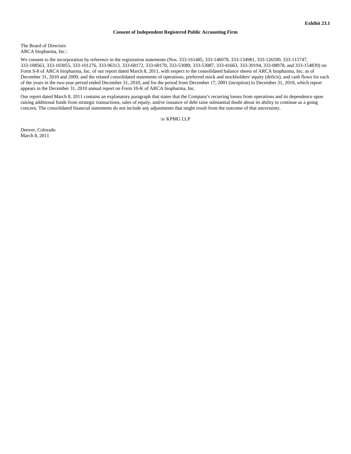## **Consent of Independent Registered Public Accounting Firm**

The Board of Directors ARCA biopharma, Inc.:

We consent to the incorporation by reference in the registration statements (Nos. 333-161485, 333-146078, 333-134981, 333-126590, 333-115747, 333-108563, 333-103055, 333-101276, 333-96313, 333-68172, 333-68170, 333-53089, 333-53087, 333-41663, 333-39194, 333-08978, and 333-154839) on Form S-8 of ARCA biopharma, Inc. of our report dated March 8, 2011, with respect to the consolidated balance sheets of ARCA biopharma, Inc. as of December 31, 2010 and 2009, and the related consolidated statements of operations, preferred stock and stockholders' equity (deficit), and cash flows for each of the years in the two-year period ended December 31, 2010, and for the period from December 17, 2001 (inception) to December 31, 2010, which report appears in the December 31, 2010 annual report on Form 10-K of ARCA biopharma, Inc.

Our report dated March 8, 2011 contains an explanatory paragraph that states that the Company's recurring losses from operations and its dependence upon raising additional funds from strategic transactions, sales of equity, and/or issuance of debt raise substantial doubt about its ability to continue as a going concern. The consolidated financial statements do not include any adjustments that might result from the outcome of that uncertainty.

/s/ KPMG LLP

Denver, Colorado March 8, 2011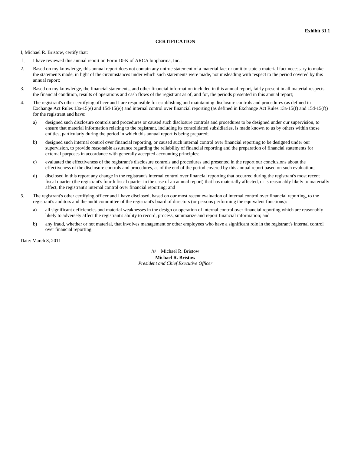## **CERTIFICATION**

I, Michael R. Bristow, certify that:

- 1. I have reviewed this annual report on Form 10-K of ARCA biopharma, Inc.;
- 2. Based on my knowledge, this annual report does not contain any untrue statement of a material fact or omit to state a material fact necessary to make the statements made, in light of the circumstances under which such statements were made, not misleading with respect to the period covered by this annual report;
- 3. Based on my knowledge, the financial statements, and other financial information included in this annual report, fairly present in all material respects the financial condition, results of operations and cash flows of the registrant as of, and for, the periods presented in this annual report;
- 4. The registrant's other certifying officer and I are responsible for establishing and maintaining disclosure controls and procedures (as defined in Exchange Act Rules 13a-15(e) and 15d-15(e)) and internal control over financial reporting (as defined in Exchange Act Rules 13a-15(f) and 15d-15(f)) for the registrant and have:
	- a) designed such disclosure controls and procedures or caused such disclosure controls and procedures to be designed under our supervision, to ensure that material information relating to the registrant, including its consolidated subsidiaries, is made known to us by others within those entities, particularly during the period in which this annual report is being prepared;
	- b) designed such internal control over financial reporting, or caused such internal control over financial reporting to be designed under our supervision, to provide reasonable assurance regarding the reliability of financial reporting and the preparation of financial statements for external purposes in accordance with generally accepted accounting principles;
	- c) evaluated the effectiveness of the registrant's disclosure controls and procedures and presented in the report our conclusions about the effectiveness of the disclosure controls and procedures, as of the end of the period covered by this annual report based on such evaluation;
	- d) disclosed in this report any change in the registrant's internal control over financial reporting that occurred during the registrant's most recent fiscal quarter (the registrant's fourth fiscal quarter in the case of an annual report) that has materially affected, or is reasonably likely to materially affect, the registrant's internal control over financial reporting; and
- 5. The registrant's other certifying officer and I have disclosed, based on our most recent evaluation of internal control over financial reporting, to the registrant's auditors and the audit committee of the registrant's board of directors (or persons performing the equivalent functions):
	- a) all significant deficiencies and material weaknesses in the design or operation of internal control over financial reporting which are reasonably likely to adversely affect the registrant's ability to record, process, summarize and report financial information; and
	- b) any fraud, whether or not material, that involves management or other employees who have a significant role in the registrant's internal control over financial reporting.

Date: March 8, 2011

/s/ Michael R. Bristow **Michael R. Bristow** *President and Chief Executive Officer*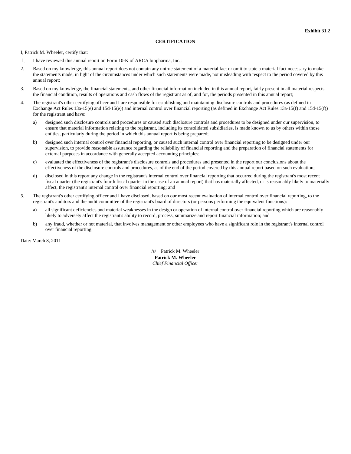## **CERTIFICATION**

I, Patrick M. Wheeler, certify that:

- 1. I have reviewed this annual report on Form 10-K of ARCA biopharma, Inc.;
- 2. Based on my knowledge, this annual report does not contain any untrue statement of a material fact or omit to state a material fact necessary to make the statements made, in light of the circumstances under which such statements were made, not misleading with respect to the period covered by this annual report;
- 3. Based on my knowledge, the financial statements, and other financial information included in this annual report, fairly present in all material respects the financial condition, results of operations and cash flows of the registrant as of, and for, the periods presented in this annual report;
- 4. The registrant's other certifying officer and I are responsible for establishing and maintaining disclosure controls and procedures (as defined in Exchange Act Rules 13a-15(e) and 15d-15(e)) and internal control over financial reporting (as defined in Exchange Act Rules 13a-15(f) and 15d-15(f)) for the registrant and have:
	- a) designed such disclosure controls and procedures or caused such disclosure controls and procedures to be designed under our supervision, to ensure that material information relating to the registrant, including its consolidated subsidiaries, is made known to us by others within those entities, particularly during the period in which this annual report is being prepared;
	- b) designed such internal control over financial reporting, or caused such internal control over financial reporting to be designed under our supervision, to provide reasonable assurance regarding the reliability of financial reporting and the preparation of financial statements for external purposes in accordance with generally accepted accounting principles;
	- c) evaluated the effectiveness of the registrant's disclosure controls and procedures and presented in the report our conclusions about the effectiveness of the disclosure controls and procedures, as of the end of the period covered by this annual report based on such evaluation;
	- d) disclosed in this report any change in the registrant's internal control over financial reporting that occurred during the registrant's most recent fiscal quarter (the registrant's fourth fiscal quarter in the case of an annual report) that has materially affected, or is reasonably likely to materially affect, the registrant's internal control over financial reporting; and
- 5. The registrant's other certifying officer and I have disclosed, based on our most recent evaluation of internal control over financial reporting, to the registrant's auditors and the audit committee of the registrant's board of directors (or persons performing the equivalent functions):
	- a) all significant deficiencies and material weaknesses in the design or operation of internal control over financial reporting which are reasonably likely to adversely affect the registrant's ability to record, process, summarize and report financial information; and
	- b) any fraud, whether or not material, that involves management or other employees who have a significant role in the registrant's internal control over financial reporting.

Date: March 8, 2011

/s/ Patrick M. Wheeler **Patrick M. Wheeler** *Chief Financial Officer*